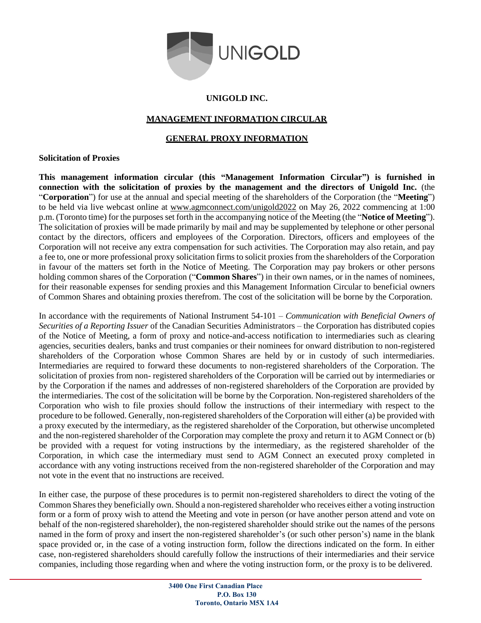

# **UNIGOLD INC.**

# **MANAGEMENT INFORMATION CIRCULAR**

# **GENERAL PROXY INFORMATION**

# **Solicitation of Proxies**

**This management information circular (this "Management Information Circular") is furnished in connection with the solicitation of proxies by the management and the directors of Unigold Inc.** (the "**Corporation**") for use at the annual and special meeting of the shareholders of the Corporation (the "**Meeting**") to be held via live webcast online at [www.agmconnect.com/unigold2022](http://www.agmconnect.com/unigold2020) on May 26, 2022 commencing at 1:00 p.m. (Toronto time) for the purposes set forth in the accompanying notice of the Meeting (the "**Notice of Meeting**"). The solicitation of proxies will be made primarily by mail and may be supplemented by telephone or other personal contact by the directors, officers and employees of the Corporation. Directors, officers and employees of the Corporation will not receive any extra compensation for such activities. The Corporation may also retain, and pay a fee to, one or more professional proxy solicitation firms to solicit proxies from the shareholders of the Corporation in favour of the matters set forth in the Notice of Meeting. The Corporation may pay brokers or other persons holding common shares of the Corporation ("**Common Shares**") in their own names, or in the names of nominees, for their reasonable expenses for sending proxies and this Management Information Circular to beneficial owners of Common Shares and obtaining proxies therefrom. The cost of the solicitation will be borne by the Corporation.

In accordance with the requirements of National Instrument 54-101 – *Communication with Beneficial Owners of Securities of a Reporting Issuer* of the Canadian Securities Administrators – the Corporation has distributed copies of the Notice of Meeting, a form of proxy and notice-and-access notification to intermediaries such as clearing agencies, securities dealers, banks and trust companies or their nominees for onward distribution to non-registered shareholders of the Corporation whose Common Shares are held by or in custody of such intermediaries. Intermediaries are required to forward these documents to non-registered shareholders of the Corporation. The solicitation of proxies from non- registered shareholders of the Corporation will be carried out by intermediaries or by the Corporation if the names and addresses of non-registered shareholders of the Corporation are provided by the intermediaries. The cost of the solicitation will be borne by the Corporation. Non-registered shareholders of the Corporation who wish to file proxies should follow the instructions of their intermediary with respect to the procedure to be followed. Generally, non-registered shareholders of the Corporation will either (a) be provided with a proxy executed by the intermediary, as the registered shareholder of the Corporation, but otherwise uncompleted and the non-registered shareholder of the Corporation may complete the proxy and return it to AGM Connect or (b) be provided with a request for voting instructions by the intermediary, as the registered shareholder of the Corporation, in which case the intermediary must send to AGM Connect an executed proxy completed in accordance with any voting instructions received from the non-registered shareholder of the Corporation and may not vote in the event that no instructions are received.

In either case, the purpose of these procedures is to permit non-registered shareholders to direct the voting of the Common Shares they beneficially own. Should a non-registered shareholder who receives either a voting instruction form or a form of proxy wish to attend the Meeting and vote in person (or have another person attend and vote on behalf of the non-registered shareholder), the non-registered shareholder should strike out the names of the persons named in the form of proxy and insert the non-registered shareholder's (or such other person's) name in the blank space provided or, in the case of a voting instruction form, follow the directions indicated on the form. In either case, non-registered shareholders should carefully follow the instructions of their intermediaries and their service companies, including those regarding when and where the voting instruction form, or the proxy is to be delivered.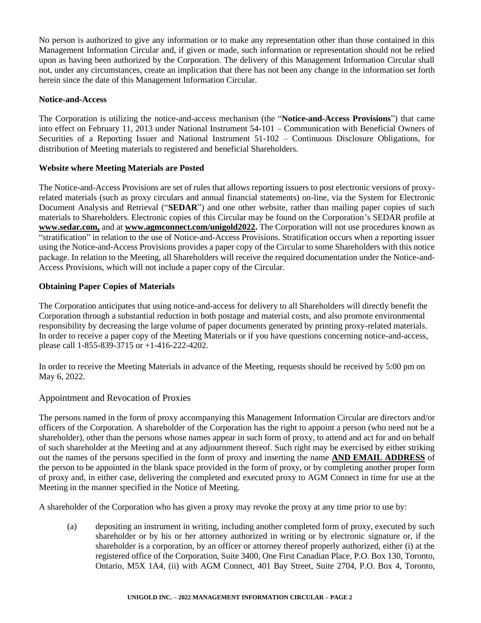No person is authorized to give any information or to make any representation other than those contained in this Management Information Circular and, if given or made, such information or representation should not be relied upon as having been authorized by the Corporation. The delivery of this Management Information Circular shall not, under any circumstances, create an implication that there has not been any change in the information set forth herein since the date of this Management Information Circular.

# **Notice-and-Access**

The Corporation is utilizing the notice-and-access mechanism (the "**Notice-and-Access Provisions**") that came into effect on February 11, 2013 under National Instrument 54-101 – Communication with Beneficial Owners of Securities of a Reporting Issuer and National Instrument 51-102 – Continuous Disclosure Obligations, for distribution of Meeting materials to registered and beneficial Shareholders.

# **Website where Meeting Materials are Posted**

The Notice-and-Access Provisions are set of rules that allows reporting issuers to post electronic versions of proxyrelated materials (such as proxy circulars and annual financial statements) on-line, via the System for Electronic Document Analysis and Retrieval ("**SEDAR**") and one other website, rather than mailing paper copies of such materials to Shareholders. Electronic copies of this Circular may be found on the Corporation's SEDAR profile at **www.sedar.com,** and at **[www.agmconnect.com/unigold2022](http://www.agmconnect.com/unigold202).** The Corporation will not use procedures known as "stratification" in relation to the use of Notice-and-Access Provisions. Stratification occurs when a reporting issuer using the Notice-and-Access Provisions provides a paper copy of the Circular to some Shareholders with this notice package. In relation to the Meeting, all Shareholders will receive the required documentation under the Notice-and-Access Provisions, which will not include a paper copy of the Circular.

# **Obtaining Paper Copies of Materials**

The Corporation anticipates that using notice-and-access for delivery to all Shareholders will directly benefit the Corporation through a substantial reduction in both postage and material costs, and also promote environmental responsibility by decreasing the large volume of paper documents generated by printing proxy-related materials. In order to receive a paper copy of the Meeting Materials or if you have questions concerning notice-and-access, please call 1-855-839-3715 or +1-416-222-4202.

In order to receive the Meeting Materials in advance of the Meeting, requests should be received by 5:00 pm on May 6, 2022.

# Appointment and Revocation of Proxies

The persons named in the form of proxy accompanying this Management Information Circular are directors and/or officers of the Corporation. A shareholder of the Corporation has the right to appoint a person (who need not be a shareholder), other than the persons whose names appear in such form of proxy, to attend and act for and on behalf of such shareholder at the Meeting and at any adjournment thereof. Such right may be exercised by either striking out the names of the persons specified in the form of proxy and inserting the name **AND EMAIL ADDRESS** of the person to be appointed in the blank space provided in the form of proxy, or by completing another proper form of proxy and, in either case, delivering the completed and executed proxy to AGM Connect in time for use at the Meeting in the manner specified in the Notice of Meeting.

A shareholder of the Corporation who has given a proxy may revoke the proxy at any time prior to use by:

(a) depositing an instrument in writing, including another completed form of proxy, executed by such shareholder or by his or her attorney authorized in writing or by electronic signature or, if the shareholder is a corporation, by an officer or attorney thereof properly authorized, either (i) at the registered office of the Corporation, Suite 3400, One First Canadian Place, P.O. Box 130, Toronto, Ontario, M5X 1A4, (ii) with AGM Connect, 401 Bay Street, Suite 2704, P.O. Box 4, Toronto,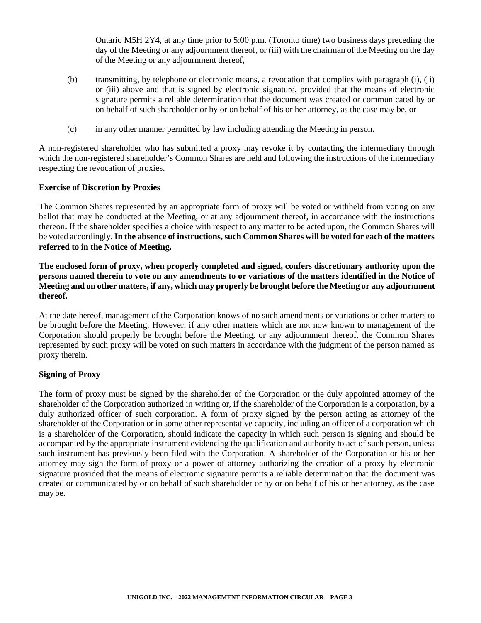Ontario M5H 2Y4, at any time prior to 5:00 p.m. (Toronto time) two business days preceding the day of the Meeting or any adjournment thereof, or (iii) with the chairman of the Meeting on the day of the Meeting or any adjournment thereof,

- (b) transmitting, by telephone or electronic means, a revocation that complies with paragraph (i), (ii) or (iii) above and that is signed by electronic signature, provided that the means of electronic signature permits a reliable determination that the document was created or communicated by or on behalf of such shareholder or by or on behalf of his or her attorney, as the case may be, or
- (c) in any other manner permitted by law including attending the Meeting in person.

A non-registered shareholder who has submitted a proxy may revoke it by contacting the intermediary through which the non-registered shareholder's Common Shares are held and following the instructions of the intermediary respecting the revocation of proxies.

#### **Exercise of Discretion by Proxies**

The Common Shares represented by an appropriate form of proxy will be voted or withheld from voting on any ballot that may be conducted at the Meeting, or at any adjournment thereof, in accordance with the instructions thereon**.** If the shareholder specifies a choice with respect to any matter to be acted upon, the Common Shares will be voted accordingly. **In the absence of instructions, such Common Shares will be voted for each of the matters referred to in the Notice of Meeting.**

**The enclosed form of proxy, when properly completed and signed, confers discretionary authority upon the persons named therein to vote on any amendments to or variations of the matters identified in the Notice of Meeting and on other matters, if any, which may properly be brought before the Meeting or any adjournment thereof.** 

At the date hereof, management of the Corporation knows of no such amendments or variations or other matters to be brought before the Meeting. However, if any other matters which are not now known to management of the Corporation should properly be brought before the Meeting, or any adjournment thereof, the Common Shares represented by such proxy will be voted on such matters in accordance with the judgment of the person named as proxy therein.

## **Signing of Proxy**

The form of proxy must be signed by the shareholder of the Corporation or the duly appointed attorney of the shareholder of the Corporation authorized in writing or, if the shareholder of the Corporation is a corporation, by a duly authorized officer of such corporation. A form of proxy signed by the person acting as attorney of the shareholder of the Corporation or in some other representative capacity, including an officer of a corporation which is a shareholder of the Corporation, should indicate the capacity in which such person is signing and should be accompanied by the appropriate instrument evidencing the qualification and authority to act of such person, unless such instrument has previously been filed with the Corporation. A shareholder of the Corporation or his or her attorney may sign the form of proxy or a power of attorney authorizing the creation of a proxy by electronic signature provided that the means of electronic signature permits a reliable determination that the document was created or communicated by or on behalf of such shareholder or by or on behalf of his or her attorney, as the case may be.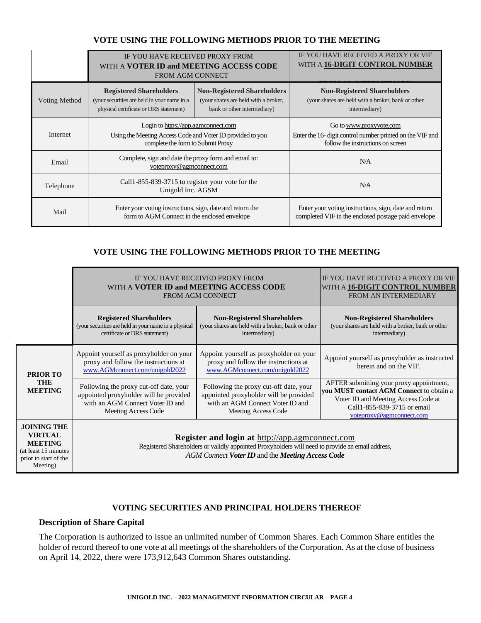#### IF YOU HAVE RECEIVED PROXY FROM WITH A **VOTER ID and MEETING ACCESS CODE** FROM AGM CONNECT IF YOU HAVE RECEIVED A PROXY OR VIF WITH A **16-DIGIT CONTROL NUMBER FROM AN INTERMEDIARY** Voting Method **Registered Shareholders** (your securities are held in your name in a physical certificate or DRS statement) **Non-Registered Shareholders** (your shares are held with a broker, bank or other intermediary) **Non-Registered Shareholders** (your shares are held with a broker, bank or other intermediary) Internet Login t[o https://app.agmconnect.com](https://app.agmconnect.com/) Using the Meeting Access Code and Voter ID provided to you complete the form to Submit Proxy Go t[o www.proxyvote.com](http://www.proxyvote.com/) Enter the 16- digit control number printed on the VIF and follow the instructions on screen Email Complete, sign and date the proxy form and email to: [voteproxy@agmconnect.com](mailto:support@agmconnect.com) N/A Telephone Call1-855-839-3715 to register your vote for the<br>  $\frac{U_{\text{min}}}{U_{\text{min}}}$ Unigold Inc. AGSM N/A Mail Enter your voting instructions, sign, date and return the form to AGM Connect in the enclosed envelope Enter your voting instructions, sign, date and return completed VIF in the enclosed postage paid envelope

## **VOTE USING THE FOLLOWING METHODS PRIOR TO THE MEETING**

# **VOTE USING THE FOLLOWING METHODS PRIOR TO THE MEETING**

|                                                                                                                      | IF YOU HAVE RECEIVED PROXY FROM<br>WITH A VOTER ID and MEETING ACCESS CODE<br><b>FROM AGM CONNECT</b>                                       | IF YOU HAVE RECEIVED A PROXY OR VIF<br>WITH A <b>16-DIGIT CONTROL NUMBER</b><br>FROM AN INTERMEDIARY                                                                                                           |                                                                                                                                                                                               |
|----------------------------------------------------------------------------------------------------------------------|---------------------------------------------------------------------------------------------------------------------------------------------|----------------------------------------------------------------------------------------------------------------------------------------------------------------------------------------------------------------|-----------------------------------------------------------------------------------------------------------------------------------------------------------------------------------------------|
|                                                                                                                      | <b>Registered Shareholders</b><br>(your securities are held in your name in a physical<br>certificate or DRS statement)                     | <b>Non-Registered Shareholders</b><br>(your shares are held with a broker, bank or other<br>intermediary)                                                                                                      | <b>Non-Registered Shareholders</b><br>(your shares are held with a broker, bank or other<br>intermediary)                                                                                     |
| <b>PRIOR TO</b>                                                                                                      | Appoint yourself as proxyholder on your<br>proxy and follow the instructions at<br>www.AGMconnect.com/unigold2022                           | Appoint yourself as proxyholder on your<br>proxy and follow the instructions at<br>www.AGMconnect.com/unigold2022                                                                                              | Appoint yourself as proxyholder as instructed<br>herein and on the VIF.                                                                                                                       |
| THE<br><b>MEETING</b>                                                                                                | Following the proxy cut-off date, your<br>appointed proxyholder will be provided<br>with an AGM Connect Voter ID and<br>Meeting Access Code | Following the proxy cut-off date, your<br>appointed proxyholder will be provided<br>with an AGM Connect Voter ID and<br>Meeting Access Code                                                                    | AFTER submitting your proxy appointment,<br><b>vou MUST contact AGM Connect to obtain a</b><br>Voter ID and Meeting Access Code at<br>Call1-855-839-3715 or email<br>voteproxy@agmconnect.com |
| <b>JOINING THE</b><br><b>VIRTUAL</b><br><b>MEETING</b><br>(at least 15 minutes)<br>prior to start of the<br>Meeting) |                                                                                                                                             | <b>Register and login at http://app.agmconnect.com</b><br>Registered Shareholders or validly appointed Proxyholders will need to provide an email address,<br>AGM Connect Voter ID and the Meeting Access Code |                                                                                                                                                                                               |

# **VOTING SECURITIES AND PRINCIPAL HOLDERS THEREOF**

#### **Description of Share Capital**

The Corporation is authorized to issue an unlimited number of Common Shares. Each Common Share entitles the holder of record thereof to one vote at all meetings of the shareholders of the Corporation. As at the close of business on April 14, 2022, there were 173,912,643 Common Shares outstanding.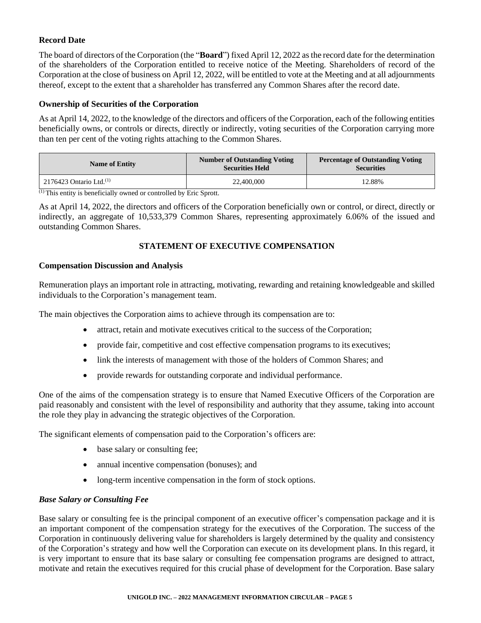# **Record Date**

The board of directors of the Corporation (the "**Board**") fixed April 12, 2022 as the record date for the determination of the shareholders of the Corporation entitled to receive notice of the Meeting. Shareholders of record of the Corporation at the close of business on April 12, 2022, will be entitled to vote at the Meeting and at all adjournments thereof, except to the extent that a shareholder has transferred any Common Shares after the record date.

# **Ownership of Securities of the Corporation**

As at April 14, 2022, to the knowledge of the directors and officers of the Corporation, each of the following entities beneficially owns, or controls or directs, directly or indirectly, voting securities of the Corporation carrying more than ten per cent of the voting rights attaching to the Common Shares.

| <b>Name of Entity</b>                 | <b>Number of Outstanding Voting</b><br><b>Securities Held</b> | <b>Percentage of Outstanding Voting</b><br><b>Securities</b> |
|---------------------------------------|---------------------------------------------------------------|--------------------------------------------------------------|
| $2176423$ Ontario Ltd. <sup>(1)</sup> | 22,400,000                                                    | 12.88%                                                       |

(1) This entity is beneficially owned or controlled by Eric Sprott.

As at April 14, 2022, the directors and officers of the Corporation beneficially own or control, or direct, directly or indirectly, an aggregate of 10,533,379 Common Shares, representing approximately 6.06% of the issued and outstanding Common Shares.

# **STATEMENT OF EXECUTIVE COMPENSATION**

## **Compensation Discussion and Analysis**

Remuneration plays an important role in attracting, motivating, rewarding and retaining knowledgeable and skilled individuals to the Corporation's management team.

The main objectives the Corporation aims to achieve through its compensation are to:

- attract, retain and motivate executives critical to the success of the Corporation;
- provide fair, competitive and cost effective compensation programs to its executives;
- link the interests of management with those of the holders of Common Shares; and
- provide rewards for outstanding corporate and individual performance.

One of the aims of the compensation strategy is to ensure that Named Executive Officers of the Corporation are paid reasonably and consistent with the level of responsibility and authority that they assume, taking into account the role they play in advancing the strategic objectives of the Corporation.

The significant elements of compensation paid to the Corporation's officers are:

- base salary or consulting fee;
- annual incentive compensation (bonuses); and
- long-term incentive compensation in the form of stock options.

## *Base Salary or Consulting Fee*

Base salary or consulting fee is the principal component of an executive officer's compensation package and it is an important component of the compensation strategy for the executives of the Corporation. The success of the Corporation in continuously delivering value for shareholders is largely determined by the quality and consistency of the Corporation's strategy and how well the Corporation can execute on its development plans. In this regard, it is very important to ensure that its base salary or consulting fee compensation programs are designed to attract, motivate and retain the executives required for this crucial phase of development for the Corporation. Base salary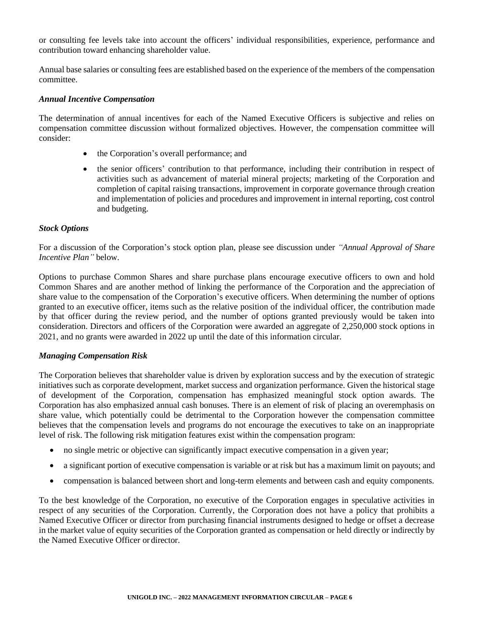or consulting fee levels take into account the officers' individual responsibilities, experience, performance and contribution toward enhancing shareholder value.

Annual base salaries or consulting fees are established based on the experience of the members of the compensation committee.

#### *Annual Incentive Compensation*

The determination of annual incentives for each of the Named Executive Officers is subjective and relies on compensation committee discussion without formalized objectives. However, the compensation committee will consider:

- the Corporation's overall performance; and
- the senior officers' contribution to that performance, including their contribution in respect of activities such as advancement of material mineral projects; marketing of the Corporation and completion of capital raising transactions, improvement in corporate governance through creation and implementation of policies and procedures and improvement in internal reporting, cost control and budgeting.

#### *Stock Options*

For a discussion of the Corporation's stock option plan, please see discussion under *"Annual Approval of Share Incentive Plan"* below.

Options to purchase Common Shares and share purchase plans encourage executive officers to own and hold Common Shares and are another method of linking the performance of the Corporation and the appreciation of share value to the compensation of the Corporation's executive officers. When determining the number of options granted to an executive officer, items such as the relative position of the individual officer, the contribution made by that officer during the review period, and the number of options granted previously would be taken into consideration. Directors and officers of the Corporation were awarded an aggregate of 2,250,000 stock options in 2021, and no grants were awarded in 2022 up until the date of this information circular.

#### *Managing Compensation Risk*

The Corporation believes that shareholder value is driven by exploration success and by the execution of strategic initiatives such as corporate development, market success and organization performance. Given the historical stage of development of the Corporation, compensation has emphasized meaningful stock option awards. The Corporation has also emphasized annual cash bonuses. There is an element of risk of placing an overemphasis on share value, which potentially could be detrimental to the Corporation however the compensation committee believes that the compensation levels and programs do not encourage the executives to take on an inappropriate level of risk. The following risk mitigation features exist within the compensation program:

- no single metric or objective can significantly impact executive compensation in a given year;
- a significant portion of executive compensation is variable or at risk but has a maximum limit on payouts; and
- compensation is balanced between short and long-term elements and between cash and equity components.

To the best knowledge of the Corporation, no executive of the Corporation engages in speculative activities in respect of any securities of the Corporation. Currently, the Corporation does not have a policy that prohibits a Named Executive Officer or director from purchasing financial instruments designed to hedge or offset a decrease in the market value of equity securities of the Corporation granted as compensation or held directly or indirectly by the Named Executive Officer or director.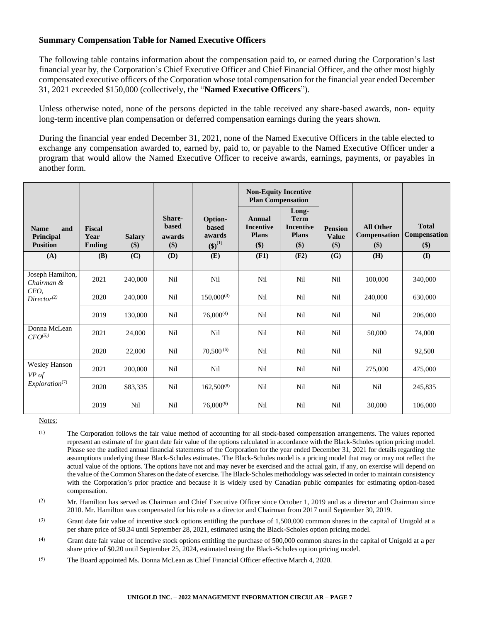#### **Summary Compensation Table for Named Executive Officers**

The following table contains information about the compensation paid to, or earned during the Corporation's last financial year by, the Corporation's Chief Executive Officer and Chief Financial Officer, and the other most highly compensated executive officers of the Corporation whose total compensation for the financial year ended December 31, 2021 exceeded \$150,000 (collectively, the "**Named Executive Officers**").

Unless otherwise noted, none of the persons depicted in the table received any share-based awards, non- equity long-term incentive plan compensation or deferred compensation earnings during the years shown.

During the financial year ended December 31, 2021, none of the Named Executive Officers in the table elected to exchange any compensation awarded to, earned by, paid to, or payable to the Named Executive Officer under a program that would allow the Named Executive Officer to receive awards, earnings, payments, or payables in another form.

|                                                    |                                        |                      |                                         |                                                  | <b>Non-Equity Incentive</b><br><b>Plan Compensation</b> |                                                                 |                                       |                                         |                                     |
|----------------------------------------------------|----------------------------------------|----------------------|-----------------------------------------|--------------------------------------------------|---------------------------------------------------------|-----------------------------------------------------------------|---------------------------------------|-----------------------------------------|-------------------------------------|
| <b>Name</b><br>and<br>Principal<br><b>Position</b> | <b>Fiscal</b><br>Year<br><b>Ending</b> | <b>Salary</b><br>\$) | Share-<br><b>based</b><br>awards<br>\$) | Option-<br><b>based</b><br>awards<br>$(S)^{(1)}$ | Annual<br><b>Incentive</b><br><b>Plans</b><br>\$)       | Long-<br><b>Term</b><br><b>Incentive</b><br><b>Plans</b><br>\$) | <b>Pension</b><br><b>Value</b><br>\$) | <b>All Other</b><br>Compensation<br>\$) | <b>Total</b><br>Compensation<br>\$) |
| (A)                                                | <b>(B)</b>                             | (C)                  | <b>(D)</b>                              | (E)                                              | (F1)                                                    | (F2)                                                            | (G)                                   | <b>(H)</b>                              | $($ $\Gamma$                        |
| Joseph Hamilton,<br>Chairman &                     | 2021                                   | 240,000              | Nil                                     | Nil                                              | Nil                                                     | Nil                                                             | Nil                                   | 100,000                                 | 340,000                             |
| CEO,<br>Director <sup>(2)</sup>                    | 2020                                   | 240,000              | Nil                                     | $150,000^{(3)}$                                  | Nil                                                     | Nil                                                             | Nil                                   | 240,000                                 | 630,000                             |
|                                                    | 2019                                   | 130,000              | Nil                                     | $76,000^{(4)}$                                   | Nil                                                     | Nil                                                             | Nil                                   | Nil                                     | 206,000                             |
| Donna McLean<br>$CFO^{(5)}$                        | 2021                                   | 24,000               | Nil                                     | Nil                                              | Nil                                                     | Nil                                                             | Nil                                   | 50,000                                  | 74,000                              |
|                                                    | 2020                                   | 22,000               | Nil                                     | $70,500^{(6)}$                                   | Nil                                                     | Nil                                                             | Nil                                   | Nil                                     | 92,500                              |
| <b>Wesley Hanson</b><br>VP of                      | 2021                                   | 200,000              | Nil                                     | Nil                                              | Nil                                                     | Nil                                                             | Nil                                   | 275,000                                 | 475,000                             |
| Exploration <sup>(7)</sup>                         | 2020                                   | \$83,335             | Nil                                     | $162,500^{(8)}$                                  | Nil                                                     | Nil                                                             | Nil                                   | Nil                                     | 245,835                             |
|                                                    | 2019                                   | Nil                  | Nil                                     | $76,000^{(9)}$                                   | Nil                                                     | Nil                                                             | Nil                                   | 30,000                                  | 106,000                             |

Notes:

 $(1)$ 

The Corporation follows the fair value method of accounting for all stock-based compensation arrangements. The values reported represent an estimate of the grant date fair value of the options calculated in accordance with the Black-Scholes option pricing model. Please see the audited annual financial statements of the Corporation for the year ended December 31, 2021 for details regarding the assumptions underlying these Black-Scholes estimates. The Black-Scholes model is a pricing model that may or may not reflect the actual value of the options. The options have not and may never be exercised and the actual gain, if any, on exercise will depend on the value of the Common Shares on the date of exercise. The Black-Scholes methodology was selected in order to maintain consistency with the Corporation's prior practice and because it is widely used by Canadian public companies for estimating option-based compensation.

 $(2)$ Mr. Hamilton has served as Chairman and Chief Executive Officer since October 1, 2019 and as a director and Chairman since 2010. Mr. Hamilton was compensated for his role as a director and Chairman from 2017 until September 30, 2019.

 $(3)$ Grant date fair value of incentive stock options entitling the purchase of 1,500,000 common shares in the capital of Unigold at a per share price of \$0.34 until September 28, 2021, estimated using the Black-Scholes option pricing model.

 $(4)$ Grant date fair value of incentive stock options entitling the purchase of 500,000 common shares in the capital of Unigold at a per share price of \$0.20 until September 25, 2024, estimated using the Black-Scholes option pricing model.

 $(5)$ The Board appointed Ms. Donna McLean as Chief Financial Officer effective March 4, 2020.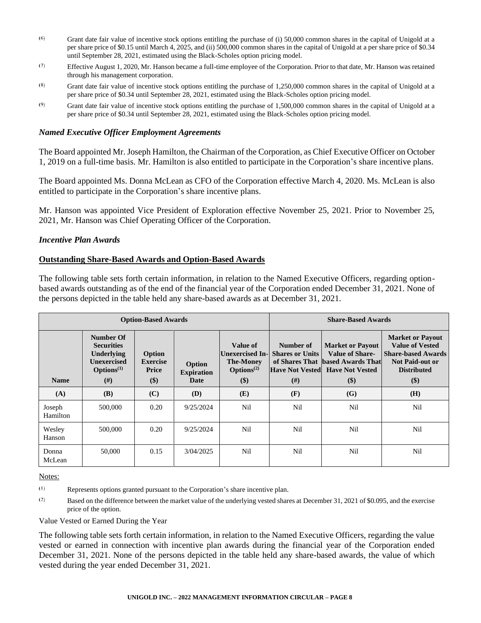- $(6)$ Grant date fair value of incentive stock options entitling the purchase of (i) 50,000 common shares in the capital of Unigold at a per share price of \$0.15 until March 4, 2025, and (ii) 500,000 common shares in the capital of Unigold at a per share price of \$0.34 until September 28, 2021, estimated using the Black-Scholes option pricing model.
- $(7)$ Effective August 1, 2020, Mr. Hanson became a full-time employee of the Corporation. Prior to that date, Mr. Hanson was retained through his management corporation.
- $(8)$ Grant date fair value of incentive stock options entitling the purchase of 1,250,000 common shares in the capital of Unigold at a per share price of \$0.34 until September 28, 2021, estimated using the Black-Scholes option pricing model.
- $(9)$ Grant date fair value of incentive stock options entitling the purchase of 1,500,000 common shares in the capital of Unigold at a per share price of \$0.34 until September 28, 2021, estimated using the Black-Scholes option pricing model.

#### *Named Executive Officer Employment Agreements*

The Board appointed Mr. Joseph Hamilton, the Chairman of the Corporation, as Chief Executive Officer on October 1, 2019 on a full-time basis. Mr. Hamilton is also entitled to participate in the Corporation's share incentive plans.

The Board appointed Ms. Donna McLean as CFO of the Corporation effective March 4, 2020. Ms. McLean is also entitled to participate in the Corporation's share incentive plans.

Mr. Hanson was appointed Vice President of Exploration effective November 25, 2021. Prior to November 25, 2021, Mr. Hanson was Chief Operating Officer of the Corporation.

#### *Incentive Plan Awards*

#### **Outstanding Share-Based Awards and Option-Based Awards**

The following table sets forth certain information, in relation to the Named Executive Officers, regarding optionbased awards outstanding as of the end of the financial year of the Corporation ended December 31, 2021. None of the persons depicted in the table held any share-based awards as at December 31, 2021.

| <b>Option-Based Awards</b> |                                                                                                                 |                                           |                                     | <b>Share-Based Awards</b>                                                                            |                                               |                                                                                                                                 |                                                                                                                                          |
|----------------------------|-----------------------------------------------------------------------------------------------------------------|-------------------------------------------|-------------------------------------|------------------------------------------------------------------------------------------------------|-----------------------------------------------|---------------------------------------------------------------------------------------------------------------------------------|------------------------------------------------------------------------------------------------------------------------------------------|
| <b>Name</b>                | Number Of<br><b>Securities</b><br><b>Underlying</b><br><b>Unexercised</b><br>$\mathbf{Options}^{(1)}$<br>$(\#)$ | Option<br><b>Exercise</b><br>Price<br>\$) | Option<br><b>Expiration</b><br>Date | Value of<br><b>Unexercised In-</b><br><b>The-Money</b><br>Options <sup><math>(2)</math></sup><br>\$) | Number of<br><b>Shares or Units</b><br>$(\#)$ | <b>Market or Payout</b><br><b>Value of Share-</b><br>of Shares That based Awards That<br>Have Not Vested Have Not Vested<br>\$) | <b>Market or Payout</b><br><b>Value of Vested</b><br><b>Share-based Awards</b><br><b>Not Paid-out or</b><br><b>Distributed</b><br>$($ \$ |
| (A)                        | <b>(B)</b>                                                                                                      | (C)                                       | <b>(D)</b>                          | (E)                                                                                                  | (F)                                           | (G)                                                                                                                             | (H)                                                                                                                                      |
| Joseph<br>Hamilton         | 500,000                                                                                                         | 0.20                                      | 9/25/2024                           | Nil                                                                                                  | Nil                                           | Nil                                                                                                                             | Nil                                                                                                                                      |
| Wesley<br>Hanson           | 500,000                                                                                                         | 0.20                                      | 9/25/2024                           | Nil                                                                                                  | Nil                                           | Nil                                                                                                                             | Nil                                                                                                                                      |
| Donna<br>McLean            | 50,000                                                                                                          | 0.15                                      | 3/04/2025                           | Nil                                                                                                  | Nil                                           | Nil                                                                                                                             | Nil                                                                                                                                      |

Notes:

 $(1)$ Represents options granted pursuant to the Corporation's share incentive plan.

 $(2)$ Based on the difference between the market value of the underlying vested shares at December 31, 2021 of \$0.095, and the exercise price of the option.

Value Vested or Earned During the Year

The following table sets forth certain information, in relation to the Named Executive Officers, regarding the value vested or earned in connection with incentive plan awards during the financial year of the Corporation ended December 31, 2021. None of the persons depicted in the table held any share-based awards, the value of which vested during the year ended December 31, 2021.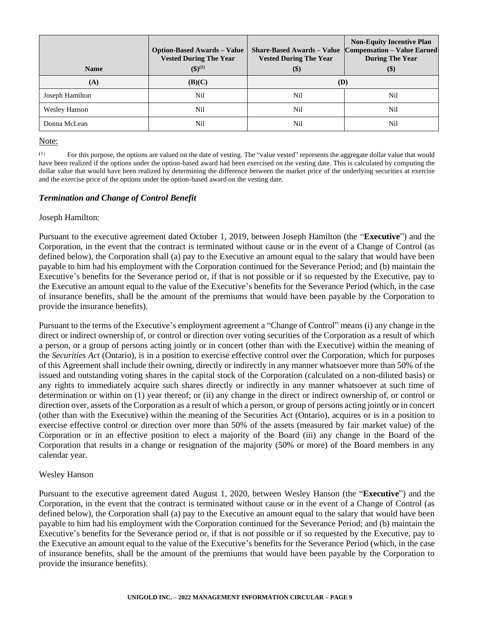| <b>Name</b>          | <b>Option-Based Awards – Value</b><br><b>Vested During The Year</b><br>$($ \$ $)($ <sup>1</sup> $)$ | <b>Non-Equity Incentive Plan</b><br><b>Compensation – Value Earned</b><br><b>Share-Based Awards – Value</b><br><b>During The Year</b><br><b>Vested During The Year</b><br>$(\$)$<br>$(\$)$ |     |
|----------------------|-----------------------------------------------------------------------------------------------------|--------------------------------------------------------------------------------------------------------------------------------------------------------------------------------------------|-----|
| (A)                  | (B)(C)                                                                                              | (D)                                                                                                                                                                                        |     |
| Joseph Hamilton      | Nil                                                                                                 | Nil                                                                                                                                                                                        | Nil |
| <b>Wesley Hanson</b> | Nil                                                                                                 | Nil                                                                                                                                                                                        | Nil |
| Donna McLean         | Nil                                                                                                 | Nil                                                                                                                                                                                        | Nil |

#### Note:

 $(1)$ For this purpose, the options are valued on the date of vesting. The "value vested" represents the aggregate dollar value that would have been realized if the options under the option-based award had been exercised on the vesting date. This is calculated by computing the dollar value that would have been realized by determining the difference between the market price of the underlying securities at exercise and the exercise price of the options under the option-based award on the vesting date.

## *Termination and Change of Control Benefit*

## Joseph Hamilton:

Pursuant to the executive agreement dated October 1, 2019, between Joseph Hamilton (the "**Executive**") and the Corporation, in the event that the contract is terminated without cause or in the event of a Change of Control (as defined below), the Corporation shall (a) pay to the Executive an amount equal to the salary that would have been payable to him had his employment with the Corporation continued for the Severance Period; and (b) maintain the Executive's benefits for the Severance period or, if that is not possible or if so requested by the Executive, pay to the Executive an amount equal to the value of the Executive's benefits for the Severance Period (which, in the case of insurance benefits, shall be the amount of the premiums that would have been payable by the Corporation to provide the insurance benefits).

Pursuant to the terms of the Executive's employment agreement a "Change of Control" means (i) any change in the direct or indirect ownership of, or control or direction over voting securities of the Corporation as a result of which a person, or a group of persons acting jointly or in concert (other than with the Executive) within the meaning of the *Securities Act* (Ontario), is in a position to exercise effective control over the Corporation, which for purposes of this Agreement shall include their owning, directly or indirectly in any manner whatsoever more than 50% of the issued and outstanding voting shares in the capital stock of the Corporation (calculated on a non-diluted basis) or any rights to immediately acquire such shares directly or indirectly in any manner whatsoever at such time of determination or within on (1) year thereof; or (ii) any change in the direct or indirect ownership of, or control or direction over, assets of the Corporation as a result of which a person, or group of persons acting jointly or in concert (other than with the Executive) within the meaning of the Securities Act (Ontario), acquires or is in a position to exercise effective control or direction over more than 50% of the assets (measured by fair market value) of the Corporation or in an effective position to elect a majority of the Board (iii) any change in the Board of the Corporation that results in a change or resignation of the majority (50% or more) of the Board members in any calendar year.

## Wesley Hanson

Pursuant to the executive agreement dated August 1, 2020, between Wesley Hanson (the "**Executive**") and the Corporation, in the event that the contract is terminated without cause or in the event of a Change of Control (as defined below), the Corporation shall (a) pay to the Executive an amount equal to the salary that would have been payable to him had his employment with the Corporation continued for the Severance Period; and (b) maintain the Executive's benefits for the Severance period or, if that is not possible or if so requested by the Executive, pay to the Executive an amount equal to the value of the Executive's benefits for the Severance Period (which, in the case of insurance benefits, shall be the amount of the premiums that would have been payable by the Corporation to provide the insurance benefits).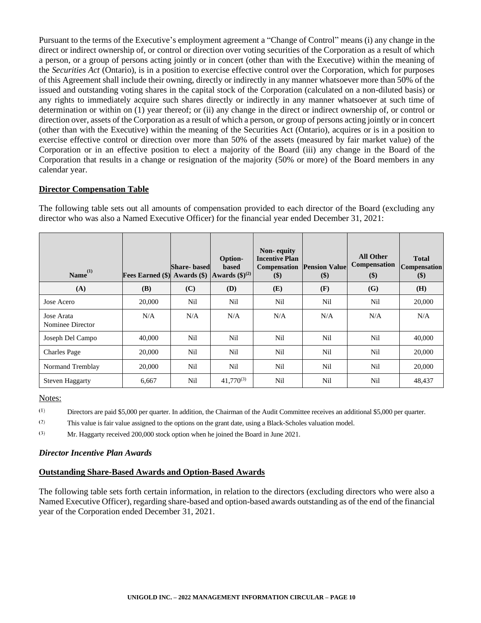Pursuant to the terms of the Executive's employment agreement a "Change of Control" means (i) any change in the direct or indirect ownership of, or control or direction over voting securities of the Corporation as a result of which a person, or a group of persons acting jointly or in concert (other than with the Executive) within the meaning of the *Securities Act* (Ontario), is in a position to exercise effective control over the Corporation, which for purposes of this Agreement shall include their owning, directly or indirectly in any manner whatsoever more than 50% of the issued and outstanding voting shares in the capital stock of the Corporation (calculated on a non-diluted basis) or any rights to immediately acquire such shares directly or indirectly in any manner whatsoever at such time of determination or within on (1) year thereof; or (ii) any change in the direct or indirect ownership of, or control or direction over, assets of the Corporation as a result of which a person, or group of persons acting jointly or in concert (other than with the Executive) within the meaning of the Securities Act (Ontario), acquires or is in a position to exercise effective control or direction over more than 50% of the assets (measured by fair market value) of the Corporation or in an effective position to elect a majority of the Board (iii) any change in the Board of the Corporation that results in a change or resignation of the majority (50% or more) of the Board members in any calendar year.

## **Director Compensation Table**

The following table sets out all amounts of compensation provided to each director of the Board (excluding any director who was also a Named Executive Officer) for the financial year ended December 31, 2021:

| Name <sup>(1)</sup>            | Fees Earned (\$) Awards (\$) Awards (\$) <sup>(2)</sup> | <b>Share-based</b> | Option-<br><b>based</b> | Non-equity<br><b>Incentive Plan</b><br>Compensation<br>\$) | <b>Pension Value</b><br>$($ \$ | <b>All Other</b><br>Compensation<br>\$) | <b>Total</b><br>Compensation<br>\$) |
|--------------------------------|---------------------------------------------------------|--------------------|-------------------------|------------------------------------------------------------|--------------------------------|-----------------------------------------|-------------------------------------|
| (A)                            | <b>(B)</b>                                              | (C)                | <b>(D)</b>              | (E)                                                        | (F)                            | (G)                                     | (H)                                 |
| Jose Acero                     | 20,000                                                  | Nil                | Nil                     | Nil                                                        | Nil                            | Nil                                     | 20,000                              |
| Jose Arata<br>Nominee Director | N/A                                                     | N/A                | N/A                     | N/A                                                        | N/A                            | N/A                                     | N/A                                 |
| Joseph Del Campo               | 40,000                                                  | Nil                | Nil                     | Nil                                                        | Nil                            | Nil                                     | 40,000                              |
| <b>Charles Page</b>            | 20,000                                                  | Nil                | Nil                     | Nil                                                        | Nil                            | Nil                                     | 20,000                              |
| Normand Tremblay               | 20,000                                                  | Nil                | Nil                     | Nil                                                        | Nil                            | Nil                                     | 20,000                              |
| <b>Steven Haggarty</b>         | 6,667                                                   | Nil                | $41.770^{(3)}$          | Nil                                                        | Nil                            | Nil                                     | 48,437                              |

Notes:

 $(1)$ Directors are paid \$5,000 per quarter. In addition, the Chairman of the Audit Committee receives an additional \$5,000 per quarter.

 $(2)$ This value is fair value assigned to the options on the grant date, using a Black-Scholes valuation model.

 $(3)$ Mr. Haggarty received 200,000 stock option when he joined the Board in June 2021.

## *Director Incentive Plan Awards*

## **Outstanding Share-Based Awards and Option-Based Awards**

The following table sets forth certain information, in relation to the directors (excluding directors who were also a Named Executive Officer), regarding share-based and option-based awards outstanding as of the end of the financial year of the Corporation ended December 31, 2021.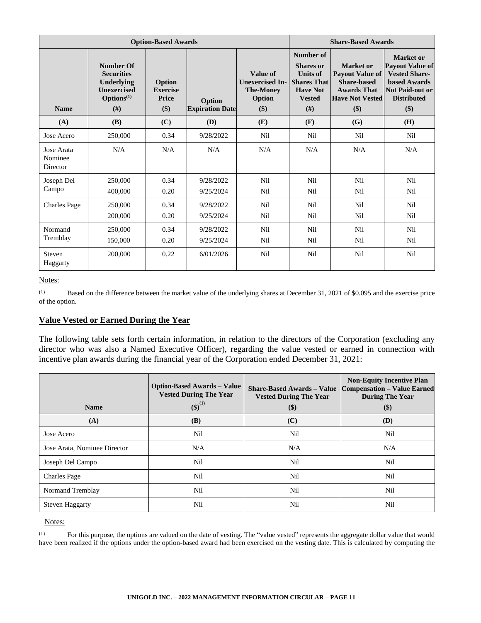| <b>Option-Based Awards</b>        |                                                                                                   |                                           |                                  |                                                                         | <b>Share-Based Awards</b>                                                                                            |                                                                                                                  |                                                                                                                                             |
|-----------------------------------|---------------------------------------------------------------------------------------------------|-------------------------------------------|----------------------------------|-------------------------------------------------------------------------|----------------------------------------------------------------------------------------------------------------------|------------------------------------------------------------------------------------------------------------------|---------------------------------------------------------------------------------------------------------------------------------------------|
| <b>Name</b>                       | <b>Number Of</b><br><b>Securities</b><br>Underlying<br><b>Unexercised</b><br>$Options(1)$<br>(# ) | Option<br><b>Exercise</b><br>Price<br>\$) | Option<br><b>Expiration Date</b> | Value of<br><b>Unexercised In-</b><br><b>The-Money</b><br>Option<br>\$) | Number of<br><b>Shares</b> or<br><b>Units of</b><br><b>Shares That</b><br><b>Have Not</b><br><b>Vested</b><br>$(\#)$ | Market or<br><b>Payout Value of</b><br><b>Share-based</b><br><b>Awards That</b><br><b>Have Not Vested</b><br>\$) | Market or<br><b>Payout Value of</b><br><b>Vested Share-</b><br><b>based Awards</b><br><b>Not Paid-out or</b><br><b>Distributed</b><br>$($)$ |
| (A)                               | <b>(B)</b>                                                                                        | (C)                                       | (D)                              | (E)                                                                     | (F)                                                                                                                  | (G)                                                                                                              | <b>(H)</b>                                                                                                                                  |
| Jose Acero                        | 250,000                                                                                           | 0.34                                      | 9/28/2022                        | Nil                                                                     | <b>Nil</b>                                                                                                           | Nil                                                                                                              | Nil                                                                                                                                         |
| Jose Arata<br>Nominee<br>Director | N/A                                                                                               | N/A                                       | N/A                              | N/A                                                                     | N/A                                                                                                                  | N/A                                                                                                              | N/A                                                                                                                                         |
| Joseph Del                        | 250,000                                                                                           | 0.34                                      | 9/28/2022                        | Nil                                                                     | Nil                                                                                                                  | Nil                                                                                                              | Nil                                                                                                                                         |
| Campo                             | 400,000                                                                                           | 0.20                                      | 9/25/2024                        | Nil                                                                     | Nil                                                                                                                  | Nil                                                                                                              | Nil                                                                                                                                         |
| <b>Charles Page</b>               | 250,000                                                                                           | 0.34                                      | 9/28/2022                        | N <sub>i</sub>                                                          | <b>Nil</b>                                                                                                           | Nil                                                                                                              | Nil                                                                                                                                         |
|                                   | 200,000                                                                                           | 0.20                                      | 9/25/2024                        | Nil                                                                     | Nil                                                                                                                  | Nil                                                                                                              | Nil                                                                                                                                         |
| Normand                           | 250,000                                                                                           | 0.34                                      | 9/28/2022                        | Nil                                                                     | Nil                                                                                                                  | Nil                                                                                                              | Nil                                                                                                                                         |
| Tremblay                          | 150,000                                                                                           | 0.20                                      | 9/25/2024                        | Nil                                                                     | Nil                                                                                                                  | Nil                                                                                                              | Nil                                                                                                                                         |
| Steven<br>Haggarty                | 200,000                                                                                           | 0.22                                      | 6/01/2026                        | Nil                                                                     | Nil                                                                                                                  | Nil                                                                                                              | Nil                                                                                                                                         |

#### Notes:

 $(1)$ Based on the difference between the market value of the underlying shares at December 31, 2021 of \$0.095 and the exercise price of the option.

# **Value Vested or Earned During the Year**

The following table sets forth certain information, in relation to the directors of the Corporation (excluding any director who was also a Named Executive Officer), regarding the value vested or earned in connection with incentive plan awards during the financial year of the Corporation ended December 31, 2021:

|                              | <b>Option-Based Awards – Value</b><br><b>Vested During The Year</b> | <b>Share-Based Awards – Value</b><br><b>Vested During The Year</b> | <b>Non-Equity Incentive Plan</b><br><b>Compensation - Value Earned</b><br><b>During The Year</b> |
|------------------------------|---------------------------------------------------------------------|--------------------------------------------------------------------|--------------------------------------------------------------------------------------------------|
| <b>Name</b>                  | $(\$)^{(1)}$                                                        | \$)                                                                | $(\$)$                                                                                           |
| (A)                          | <b>(B)</b>                                                          | (C)                                                                | <b>(D)</b>                                                                                       |
| Jose Acero                   | Nil                                                                 | Nil                                                                | Nil                                                                                              |
| Jose Arata, Nominee Director | N/A                                                                 | N/A                                                                | N/A                                                                                              |
| Joseph Del Campo             | Nil                                                                 | Nil                                                                | Nil                                                                                              |
| <b>Charles Page</b>          | Nil                                                                 | Nil                                                                | Nil                                                                                              |
| Normand Tremblay             | Nil                                                                 | Nil                                                                | Nil                                                                                              |
| <b>Steven Haggarty</b>       | Nil                                                                 | Nil                                                                | Nil                                                                                              |

Notes:

 $(1)$ For this purpose, the options are valued on the date of vesting. The "value vested" represents the aggregate dollar value that would have been realized if the options under the option-based award had been exercised on the vesting date. This is calculated by computing the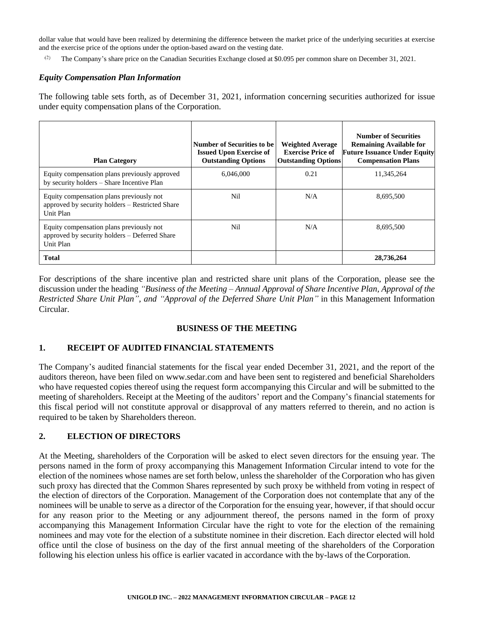dollar value that would have been realized by determining the difference between the market price of the underlying securities at exercise and the exercise price of the options under the option-based award on the vesting date.

The Company's share price on the Canadian Securities Exchange closed at \$0.095 per common share on December 31, 2021.

#### *Equity Compensation Plan Information*

The following table sets forth, as of December 31, 2021, information concerning securities authorized for issue under equity compensation plans of the Corporation.

| <b>Plan Category</b>                                                                                     | Number of Securities to be<br><b>Issued Upon Exercise of</b><br><b>Outstanding Options</b> | <b>Weighted Average</b><br><b>Exercise Price of</b><br><b>Outstanding Options</b> | <b>Number of Securities</b><br><b>Remaining Available for</b><br><b>Future Issuance Under Equity</b><br><b>Compensation Plans</b> |
|----------------------------------------------------------------------------------------------------------|--------------------------------------------------------------------------------------------|-----------------------------------------------------------------------------------|-----------------------------------------------------------------------------------------------------------------------------------|
| Equity compensation plans previously approved<br>by security holders - Share Incentive Plan              | 6.046.000                                                                                  | 0.21                                                                              | 11,345,264                                                                                                                        |
| Equity compensation plans previously not<br>approved by security holders – Restricted Share<br>Unit Plan | Nil                                                                                        | N/A                                                                               | 8,695,500                                                                                                                         |
| Equity compensation plans previously not<br>approved by security holders – Deferred Share<br>Unit Plan   | Nil                                                                                        | N/A                                                                               | 8,695,500                                                                                                                         |
| <b>Total</b>                                                                                             |                                                                                            |                                                                                   | 28,736,264                                                                                                                        |

For descriptions of the share incentive plan and restricted share unit plans of the Corporation, please see the discussion under the heading *"Business of the Meeting – Annual Approval of Share Incentive Plan, Approval of the Restricted Share Unit Plan", and "Approval of the Deferred Share Unit Plan"* in this Management Information Circular.

# **BUSINESS OF THE MEETING**

# **1. RECEIPT OF AUDITED FINANCIAL STATEMENTS**

The Company's audited financial statements for the fiscal year ended December 31, 2021, and the report of the auditors thereon, have been filed on [www.sedar.com](http://www.sedar.com/) and have been sent to registered and beneficial Shareholders who have requested copies thereof using the request form accompanying this Circular and will be submitted to the meeting of shareholders. Receipt at the Meeting of the auditors' report and the Company's financial statements for this fiscal period will not constitute approval or disapproval of any matters referred to therein, and no action is required to be taken by Shareholders thereon.

## **2. ELECTION OF DIRECTORS**

At the Meeting, shareholders of the Corporation will be asked to elect seven directors for the ensuing year. The persons named in the form of proxy accompanying this Management Information Circular intend to vote for the election of the nominees whose names are set forth below, unless the shareholder of the Corporation who has given such proxy has directed that the Common Shares represented by such proxy be withheld from voting in respect of the election of directors of the Corporation. Management of the Corporation does not contemplate that any of the nominees will be unable to serve as a director of the Corporation for the ensuing year, however, if that should occur for any reason prior to the Meeting or any adjournment thereof, the persons named in the form of proxy accompanying this Management Information Circular have the right to vote for the election of the remaining nominees and may vote for the election of a substitute nominee in their discretion. Each director elected will hold office until the close of business on the day of the first annual meeting of the shareholders of the Corporation following his election unless his office is earlier vacated in accordance with the by-laws of theCorporation.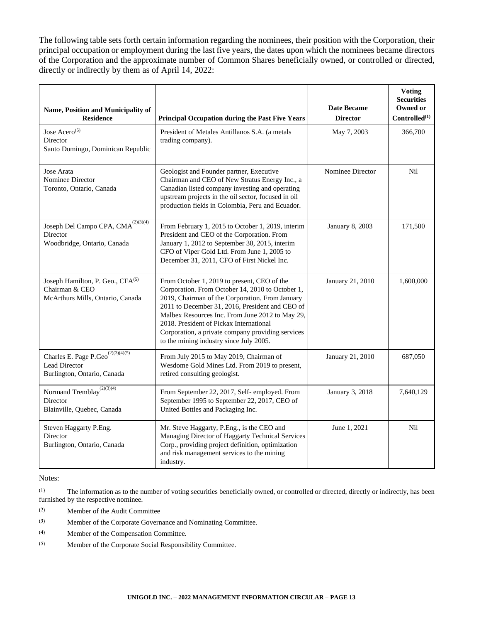The following table sets forth certain information regarding the nominees, their position with the Corporation, their principal occupation or employment during the last five years, the dates upon which the nominees became directors of the Corporation and the approximate number of Common Shares beneficially owned, or controlled or directed, directly or indirectly by them as of April 14, 2022:

| Name, Position and Municipality of<br><b>Residence</b>                                              | <b>Principal Occupation during the Past Five Years</b>                                                                                                                                                                                                                                                                                                                                              | <b>Date Became</b><br><b>Director</b> | <b>Voting</b><br><b>Securities</b><br>Owned or<br>Controlled <sup>(1)</sup> |
|-----------------------------------------------------------------------------------------------------|-----------------------------------------------------------------------------------------------------------------------------------------------------------------------------------------------------------------------------------------------------------------------------------------------------------------------------------------------------------------------------------------------------|---------------------------------------|-----------------------------------------------------------------------------|
| Jose Acero <sup><math>(5)</math></sup><br>Director<br>Santo Domingo, Dominican Republic             | President of Metales Antillanos S.A. (a metals<br>trading company).                                                                                                                                                                                                                                                                                                                                 | May 7, 2003                           | 366,700                                                                     |
| Jose Arata<br>Nominee Director<br>Toronto, Ontario, Canada                                          | Geologist and Founder partner, Executive<br>Chairman and CEO of New Stratus Energy Inc., a<br>Canadian listed company investing and operating<br>upstream projects in the oil sector, focused in oil<br>production fields in Colombia, Peru and Ecuador.                                                                                                                                            | Nominee Director                      | Nil                                                                         |
| Joseph Del Campo CPA, $CMA^{(2)(3)(4)}$<br>Director<br>Woodbridge, Ontario, Canada                  | From February 1, 2015 to October 1, 2019, interim<br>President and CEO of the Corporation. From<br>January 1, 2012 to September 30, 2015, interim<br>CFO of Viper Gold Ltd. From June 1, 2005 to<br>December 31, 2011, CFO of First Nickel Inc.                                                                                                                                                     | January 8, 2003                       | 171,500                                                                     |
| Joseph Hamilton, P. Geo., CFA <sup>(5)</sup><br>Chairman & CEO<br>McArthurs Mills, Ontario, Canada  | From October 1, 2019 to present, CEO of the<br>Corporation. From October 14, 2010 to October 1,<br>2019, Chairman of the Corporation. From January<br>2011 to December 31, 2016, President and CEO of<br>Malbex Resources Inc. From June 2012 to May 29,<br>2018. President of Pickax International<br>Corporation, a private company providing services<br>to the mining industry since July 2005. | January 21, 2010                      | 1,600,000                                                                   |
| Charles E. Page P. Geo $\overline{^{(2)(3)(4)(5)}}$<br>Lead Director<br>Burlington, Ontario, Canada | From July 2015 to May 2019, Chairman of<br>Wesdome Gold Mines Ltd. From 2019 to present,<br>retired consulting geologist.                                                                                                                                                                                                                                                                           | January 21, 2010                      | 687,050                                                                     |
| Normand Tremblay <sup>(2)(3)(4)</sup><br>Director<br>Blainville, Quebec, Canada                     | From September 22, 2017, Self- employed. From<br>September 1995 to September 22, 2017, CEO of<br>United Bottles and Packaging Inc.                                                                                                                                                                                                                                                                  | January 3, 2018                       | 7,640,129                                                                   |
| Steven Haggarty P.Eng.<br>Director<br>Burlington, Ontario, Canada                                   | Mr. Steve Haggarty, P.Eng., is the CEO and<br>Managing Director of Haggarty Technical Services<br>Corp., providing project definition, optimization<br>and risk management services to the mining<br>industry.                                                                                                                                                                                      | June 1, 2021                          | Nil                                                                         |

Notes:

 $\left( 1\right)$ The information as to the number of voting securities beneficially owned, or controlled or directed, directly or indirectly, has been furnished by the respective nominee.

 $\left( 2\right)$ Member of the Audit Committee

- $(3)$ Member of the Corporate Governance and Nominating Committee.
- $(4)$ Member of the Compensation Committee.
- $(5)$ Member of the Corporate Social Responsibility Committee.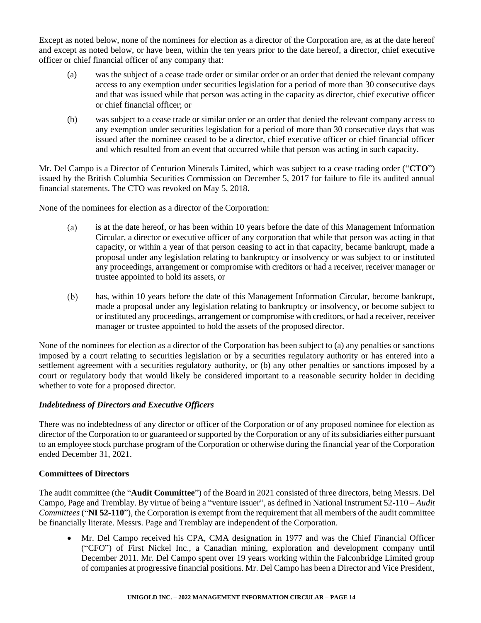Except as noted below, none of the nominees for election as a director of the Corporation are, as at the date hereof and except as noted below, or have been, within the ten years prior to the date hereof, a director, chief executive officer or chief financial officer of any company that:

- (a) was the subject of a cease trade order or similar order or an order that denied the relevant company access to any exemption under securities legislation for a period of more than 30 consecutive days and that was issued while that person was acting in the capacity as director, chief executive officer or chief financial officer; or
- (b) was subject to a cease trade or similar order or an order that denied the relevant company access to any exemption under securities legislation for a period of more than 30 consecutive days that was issued after the nominee ceased to be a director, chief executive officer or chief financial officer and which resulted from an event that occurred while that person was acting in such capacity.

Mr. Del Campo is a Director of Centurion Minerals Limited, which was subject to a cease trading order ("**CTO**") issued by the British Columbia Securities Commission on December 5, 2017 for failure to file its audited annual financial statements. The CTO was revoked on May 5, 2018.

None of the nominees for election as a director of the Corporation:

- $(a)$ is at the date hereof, or has been within 10 years before the date of this Management Information Circular, a director or executive officer of any corporation that while that person was acting in that capacity, or within a year of that person ceasing to act in that capacity, became bankrupt, made a proposal under any legislation relating to bankruptcy or insolvency or was subject to or instituted any proceedings, arrangement or compromise with creditors or had a receiver, receiver manager or trustee appointed to hold its assets, or
- $(b)$ has, within 10 years before the date of this Management Information Circular, become bankrupt, made a proposal under any legislation relating to bankruptcy or insolvency, or become subject to or instituted any proceedings, arrangement or compromise with creditors, or had a receiver, receiver manager or trustee appointed to hold the assets of the proposed director.

None of the nominees for election as a director of the Corporation has been subject to (a) any penalties or sanctions imposed by a court relating to securities legislation or by a securities regulatory authority or has entered into a settlement agreement with a securities regulatory authority, or (b) any other penalties or sanctions imposed by a court or regulatory body that would likely be considered important to a reasonable security holder in deciding whether to vote for a proposed director.

# *Indebtedness of Directors and Executive Officers*

There was no indebtedness of any director or officer of the Corporation or of any proposed nominee for election as director of the Corporation to or guaranteed or supported by the Corporation or any of its subsidiaries either pursuant to an employee stock purchase program of the Corporation or otherwise during the financial year of the Corporation ended December 31, 2021.

## **Committees of Directors**

The audit committee (the "**Audit Committee**") of the Board in 2021 consisted of three directors, being Messrs. Del Campo, Page and Tremblay. By virtue of being a "venture issuer", as defined in National Instrument 52-110 – *Audit Committees* ("**NI 52-110**"), the Corporation is exempt from the requirement that all members of the audit committee be financially literate. Messrs. Page and Tremblay are independent of the Corporation.

• Mr. Del Campo received his CPA, CMA designation in 1977 and was the Chief Financial Officer ("CFO") of First Nickel Inc., a Canadian mining, exploration and development company until December 2011. Mr. Del Campo spent over 19 years working within the Falconbridge Limited group of companies at progressive financial positions. Mr. Del Campo has been a Director and Vice President,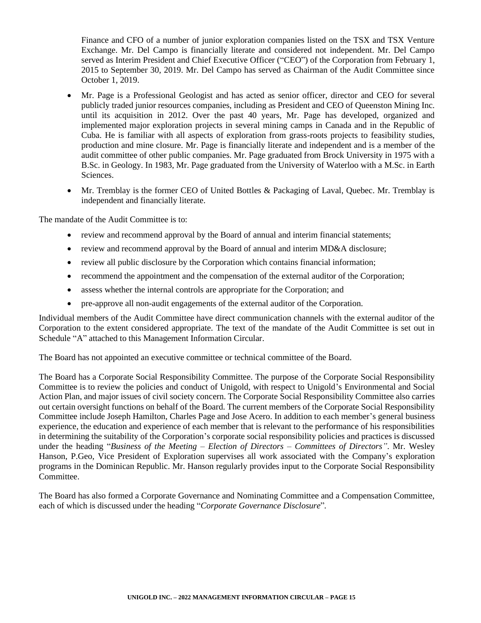Finance and CFO of a number of junior exploration companies listed on the TSX and TSX Venture Exchange. Mr. Del Campo is financially literate and considered not independent. Mr. Del Campo served as Interim President and Chief Executive Officer ("CEO") of the Corporation from February 1, 2015 to September 30, 2019. Mr. Del Campo has served as Chairman of the Audit Committee since October 1, 2019.

- Mr. Page is a Professional Geologist and has acted as senior officer, director and CEO for several publicly traded junior resources companies, including as President and CEO of Queenston Mining Inc. until its acquisition in 2012. Over the past 40 years, Mr. Page has developed, organized and implemented major exploration projects in several mining camps in Canada and in the Republic of Cuba. He is familiar with all aspects of exploration from grass-roots projects to feasibility studies, production and mine closure. Mr. Page is financially literate and independent and is a member of the audit committee of other public companies. Mr. Page graduated from Brock University in 1975 with a B.Sc. in Geology. In 1983, Mr. Page graduated from the University of Waterloo with a M.Sc. in Earth **Sciences**
- Mr. Tremblay is the former CEO of United Bottles & Packaging of Laval, Quebec. Mr. Tremblay is independent and financially literate.

The mandate of the Audit Committee is to:

- review and recommend approval by the Board of annual and interim financial statements;
- review and recommend approval by the Board of annual and interim MD&A disclosure;
- review all public disclosure by the Corporation which contains financial information;
- recommend the appointment and the compensation of the external auditor of the Corporation;
- assess whether the internal controls are appropriate for the Corporation; and
- pre-approve all non-audit engagements of the external auditor of the Corporation.

Individual members of the Audit Committee have direct communication channels with the external auditor of the Corporation to the extent considered appropriate. The text of the mandate of the Audit Committee is set out in Schedule "A" attached to this Management Information Circular.

The Board has not appointed an executive committee or technical committee of the Board.

The Board has a Corporate Social Responsibility Committee. The purpose of the Corporate Social Responsibility Committee is to review the policies and conduct of Unigold, with respect to Unigold's Environmental and Social Action Plan, and major issues of civil society concern. The Corporate Social Responsibility Committee also carries out certain oversight functions on behalf of the Board. The current members of the Corporate Social Responsibility Committee include Joseph Hamilton, Charles Page and Jose Acero. In addition to each member's general business experience, the education and experience of each member that is relevant to the performance of his responsibilities in determining the suitability of the Corporation's corporate social responsibility policies and practices is discussed under the heading "*Business of the Meeting – Election of Directors – Committees of Directors"*. Mr. Wesley Hanson, P.Geo, Vice President of Exploration supervises all work associated with the Company's exploration programs in the Dominican Republic. Mr. Hanson regularly provides input to the Corporate Social Responsibility Committee.

The Board has also formed a Corporate Governance and Nominating Committee and a Compensation Committee, each of which is discussed under the heading "*Corporate Governance Disclosure*"*.*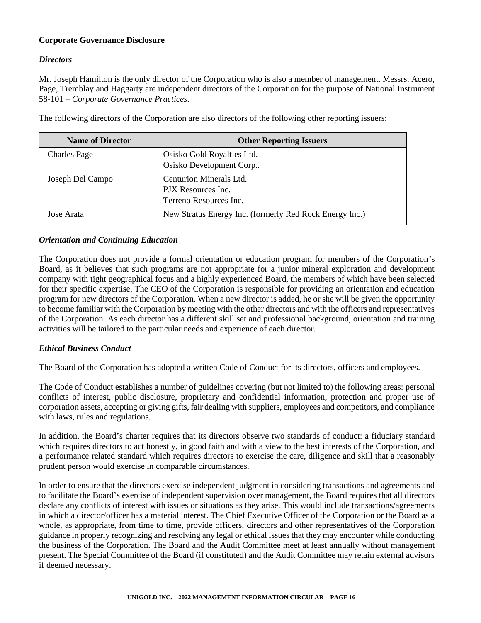# **Corporate Governance Disclosure**

## *Directors*

Mr. Joseph Hamilton is the only director of the Corporation who is also a member of management. Messrs. Acero, Page, Tremblay and Haggarty are independent directors of the Corporation for the purpose of National Instrument 58-101 – *Corporate Governance Practices*.

| <b>Name of Director</b> | <b>Other Reporting Issuers</b>                          |
|-------------------------|---------------------------------------------------------|
| <b>Charles Page</b>     | Osisko Gold Royalties Ltd.                              |
|                         | Osisko Development Corp                                 |
| Joseph Del Campo        | Centurion Minerals Ltd.                                 |
|                         | PJX Resources Inc.                                      |
|                         | Terreno Resources Inc.                                  |
| Jose Arata              | New Stratus Energy Inc. (formerly Red Rock Energy Inc.) |

The following directors of the Corporation are also directors of the following other reporting issuers:

#### *Orientation and Continuing Education*

The Corporation does not provide a formal orientation or education program for members of the Corporation's Board, as it believes that such programs are not appropriate for a junior mineral exploration and development company with tight geographical focus and a highly experienced Board, the members of which have been selected for their specific expertise. The CEO of the Corporation is responsible for providing an orientation and education program for new directors of the Corporation. When a new director is added, he or she will be given the opportunity to become familiar with the Corporation by meeting with the other directors and with the officers and representatives of the Corporation. As each director has a different skill set and professional background, orientation and training activities will be tailored to the particular needs and experience of each director.

## *Ethical Business Conduct*

The Board of the Corporation has adopted a written Code of Conduct for its directors, officers and employees.

The Code of Conduct establishes a number of guidelines covering (but not limited to) the following areas: personal conflicts of interest, public disclosure, proprietary and confidential information, protection and proper use of corporation assets, accepting or giving gifts, fair dealing with suppliers, employees and competitors, and compliance with laws, rules and regulations.

In addition, the Board's charter requires that its directors observe two standards of conduct: a fiduciary standard which requires directors to act honestly, in good faith and with a view to the best interests of the Corporation, and a performance related standard which requires directors to exercise the care, diligence and skill that a reasonably prudent person would exercise in comparable circumstances.

In order to ensure that the directors exercise independent judgment in considering transactions and agreements and to facilitate the Board's exercise of independent supervision over management, the Board requires that all directors declare any conflicts of interest with issues or situations as they arise. This would include transactions/agreements in which a director/officer has a material interest. The Chief Executive Officer of the Corporation or the Board as a whole, as appropriate, from time to time, provide officers, directors and other representatives of the Corporation guidance in properly recognizing and resolving any legal or ethical issues that they may encounter while conducting the business of the Corporation. The Board and the Audit Committee meet at least annually without management present. The Special Committee of the Board (if constituted) and the Audit Committee may retain external advisors if deemed necessary.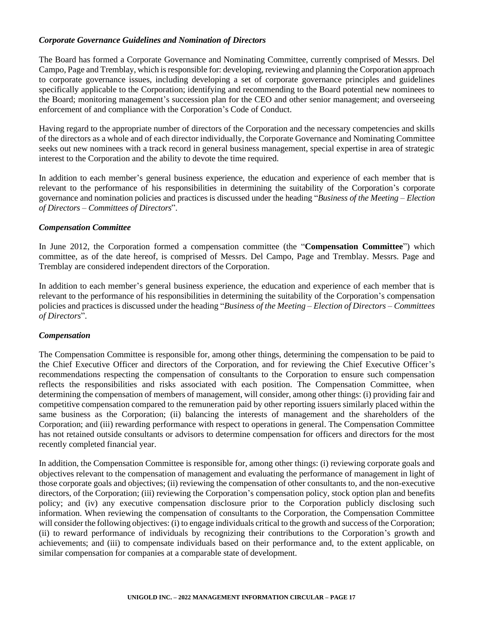## *Corporate Governance Guidelines and Nomination of Directors*

The Board has formed a Corporate Governance and Nominating Committee, currently comprised of Messrs. Del Campo, Page and Tremblay, which is responsible for: developing, reviewing and planning the Corporation approach to corporate governance issues, including developing a set of corporate governance principles and guidelines specifically applicable to the Corporation; identifying and recommending to the Board potential new nominees to the Board; monitoring management's succession plan for the CEO and other senior management; and overseeing enforcement of and compliance with the Corporation's Code of Conduct.

Having regard to the appropriate number of directors of the Corporation and the necessary competencies and skills of the directors as a whole and of each director individually, the Corporate Governance and Nominating Committee seeks out new nominees with a track record in general business management, special expertise in area of strategic interest to the Corporation and the ability to devote the time required.

In addition to each member's general business experience, the education and experience of each member that is relevant to the performance of his responsibilities in determining the suitability of the Corporation's corporate governance and nomination policies and practices is discussed under the heading "*Business of the Meeting – Election of Directors – Committees of Directors*".

#### *Compensation Committee*

In June 2012, the Corporation formed a compensation committee (the "**Compensation Committee**") which committee, as of the date hereof, is comprised of Messrs. Del Campo, Page and Tremblay. Messrs. Page and Tremblay are considered independent directors of the Corporation.

In addition to each member's general business experience, the education and experience of each member that is relevant to the performance of his responsibilities in determining the suitability of the Corporation's compensation policies and practices is discussed under the heading "*Business of the Meeting – Election of Directors – Committees of Directors*".

## *Compensation*

The Compensation Committee is responsible for, among other things, determining the compensation to be paid to the Chief Executive Officer and directors of the Corporation, and for reviewing the Chief Executive Officer's recommendations respecting the compensation of consultants to the Corporation to ensure such compensation reflects the responsibilities and risks associated with each position. The Compensation Committee, when determining the compensation of members of management, will consider, among other things: (i) providing fair and competitive compensation compared to the remuneration paid by other reporting issuers similarly placed within the same business as the Corporation; (ii) balancing the interests of management and the shareholders of the Corporation; and (iii) rewarding performance with respect to operations in general. The Compensation Committee has not retained outside consultants or advisors to determine compensation for officers and directors for the most recently completed financial year.

In addition, the Compensation Committee is responsible for, among other things: (i) reviewing corporate goals and objectives relevant to the compensation of management and evaluating the performance of management in light of those corporate goals and objectives; (ii) reviewing the compensation of other consultants to, and the non-executive directors, of the Corporation; (iii) reviewing the Corporation's compensation policy, stock option plan and benefits policy; and (iv) any executive compensation disclosure prior to the Corporation publicly disclosing such information. When reviewing the compensation of consultants to the Corporation, the Compensation Committee will consider the following objectives: (i) to engage individuals critical to the growth and success of the Corporation; (ii) to reward performance of individuals by recognizing their contributions to the Corporation's growth and achievements; and (iii) to compensate individuals based on their performance and, to the extent applicable, on similar compensation for companies at a comparable state of development.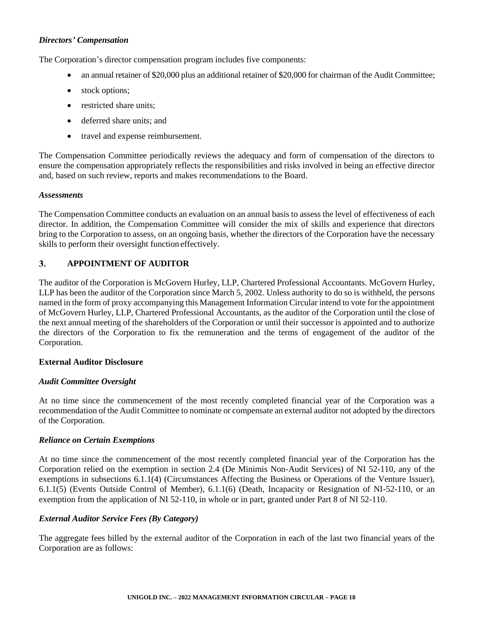## *Directors' Compensation*

The Corporation's director compensation program includes five components:

- an annual retainer of \$20,000 plus an additional retainer of \$20,000 for chairman of the Audit Committee;
- stock options;
- restricted share units;
- deferred share units; and
- travel and expense reimbursement.

The Compensation Committee periodically reviews the adequacy and form of compensation of the directors to ensure the compensation appropriately reflects the responsibilities and risks involved in being an effective director and, based on such review, reports and makes recommendations to the Board.

#### *Assessments*

The Compensation Committee conducts an evaluation on an annual basis to assess the level of effectiveness of each director. In addition, the Compensation Committee will consider the mix of skills and experience that directors bring to the Corporation to assess, on an ongoing basis, whether the directors of the Corporation have the necessary skills to perform their oversight function effectively.

#### $3.$ **APPOINTMENT OF AUDITOR**

The auditor of the Corporation is McGovern Hurley, LLP, Chartered Professional Accountants. McGovern Hurley, LLP has been the auditor of the Corporation since March 5, 2002. Unless authority to do so is withheld, the persons named in the form of proxy accompanying this Management Information Circular intend to vote for the appointment of McGovern Hurley, LLP, Chartered Professional Accountants, as the auditor of the Corporation until the close of the next annual meeting of the shareholders of the Corporation or until their successor is appointed and to authorize the directors of the Corporation to fix the remuneration and the terms of engagement of the auditor of the Corporation.

## **External Auditor Disclosure**

## *Audit Committee Oversight*

At no time since the commencement of the most recently completed financial year of the Corporation was a recommendation of the Audit Committee to nominate or compensate an external auditor not adopted by the directors of the Corporation.

#### *Reliance on Certain Exemptions*

At no time since the commencement of the most recently completed financial year of the Corporation has the Corporation relied on the exemption in section 2.4 (De Minimis Non-Audit Services) of NI 52-110, any of the exemptions in subsections 6.1.1(4) (Circumstances Affecting the Business or Operations of the Venture Issuer), 6.1.1(5) (Events Outside Control of Member), 6.1.1(6) (Death, Incapacity or Resignation of NI-52-110, or an exemption from the application of NI 52-110, in whole or in part, granted under Part 8 of NI 52-110.

## *External Auditor Service Fees (By Category)*

The aggregate fees billed by the external auditor of the Corporation in each of the last two financial years of the Corporation are as follows: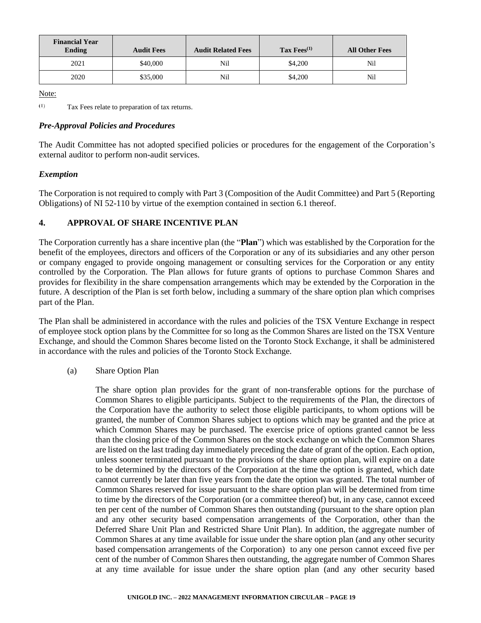| <b>Financial Year</b><br><b>Ending</b> | <b>Audit Fees</b> | <b>Audit Related Fees</b> | Tax $Fees^{(1)}$ | <b>All Other Fees</b> |
|----------------------------------------|-------------------|---------------------------|------------------|-----------------------|
| 2021                                   | \$40,000          | Nil                       | \$4,200          | Nil                   |
| 2020                                   | \$35,000          | Nil                       | \$4,200          | Nil                   |

Note:

 $(1)$ Tax Fees relate to preparation of tax returns.

# *Pre-Approval Policies and Procedures*

The Audit Committee has not adopted specified policies or procedures for the engagement of the Corporation's external auditor to perform non-audit services.

## *Exemption*

The Corporation is not required to comply with Part 3 (Composition of the Audit Committee) and Part 5 (Reporting Obligations) of NI 52-110 by virtue of the exemption contained in section 6.1 thereof.

# **4. APPROVAL OF SHARE INCENTIVE PLAN**

The Corporation currently has a share incentive plan (the "**Plan**") which was established by the Corporation for the benefit of the employees, directors and officers of the Corporation or any of its subsidiaries and any other person or company engaged to provide ongoing management or consulting services for the Corporation or any entity controlled by the Corporation. The Plan allows for future grants of options to purchase Common Shares and provides for flexibility in the share compensation arrangements which may be extended by the Corporation in the future. A description of the Plan is set forth below, including a summary of the share option plan which comprises part of the Plan.

The Plan shall be administered in accordance with the rules and policies of the TSX Venture Exchange in respect of employee stock option plans by the Committee for so long as the Common Shares are listed on the TSX Venture Exchange, and should the Common Shares become listed on the Toronto Stock Exchange, it shall be administered in accordance with the rules and policies of the Toronto Stock Exchange*.*

(a) Share Option Plan

The share option plan provides for the grant of non-transferable options for the purchase of Common Shares to eligible participants. Subject to the requirements of the Plan, the directors of the Corporation have the authority to select those eligible participants, to whom options will be granted, the number of Common Shares subject to options which may be granted and the price at which Common Shares may be purchased. The exercise price of options granted cannot be less than the closing price of the Common Shares on the stock exchange on which the Common Shares are listed on the last trading day immediately preceding the date of grant of the option. Each option, unless sooner terminated pursuant to the provisions of the share option plan, will expire on a date to be determined by the directors of the Corporation at the time the option is granted, which date cannot currently be later than five years from the date the option was granted. The total number of Common Shares reserved for issue pursuant to the share option plan will be determined from time to time by the directors of the Corporation (or a committee thereof) but, in any case, cannot exceed ten per cent of the number of Common Shares then outstanding (pursuant to the share option plan and any other security based compensation arrangements of the Corporation, other than the Deferred Share Unit Plan and Restricted Share Unit Plan). In addition, the aggregate number of Common Shares at any time available for issue under the share option plan (and any other security based compensation arrangements of the Corporation) to any one person cannot exceed five per cent of the number of Common Shares then outstanding, the aggregate number of Common Shares at any time available for issue under the share option plan (and any other security based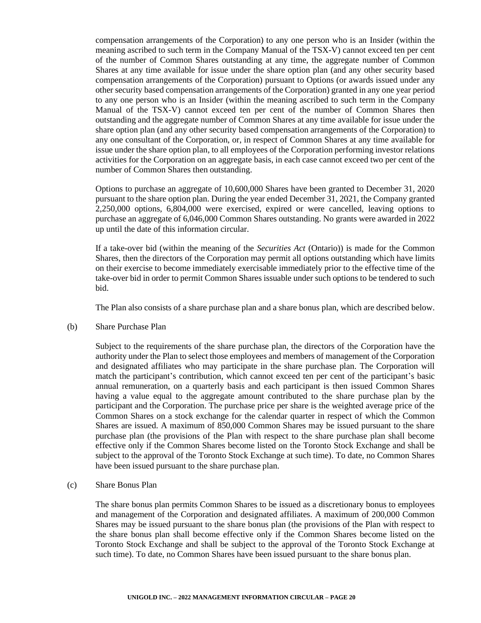compensation arrangements of the Corporation) to any one person who is an Insider (within the meaning ascribed to such term in the Company Manual of the TSX-V) cannot exceed ten per cent of the number of Common Shares outstanding at any time, the aggregate number of Common Shares at any time available for issue under the share option plan (and any other security based compensation arrangements of the Corporation) pursuant to Options (or awards issued under any other security based compensation arrangements of the Corporation) granted in any one year period to any one person who is an Insider (within the meaning ascribed to such term in the Company Manual of the TSX-V) cannot exceed ten per cent of the number of Common Shares then outstanding and the aggregate number of Common Shares at any time available for issue under the share option plan (and any other security based compensation arrangements of the Corporation) to any one consultant of the Corporation, or, in respect of Common Shares at any time available for issue under the share option plan, to all employees of the Corporation performing investor relations activities for the Corporation on an aggregate basis, in each case cannot exceed two per cent of the number of Common Shares then outstanding.

Options to purchase an aggregate of 10,600,000 Shares have been granted to December 31, 2020 pursuant to the share option plan. During the year ended December 31, 2021, the Company granted 2,250,000 options, 6,804,000 were exercised, expired or were cancelled, leaving options to purchase an aggregate of 6,046,000 Common Shares outstanding. No grants were awarded in 2022 up until the date of this information circular.

If a take-over bid (within the meaning of the *Securities Act* (Ontario)) is made for the Common Shares, then the directors of the Corporation may permit all options outstanding which have limits on their exercise to become immediately exercisable immediately prior to the effective time of the take-over bid in order to permit Common Shares issuable under such options to be tendered to such bid.

The Plan also consists of a share purchase plan and a share bonus plan, which are described below.

(b) Share Purchase Plan

Subject to the requirements of the share purchase plan, the directors of the Corporation have the authority under the Plan to select those employees and members of management of the Corporation and designated affiliates who may participate in the share purchase plan. The Corporation will match the participant's contribution, which cannot exceed ten per cent of the participant's basic annual remuneration, on a quarterly basis and each participant is then issued Common Shares having a value equal to the aggregate amount contributed to the share purchase plan by the participant and the Corporation. The purchase price per share is the weighted average price of the Common Shares on a stock exchange for the calendar quarter in respect of which the Common Shares are issued. A maximum of 850,000 Common Shares may be issued pursuant to the share purchase plan (the provisions of the Plan with respect to the share purchase plan shall become effective only if the Common Shares become listed on the Toronto Stock Exchange and shall be subject to the approval of the Toronto Stock Exchange at such time). To date, no Common Shares have been issued pursuant to the share purchase plan.

(c) Share Bonus Plan

The share bonus plan permits Common Shares to be issued as a discretionary bonus to employees and management of the Corporation and designated affiliates. A maximum of 200,000 Common Shares may be issued pursuant to the share bonus plan (the provisions of the Plan with respect to the share bonus plan shall become effective only if the Common Shares become listed on the Toronto Stock Exchange and shall be subject to the approval of the Toronto Stock Exchange at such time). To date, no Common Shares have been issued pursuant to the share bonus plan.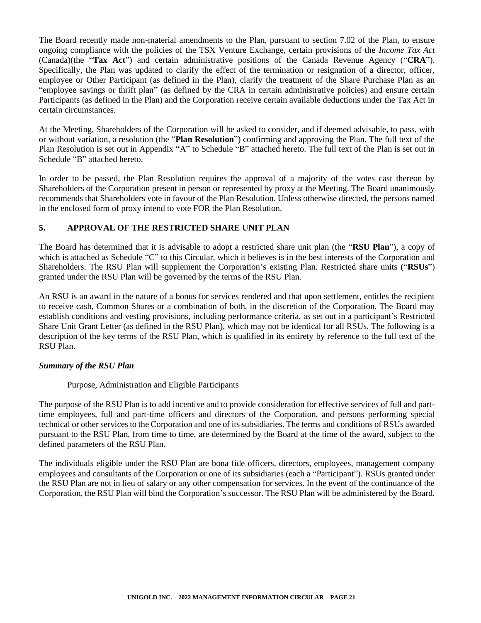The Board recently made non-material amendments to the Plan, pursuant to section 7.02 of the Plan, to ensure ongoing compliance with the policies of the TSX Venture Exchange, certain provisions of the *Income Tax Act* (Canada)(the "**Tax Act**") and certain administrative positions of the Canada Revenue Agency ("**CRA**"). Specifically, the Plan was updated to clarify the effect of the termination or resignation of a director, officer, employee or Other Participant (as defined in the Plan), clarify the treatment of the Share Purchase Plan as an "employee savings or thrift plan" (as defined by the CRA in certain administrative policies) and ensure certain Participants (as defined in the Plan) and the Corporation receive certain available deductions under the Tax Act in certain circumstances.

At the Meeting, Shareholders of the Corporation will be asked to consider, and if deemed advisable, to pass, with or without variation, a resolution (the "**Plan Resolution**") confirming and approving the Plan. The full text of the Plan Resolution is set out in Appendix "A" to Schedule "B" attached hereto. The full text of the Plan is set out in Schedule "B" attached hereto.

In order to be passed, the Plan Resolution requires the approval of a majority of the votes cast thereon by Shareholders of the Corporation present in person or represented by proxy at the Meeting. The Board unanimously recommends that Shareholders vote in favour of the Plan Resolution. Unless otherwise directed, the persons named in the enclosed form of proxy intend to vote FOR the Plan Resolution.

# **5. APPROVAL OF THE RESTRICTED SHARE UNIT PLAN**

The Board has determined that it is advisable to adopt a restricted share unit plan (the "**RSU Plan**"), a copy of which is attached as Schedule "C" to this Circular, which it believes is in the best interests of the Corporation and Shareholders. The RSU Plan will supplement the Corporation's existing Plan. Restricted share units ("**RSUs**") granted under the RSU Plan will be governed by the terms of the RSU Plan.

An RSU is an award in the nature of a bonus for services rendered and that upon settlement, entitles the recipient to receive cash, Common Shares or a combination of both, in the discretion of the Corporation. The Board may establish conditions and vesting provisions, including performance criteria, as set out in a participant's Restricted Share Unit Grant Letter (as defined in the RSU Plan), which may not be identical for all RSUs. The following is a description of the key terms of the RSU Plan, which is qualified in its entirety by reference to the full text of the RSU Plan.

## *Summary of the RSU Plan*

## Purpose, Administration and Eligible Participants

The purpose of the RSU Plan is to add incentive and to provide consideration for effective services of full and parttime employees, full and part-time officers and directors of the Corporation, and persons performing special technical or other services to the Corporation and one of its subsidiaries. The terms and conditions of RSUs awarded pursuant to the RSU Plan, from time to time, are determined by the Board at the time of the award, subject to the defined parameters of the RSU Plan.

The individuals eligible under the RSU Plan are bona fide officers, directors, employees, management company employees and consultants of the Corporation or one of its subsidiaries (each a "Participant"). RSUs granted under the RSU Plan are not in lieu of salary or any other compensation for services. In the event of the continuance of the Corporation, the RSU Plan will bind the Corporation's successor. The RSU Plan will be administered by the Board.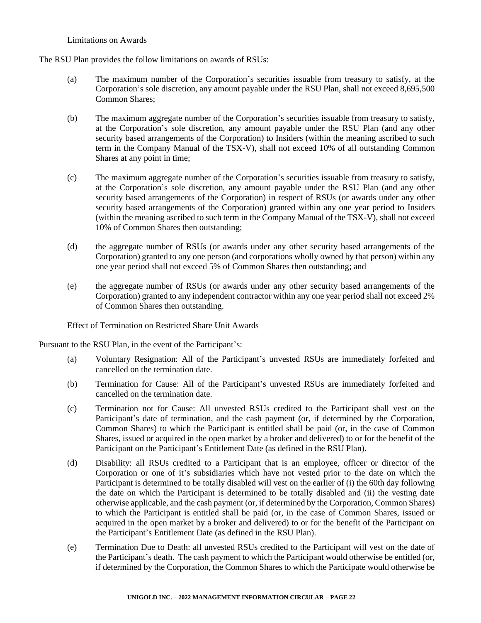#### Limitations on Awards

The RSU Plan provides the follow limitations on awards of RSUs:

- (a) The maximum number of the Corporation's securities issuable from treasury to satisfy, at the Corporation's sole discretion, any amount payable under the RSU Plan, shall not exceed 8,695,500 Common Shares;
- (b) The maximum aggregate number of the Corporation's securities issuable from treasury to satisfy, at the Corporation's sole discretion, any amount payable under the RSU Plan (and any other security based arrangements of the Corporation) to Insiders (within the meaning ascribed to such term in the Company Manual of the TSX-V), shall not exceed 10% of all outstanding Common Shares at any point in time;
- (c) The maximum aggregate number of the Corporation's securities issuable from treasury to satisfy, at the Corporation's sole discretion, any amount payable under the RSU Plan (and any other security based arrangements of the Corporation) in respect of RSUs (or awards under any other security based arrangements of the Corporation) granted within any one year period to Insiders (within the meaning ascribed to such term in the Company Manual of the TSX-V), shall not exceed 10% of Common Shares then outstanding;
- (d) the aggregate number of RSUs (or awards under any other security based arrangements of the Corporation) granted to any one person (and corporations wholly owned by that person) within any one year period shall not exceed 5% of Common Shares then outstanding; and
- (e) the aggregate number of RSUs (or awards under any other security based arrangements of the Corporation) granted to any independent contractor within any one year period shall not exceed 2% of Common Shares then outstanding.

Effect of Termination on Restricted Share Unit Awards

Pursuant to the RSU Plan, in the event of the Participant's:

- (a) Voluntary Resignation: All of the Participant's unvested RSUs are immediately forfeited and cancelled on the termination date.
- (b) Termination for Cause: All of the Participant's unvested RSUs are immediately forfeited and cancelled on the termination date.
- (c) Termination not for Cause: All unvested RSUs credited to the Participant shall vest on the Participant's date of termination, and the cash payment (or, if determined by the Corporation, Common Shares) to which the Participant is entitled shall be paid (or, in the case of Common Shares, issued or acquired in the open market by a broker and delivered) to or for the benefit of the Participant on the Participant's Entitlement Date (as defined in the RSU Plan).
- (d) Disability: all RSUs credited to a Participant that is an employee, officer or director of the Corporation or one of it's subsidiaries which have not vested prior to the date on which the Participant is determined to be totally disabled will vest on the earlier of (i) the 60th day following the date on which the Participant is determined to be totally disabled and (ii) the vesting date otherwise applicable, and the cash payment (or, if determined by the Corporation, Common Shares) to which the Participant is entitled shall be paid (or, in the case of Common Shares, issued or acquired in the open market by a broker and delivered) to or for the benefit of the Participant on the Participant's Entitlement Date (as defined in the RSU Plan).
- (e) Termination Due to Death: all unvested RSUs credited to the Participant will vest on the date of the Participant's death. The cash payment to which the Participant would otherwise be entitled (or, if determined by the Corporation, the Common Shares to which the Participate would otherwise be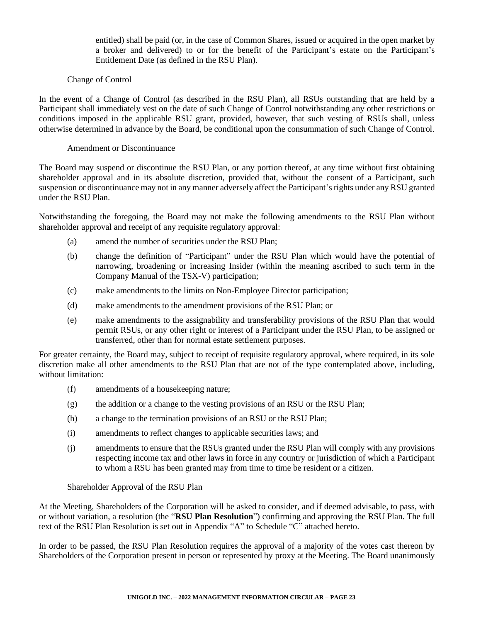entitled) shall be paid (or, in the case of Common Shares, issued or acquired in the open market by a broker and delivered) to or for the benefit of the Participant's estate on the Participant's Entitlement Date (as defined in the RSU Plan).

## Change of Control

In the event of a Change of Control (as described in the RSU Plan), all RSUs outstanding that are held by a Participant shall immediately vest on the date of such Change of Control notwithstanding any other restrictions or conditions imposed in the applicable RSU grant, provided, however, that such vesting of RSUs shall, unless otherwise determined in advance by the Board, be conditional upon the consummation of such Change of Control.

#### Amendment or Discontinuance

The Board may suspend or discontinue the RSU Plan, or any portion thereof, at any time without first obtaining shareholder approval and in its absolute discretion, provided that, without the consent of a Participant, such suspension or discontinuance may not in any manner adversely affect the Participant's rights under any RSU granted under the RSU Plan.

Notwithstanding the foregoing, the Board may not make the following amendments to the RSU Plan without shareholder approval and receipt of any requisite regulatory approval:

- (a) amend the number of securities under the RSU Plan;
- (b) change the definition of "Participant" under the RSU Plan which would have the potential of narrowing, broadening or increasing Insider (within the meaning ascribed to such term in the Company Manual of the TSX-V) participation;
- (c) make amendments to the limits on Non-Employee Director participation;
- (d) make amendments to the amendment provisions of the RSU Plan; or
- (e) make amendments to the assignability and transferability provisions of the RSU Plan that would permit RSUs, or any other right or interest of a Participant under the RSU Plan, to be assigned or transferred, other than for normal estate settlement purposes.

For greater certainty, the Board may, subject to receipt of requisite regulatory approval, where required, in its sole discretion make all other amendments to the RSU Plan that are not of the type contemplated above, including, without limitation:

- (f) amendments of a housekeeping nature;
- $(g)$  the addition or a change to the vesting provisions of an RSU or the RSU Plan;
- (h) a change to the termination provisions of an RSU or the RSU Plan;
- (i) amendments to reflect changes to applicable securities laws; and
- (j) amendments to ensure that the RSUs granted under the RSU Plan will comply with any provisions respecting income tax and other laws in force in any country or jurisdiction of which a Participant to whom a RSU has been granted may from time to time be resident or a citizen.

Shareholder Approval of the RSU Plan

At the Meeting, Shareholders of the Corporation will be asked to consider, and if deemed advisable, to pass, with or without variation, a resolution (the "**RSU Plan Resolution**") confirming and approving the RSU Plan. The full text of the RSU Plan Resolution is set out in Appendix "A" to Schedule "C" attached hereto.

In order to be passed, the RSU Plan Resolution requires the approval of a majority of the votes cast thereon by Shareholders of the Corporation present in person or represented by proxy at the Meeting. The Board unanimously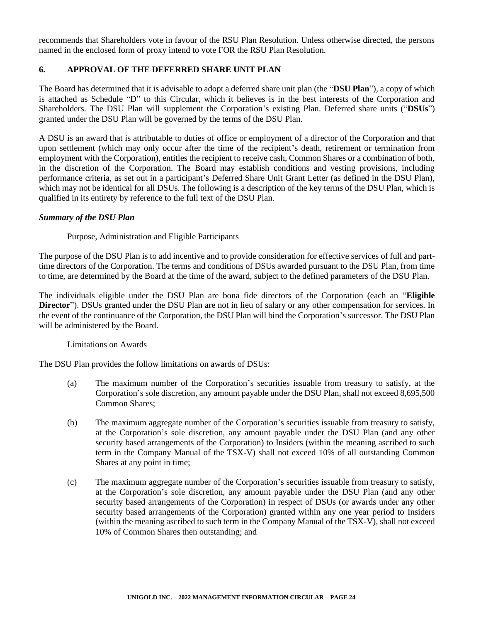recommends that Shareholders vote in favour of the RSU Plan Resolution. Unless otherwise directed, the persons named in the enclosed form of proxy intend to vote FOR the RSU Plan Resolution.

# **6. APPROVAL OF THE DEFERRED SHARE UNIT PLAN**

The Board has determined that it is advisable to adopt a deferred share unit plan (the "**DSU Plan**"), a copy of which is attached as Schedule "D" to this Circular, which it believes is in the best interests of the Corporation and Shareholders. The DSU Plan will supplement the Corporation's existing Plan. Deferred share units ("**DSUs**") granted under the DSU Plan will be governed by the terms of the DSU Plan.

A DSU is an award that is attributable to duties of office or employment of a director of the Corporation and that upon settlement (which may only occur after the time of the recipient's death, retirement or termination from employment with the Corporation), entitles the recipient to receive cash, Common Shares or a combination of both, in the discretion of the Corporation. The Board may establish conditions and vesting provisions, including performance criteria, as set out in a participant's Deferred Share Unit Grant Letter (as defined in the DSU Plan), which may not be identical for all DSUs. The following is a description of the key terms of the DSU Plan, which is qualified in its entirety by reference to the full text of the DSU Plan.

#### *Summary of the DSU Plan*

Purpose, Administration and Eligible Participants

The purpose of the DSU Plan is to add incentive and to provide consideration for effective services of full and parttime directors of the Corporation. The terms and conditions of DSUs awarded pursuant to the DSU Plan, from time to time, are determined by the Board at the time of the award, subject to the defined parameters of the DSU Plan.

The individuals eligible under the DSU Plan are bona fide directors of the Corporation (each an "**Eligible Director**"). DSUs granted under the DSU Plan are not in lieu of salary or any other compensation for services. In the event of the continuance of the Corporation, the DSU Plan will bind the Corporation's successor. The DSU Plan will be administered by the Board.

## Limitations on Awards

The DSU Plan provides the follow limitations on awards of DSUs:

- (a) The maximum number of the Corporation's securities issuable from treasury to satisfy, at the Corporation's sole discretion, any amount payable under the DSU Plan, shall not exceed 8,695,500 Common Shares;
- (b) The maximum aggregate number of the Corporation's securities issuable from treasury to satisfy, at the Corporation's sole discretion, any amount payable under the DSU Plan (and any other security based arrangements of the Corporation) to Insiders (within the meaning ascribed to such term in the Company Manual of the TSX-V) shall not exceed 10% of all outstanding Common Shares at any point in time;
- (c) The maximum aggregate number of the Corporation's securities issuable from treasury to satisfy, at the Corporation's sole discretion, any amount payable under the DSU Plan (and any other security based arrangements of the Corporation) in respect of DSUs (or awards under any other security based arrangements of the Corporation) granted within any one year period to Insiders (within the meaning ascribed to such term in the Company Manual of the TSX-V), shall not exceed 10% of Common Shares then outstanding; and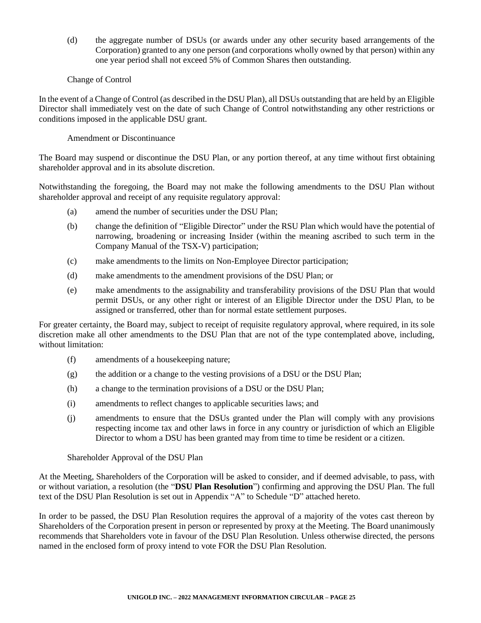(d) the aggregate number of DSUs (or awards under any other security based arrangements of the Corporation) granted to any one person (and corporations wholly owned by that person) within any one year period shall not exceed 5% of Common Shares then outstanding.

## Change of Control

In the event of a Change of Control (as described in the DSU Plan), all DSUs outstanding that are held by an Eligible Director shall immediately vest on the date of such Change of Control notwithstanding any other restrictions or conditions imposed in the applicable DSU grant.

# Amendment or Discontinuance

The Board may suspend or discontinue the DSU Plan, or any portion thereof, at any time without first obtaining shareholder approval and in its absolute discretion.

Notwithstanding the foregoing, the Board may not make the following amendments to the DSU Plan without shareholder approval and receipt of any requisite regulatory approval:

- (a) amend the number of securities under the DSU Plan;
- (b) change the definition of "Eligible Director" under the RSU Plan which would have the potential of narrowing, broadening or increasing Insider (within the meaning ascribed to such term in the Company Manual of the TSX-V) participation;
- (c) make amendments to the limits on Non-Employee Director participation;
- (d) make amendments to the amendment provisions of the DSU Plan; or
- (e) make amendments to the assignability and transferability provisions of the DSU Plan that would permit DSUs, or any other right or interest of an Eligible Director under the DSU Plan, to be assigned or transferred, other than for normal estate settlement purposes.

For greater certainty, the Board may, subject to receipt of requisite regulatory approval, where required, in its sole discretion make all other amendments to the DSU Plan that are not of the type contemplated above, including, without limitation:

- (f) amendments of a housekeeping nature;
- $(g)$  the addition or a change to the vesting provisions of a DSU or the DSU Plan;
- (h) a change to the termination provisions of a DSU or the DSU Plan;
- (i) amendments to reflect changes to applicable securities laws; and
- (j) amendments to ensure that the DSUs granted under the Plan will comply with any provisions respecting income tax and other laws in force in any country or jurisdiction of which an Eligible Director to whom a DSU has been granted may from time to time be resident or a citizen.

#### Shareholder Approval of the DSU Plan

At the Meeting, Shareholders of the Corporation will be asked to consider, and if deemed advisable, to pass, with or without variation, a resolution (the "**DSU Plan Resolution**") confirming and approving the DSU Plan. The full text of the DSU Plan Resolution is set out in Appendix "A" to Schedule "D" attached hereto.

In order to be passed, the DSU Plan Resolution requires the approval of a majority of the votes cast thereon by Shareholders of the Corporation present in person or represented by proxy at the Meeting. The Board unanimously recommends that Shareholders vote in favour of the DSU Plan Resolution. Unless otherwise directed, the persons named in the enclosed form of proxy intend to vote FOR the DSU Plan Resolution.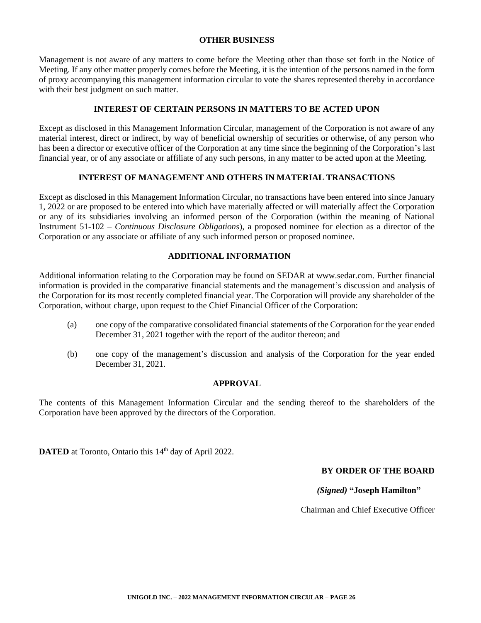#### **OTHER BUSINESS**

Management is not aware of any matters to come before the Meeting other than those set forth in the Notice of Meeting. If any other matter properly comes before the Meeting, it is the intention of the persons named in the form of proxy accompanying this management information circular to vote the shares represented thereby in accordance with their best judgment on such matter.

#### **INTEREST OF CERTAIN PERSONS IN MATTERS TO BE ACTED UPON**

Except as disclosed in this Management Information Circular, management of the Corporation is not aware of any material interest, direct or indirect, by way of beneficial ownership of securities or otherwise, of any person who has been a director or executive officer of the Corporation at any time since the beginning of the Corporation's last financial year, or of any associate or affiliate of any such persons, in any matter to be acted upon at the Meeting.

# **INTEREST OF MANAGEMENT AND OTHERS IN MATERIAL TRANSACTIONS**

Except as disclosed in this Management Information Circular, no transactions have been entered into since January 1, 2022 or are proposed to be entered into which have materially affected or will materially affect the Corporation or any of its subsidiaries involving an informed person of the Corporation (within the meaning of National Instrument 51-102 – *Continuous Disclosure Obligations*), a proposed nominee for election as a director of the Corporation or any associate or affiliate of any such informed person or proposed nominee.

## **ADDITIONAL INFORMATION**

Additional information relating to the Corporation may be found on SEDAR at [www.sedar.com. F](http://www.sedar.com/)urther financial information is provided in the comparative financial statements and the management's discussion and analysis of the Corporation for its most recently completed financial year. The Corporation will provide any shareholder of the Corporation, without charge, upon request to the Chief Financial Officer of the Corporation:

- (a) one copy of the comparative consolidated financial statements of the Corporation for the year ended December 31, 2021 together with the report of the auditor thereon; and
- (b) one copy of the management's discussion and analysis of the Corporation for the year ended December 31, 2021.

## **APPROVAL**

The contents of this Management Information Circular and the sending thereof to the shareholders of the Corporation have been approved by the directors of the Corporation.

**DATED** at Toronto, Ontario this 14<sup>th</sup> day of April 2022.

## **BY ORDER OF THE BOARD**

## *(Signed)* **"Joseph Hamilton"**

Chairman and Chief Executive Officer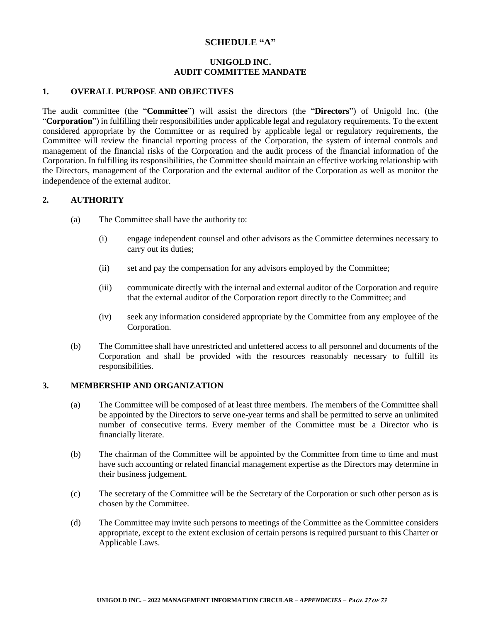# **SCHEDULE "A"**

## **UNIGOLD INC. AUDIT COMMITTEE MANDATE**

# **1. OVERALL PURPOSE AND OBJECTIVES**

The audit committee (the "**Committee**") will assist the directors (the "**Directors**") of Unigold Inc. (the "**Corporation**") in fulfilling their responsibilities under applicable legal and regulatory requirements. To the extent considered appropriate by the Committee or as required by applicable legal or regulatory requirements, the Committee will review the financial reporting process of the Corporation, the system of internal controls and management of the financial risks of the Corporation and the audit process of the financial information of the Corporation. In fulfilling its responsibilities, the Committee should maintain an effective working relationship with the Directors, management of the Corporation and the external auditor of the Corporation as well as monitor the independence of the external auditor.

## **2. AUTHORITY**

- (a) The Committee shall have the authority to:
	- (i) engage independent counsel and other advisors as the Committee determines necessary to carry out its duties;
	- (ii) set and pay the compensation for any advisors employed by the Committee;
	- (iii) communicate directly with the internal and external auditor of the Corporation and require that the external auditor of the Corporation report directly to the Committee; and
	- (iv) seek any information considered appropriate by the Committee from any employee of the Corporation.
- (b) The Committee shall have unrestricted and unfettered access to all personnel and documents of the Corporation and shall be provided with the resources reasonably necessary to fulfill its responsibilities.

# **3. MEMBERSHIP AND ORGANIZATION**

- (a) The Committee will be composed of at least three members. The members of the Committee shall be appointed by the Directors to serve one-year terms and shall be permitted to serve an unlimited number of consecutive terms. Every member of the Committee must be a Director who is financially literate.
- (b) The chairman of the Committee will be appointed by the Committee from time to time and must have such accounting or related financial management expertise as the Directors may determine in their business judgement.
- (c) The secretary of the Committee will be the Secretary of the Corporation or such other person as is chosen by the Committee.
- (d) The Committee may invite such persons to meetings of the Committee as the Committee considers appropriate, except to the extent exclusion of certain persons is required pursuant to this Charter or Applicable Laws.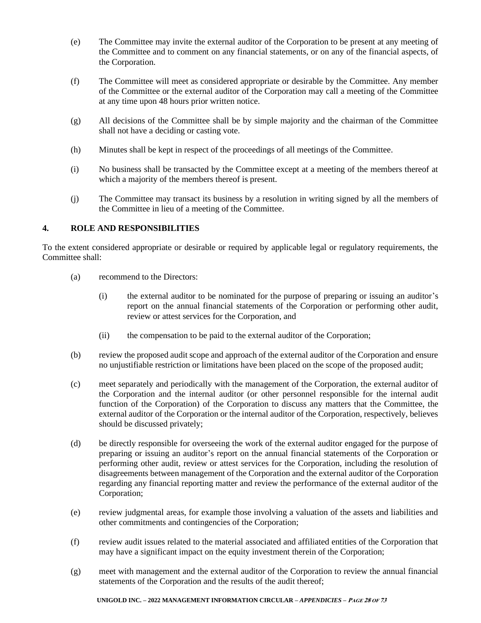- (e) The Committee may invite the external auditor of the Corporation to be present at any meeting of the Committee and to comment on any financial statements, or on any of the financial aspects, of the Corporation.
- (f) The Committee will meet as considered appropriate or desirable by the Committee. Any member of the Committee or the external auditor of the Corporation may call a meeting of the Committee at any time upon 48 hours prior written notice.
- (g) All decisions of the Committee shall be by simple majority and the chairman of the Committee shall not have a deciding or casting vote.
- (h) Minutes shall be kept in respect of the proceedings of all meetings of the Committee.
- (i) No business shall be transacted by the Committee except at a meeting of the members thereof at which a majority of the members thereof is present.
- (j) The Committee may transact its business by a resolution in writing signed by all the members of the Committee in lieu of a meeting of the Committee.

# **4. ROLE AND RESPONSIBILITIES**

To the extent considered appropriate or desirable or required by applicable legal or regulatory requirements, the Committee shall:

- (a) recommend to the Directors:
	- (i) the external auditor to be nominated for the purpose of preparing or issuing an auditor's report on the annual financial statements of the Corporation or performing other audit, review or attest services for the Corporation, and
	- (ii) the compensation to be paid to the external auditor of the Corporation;
- (b) review the proposed audit scope and approach of the external auditor of the Corporation and ensure no unjustifiable restriction or limitations have been placed on the scope of the proposed audit;
- (c) meet separately and periodically with the management of the Corporation, the external auditor of the Corporation and the internal auditor (or other personnel responsible for the internal audit function of the Corporation) of the Corporation to discuss any matters that the Committee, the external auditor of the Corporation or the internal auditor of the Corporation, respectively, believes should be discussed privately;
- (d) be directly responsible for overseeing the work of the external auditor engaged for the purpose of preparing or issuing an auditor's report on the annual financial statements of the Corporation or performing other audit, review or attest services for the Corporation, including the resolution of disagreements between management of the Corporation and the external auditor of the Corporation regarding any financial reporting matter and review the performance of the external auditor of the Corporation;
- (e) review judgmental areas, for example those involving a valuation of the assets and liabilities and other commitments and contingencies of the Corporation;
- (f) review audit issues related to the material associated and affiliated entities of the Corporation that may have a significant impact on the equity investment therein of the Corporation;
- (g) meet with management and the external auditor of the Corporation to review the annual financial statements of the Corporation and the results of the audit thereof;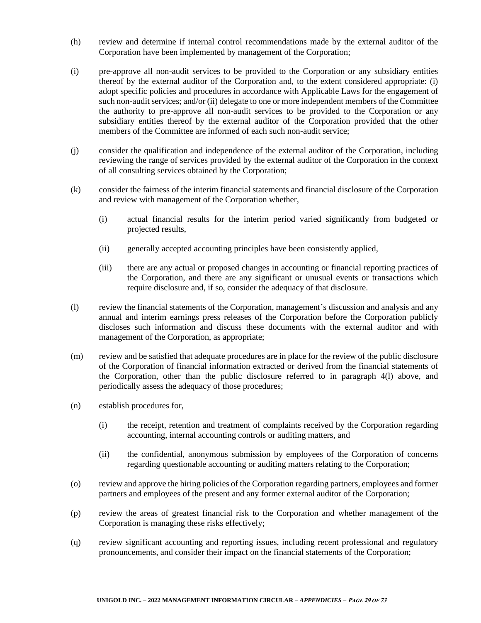- (h) review and determine if internal control recommendations made by the external auditor of the Corporation have been implemented by management of the Corporation;
- (i) pre-approve all non-audit services to be provided to the Corporation or any subsidiary entities thereof by the external auditor of the Corporation and, to the extent considered appropriate: (i) adopt specific policies and procedures in accordance with Applicable Laws for the engagement of such non-audit services; and/or (ii) delegate to one or more independent members of the Committee the authority to pre-approve all non-audit services to be provided to the Corporation or any subsidiary entities thereof by the external auditor of the Corporation provided that the other members of the Committee are informed of each such non-audit service;
- (j) consider the qualification and independence of the external auditor of the Corporation, including reviewing the range of services provided by the external auditor of the Corporation in the context of all consulting services obtained by the Corporation;
- (k) consider the fairness of the interim financial statements and financial disclosure of the Corporation and review with management of the Corporation whether,
	- (i) actual financial results for the interim period varied significantly from budgeted or projected results,
	- (ii) generally accepted accounting principles have been consistently applied,
	- (iii) there are any actual or proposed changes in accounting or financial reporting practices of the Corporation, and there are any significant or unusual events or transactions which require disclosure and, if so, consider the adequacy of that disclosure.
- (l) review the financial statements of the Corporation, management's discussion and analysis and any annual and interim earnings press releases of the Corporation before the Corporation publicly discloses such information and discuss these documents with the external auditor and with management of the Corporation, as appropriate;
- (m) review and be satisfied that adequate procedures are in place for the review of the public disclosure of the Corporation of financial information extracted or derived from the financial statements of the Corporation, other than the public disclosure referred to in paragraph 4(l) above, and periodically assess the adequacy of those procedures;
- (n) establish procedures for,
	- (i) the receipt, retention and treatment of complaints received by the Corporation regarding accounting, internal accounting controls or auditing matters, and
	- (ii) the confidential, anonymous submission by employees of the Corporation of concerns regarding questionable accounting or auditing matters relating to the Corporation;
- (o) review and approve the hiring policies of the Corporation regarding partners, employees and former partners and employees of the present and any former external auditor of the Corporation;
- (p) review the areas of greatest financial risk to the Corporation and whether management of the Corporation is managing these risks effectively;
- (q) review significant accounting and reporting issues, including recent professional and regulatory pronouncements, and consider their impact on the financial statements of the Corporation;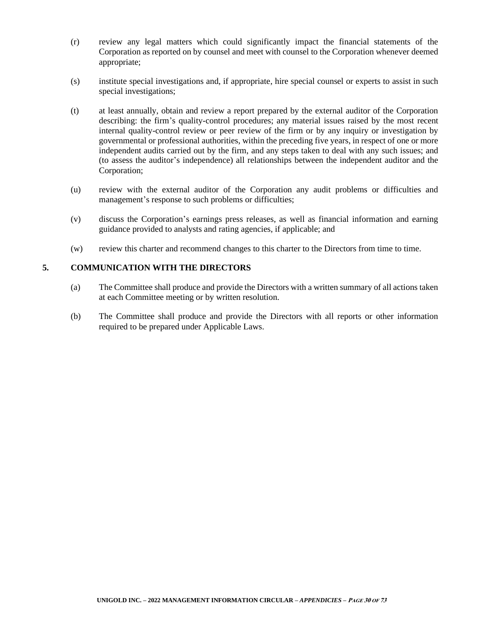- (r) review any legal matters which could significantly impact the financial statements of the Corporation as reported on by counsel and meet with counsel to the Corporation whenever deemed appropriate;
- (s) institute special investigations and, if appropriate, hire special counsel or experts to assist in such special investigations;
- (t) at least annually, obtain and review a report prepared by the external auditor of the Corporation describing: the firm's quality-control procedures; any material issues raised by the most recent internal quality-control review or peer review of the firm or by any inquiry or investigation by governmental or professional authorities, within the preceding five years, in respect of one or more independent audits carried out by the firm, and any steps taken to deal with any such issues; and (to assess the auditor's independence) all relationships between the independent auditor and the Corporation;
- (u) review with the external auditor of the Corporation any audit problems or difficulties and management's response to such problems or difficulties;
- (v) discuss the Corporation's earnings press releases, as well as financial information and earning guidance provided to analysts and rating agencies, if applicable; and
- (w) review this charter and recommend changes to this charter to the Directors from time to time.

# **5. COMMUNICATION WITH THE DIRECTORS**

- (a) The Committee shall produce and provide the Directors with a written summary of all actions taken at each Committee meeting or by written resolution.
- (b) The Committee shall produce and provide the Directors with all reports or other information required to be prepared under Applicable Laws.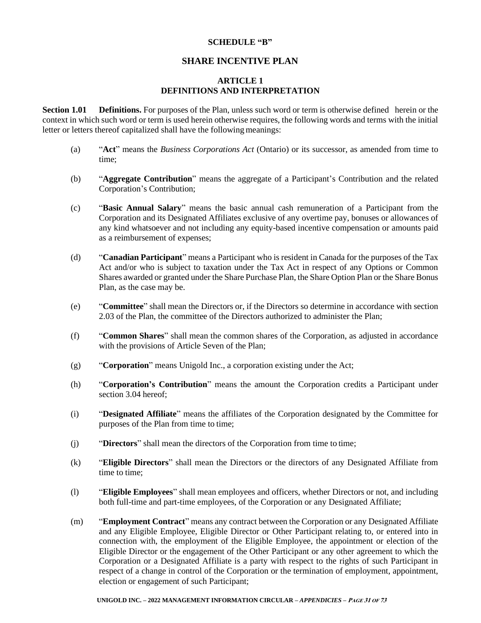#### **SCHEDULE "B"**

# **SHARE INCENTIVE PLAN**

#### **ARTICLE 1 DEFINITIONS AND INTERPRETATION**

**Section 1.01 Definitions.** For purposes of the Plan, unless such word or term is otherwise defined herein or the context in which such word or term is used herein otherwise requires, the following words and terms with the initial letter or letters thereof capitalized shall have the following meanings:

- (a) "**Act**" means the *Business Corporations Act* (Ontario) or its successor, as amended from time to time;
- (b) "**Aggregate Contribution**" means the aggregate of a Participant's Contribution and the related Corporation's Contribution;
- (c) "**Basic Annual Salary**" means the basic annual cash remuneration of a Participant from the Corporation and its Designated Affiliates exclusive of any overtime pay, bonuses or allowances of any kind whatsoever and not including any equity-based incentive compensation or amounts paid as a reimbursement of expenses;
- (d) "**Canadian Participant**" means a Participant who is resident in Canada for the purposes of the Tax Act and/or who is subject to taxation under the Tax Act in respect of any Options or Common Shares awarded or granted under the Share Purchase Plan, the Share Option Plan or the Share Bonus Plan, as the case may be.
- (e) "**Committee**" shall mean the Directors or, if the Directors so determine in accordance with section 2.03 of the Plan, the committee of the Directors authorized to administer the Plan;
- (f) "**Common Shares**" shall mean the common shares of the Corporation, as adjusted in accordance with the provisions of Article Seven of the Plan;
- (g) "**Corporation**" means Unigold Inc., a corporation existing under the Act;
- (h) "**Corporation's Contribution**" means the amount the Corporation credits a Participant under section 3.04 hereof;
- (i) "**Designated Affiliate**" means the affiliates of the Corporation designated by the Committee for purposes of the Plan from time to time;
- (j) "**Directors**" shall mean the directors of the Corporation from time to time;
- (k) "**Eligible Directors**" shall mean the Directors or the directors of any Designated Affiliate from time to time;
- (l) "**Eligible Employees**" shall mean employees and officers, whether Directors or not, and including both full-time and part-time employees, of the Corporation or any Designated Affiliate;
- (m) "**Employment Contract**" means any contract between the Corporation or any Designated Affiliate and any Eligible Employee, Eligible Director or Other Participant relating to, or entered into in connection with, the employment of the Eligible Employee, the appointment or election of the Eligible Director or the engagement of the Other Participant or any other agreement to which the Corporation or a Designated Affiliate is a party with respect to the rights of such Participant in respect of a change in control of the Corporation or the termination of employment, appointment, election or engagement of such Participant;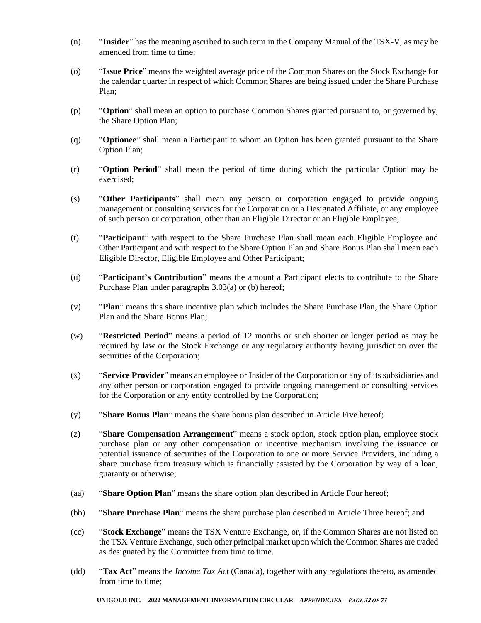- (n) "**Insider**" has the meaning ascribed to such term in the Company Manual of the TSX-V, as may be amended from time to time;
- (o) "**Issue Price**" means the weighted average price of the Common Shares on the Stock Exchange for the calendar quarter in respect of which Common Shares are being issued under the Share Purchase Plan;
- (p) "**Option**" shall mean an option to purchase Common Shares granted pursuant to, or governed by, the Share Option Plan;
- (q) "**Optionee**" shall mean a Participant to whom an Option has been granted pursuant to the Share Option Plan;
- (r) "**Option Period**" shall mean the period of time during which the particular Option may be exercised;
- (s) "**Other Participants**" shall mean any person or corporation engaged to provide ongoing management or consulting services for the Corporation or a Designated Affiliate, or any employee of such person or corporation, other than an Eligible Director or an Eligible Employee;
- (t) "**Participant**" with respect to the Share Purchase Plan shall mean each Eligible Employee and Other Participant and with respect to the Share Option Plan and Share Bonus Plan shall mean each Eligible Director, Eligible Employee and Other Participant;
- (u) "**Participant's Contribution**" means the amount a Participant elects to contribute to the Share Purchase Plan under paragraphs 3.03(a) or (b) hereof;
- (v) "**Plan**" means this share incentive plan which includes the Share Purchase Plan, the Share Option Plan and the Share Bonus Plan;
- (w) "**Restricted Period**" means a period of 12 months or such shorter or longer period as may be required by law or the Stock Exchange or any regulatory authority having jurisdiction over the securities of the Corporation;
- (x) "**Service Provider**" means an employee or Insider of the Corporation or any of its subsidiaries and any other person or corporation engaged to provide ongoing management or consulting services for the Corporation or any entity controlled by the Corporation;
- (y) "**Share Bonus Plan**" means the share bonus plan described in Article Five hereof;
- (z) "**Share Compensation Arrangement**" means a stock option, stock option plan, employee stock purchase plan or any other compensation or incentive mechanism involving the issuance or potential issuance of securities of the Corporation to one or more Service Providers, including a share purchase from treasury which is financially assisted by the Corporation by way of a loan, guaranty or otherwise;
- (aa) "**Share Option Plan**" means the share option plan described in Article Four hereof;
- (bb) "**Share Purchase Plan**" means the share purchase plan described in Article Three hereof; and
- (cc) "**Stock Exchange**" means the TSX Venture Exchange, or, if the Common Shares are not listed on the TSX Venture Exchange, such other principal market upon which the Common Shares are traded as designated by the Committee from time to time.
- (dd) "**Tax Act**" means the *Income Tax Act* (Canada), together with any regulations thereto, as amended from time to time;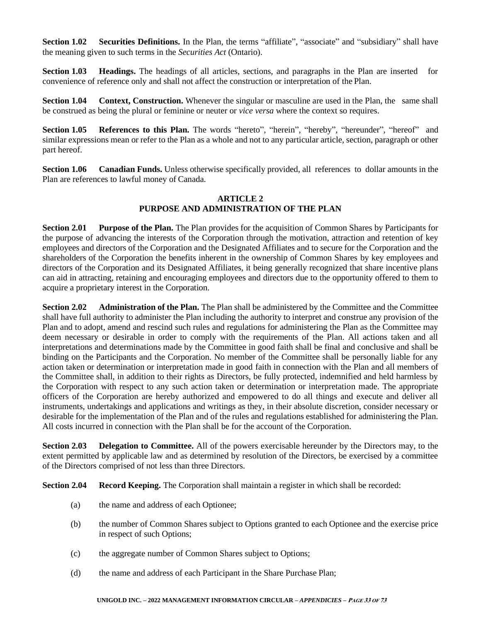**Section 1.02 Securities Definitions.** In the Plan, the terms "affiliate", "associate" and "subsidiary" shall have the meaning given to such terms in the *Securities Act* (Ontario).

**Section 1.03 Headings.** The headings of all articles, sections, and paragraphs in the Plan are inserted for convenience of reference only and shall not affect the construction or interpretation of the Plan.

**Section 1.04 Context, Construction.** Whenever the singular or masculine are used in the Plan, the same shall be construed as being the plural or feminine or neuter or *vice versa* where the context so requires.

Section 1.05 **References to this Plan.** The words "hereto", "herein", "hereby", "hereunder", "hereof" and similar expressions mean or refer to the Plan as a whole and not to any particular article, section, paragraph or other part hereof.

**Section 1.06 Canadian Funds.** Unless otherwise specifically provided, all references to dollar amounts in the Plan are references to lawful money of Canada.

## **ARTICLE 2 PURPOSE AND ADMINISTRATION OF THE PLAN**

**Section 2.01 Purpose of the Plan.** The Plan provides for the acquisition of Common Shares by Participants for the purpose of advancing the interests of the Corporation through the motivation, attraction and retention of key employees and directors of the Corporation and the Designated Affiliates and to secure for the Corporation and the shareholders of the Corporation the benefits inherent in the ownership of Common Shares by key employees and directors of the Corporation and its Designated Affiliates, it being generally recognized that share incentive plans can aid in attracting, retaining and encouraging employees and directors due to the opportunity offered to them to acquire a proprietary interest in the Corporation.

**Section 2.02 Administration of the Plan.** The Plan shall be administered by the Committee and the Committee shall have full authority to administer the Plan including the authority to interpret and construe any provision of the Plan and to adopt, amend and rescind such rules and regulations for administering the Plan as the Committee may deem necessary or desirable in order to comply with the requirements of the Plan. All actions taken and all interpretations and determinations made by the Committee in good faith shall be final and conclusive and shall be binding on the Participants and the Corporation. No member of the Committee shall be personally liable for any action taken or determination or interpretation made in good faith in connection with the Plan and all members of the Committee shall, in addition to their rights as Directors, be fully protected, indemnified and held harmless by the Corporation with respect to any such action taken or determination or interpretation made. The appropriate officers of the Corporation are hereby authorized and empowered to do all things and execute and deliver all instruments, undertakings and applications and writings as they, in their absolute discretion, consider necessary or desirable for the implementation of the Plan and of the rules and regulations established for administering the Plan. All costs incurred in connection with the Plan shall be for the account of the Corporation.

**Section 2.03 Delegation to Committee.** All of the powers exercisable hereunder by the Directors may, to the extent permitted by applicable law and as determined by resolution of the Directors, be exercised by a committee of the Directors comprised of not less than three Directors.

**Section 2.04 Record Keeping.** The Corporation shall maintain a register in which shall be recorded:

- (a) the name and address of each Optionee;
- (b) the number of Common Shares subject to Options granted to each Optionee and the exercise price in respect of such Options;
- (c) the aggregate number of Common Shares subject to Options;
- (d) the name and address of each Participant in the Share Purchase Plan;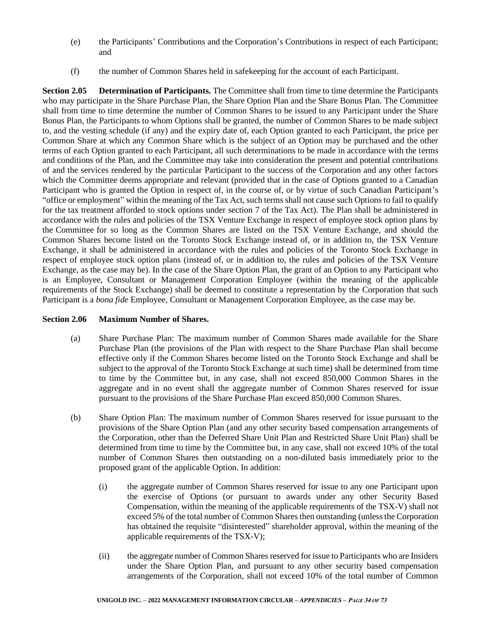- (e) the Participants' Contributions and the Corporation's Contributions in respect of each Participant; and
- (f) the number of Common Shares held in safekeeping for the account of each Participant.

**Section 2.05 Determination of Participants.** The Committee shall from time to time determine the Participants who may participate in the Share Purchase Plan, the Share Option Plan and the Share Bonus Plan. The Committee shall from time to time determine the number of Common Shares to be issued to any Participant under the Share Bonus Plan, the Participants to whom Options shall be granted, the number of Common Shares to be made subject to, and the vesting schedule (if any) and the expiry date of, each Option granted to each Participant, the price per Common Share at which any Common Share which is the subject of an Option may be purchased and the other terms of each Option granted to each Participant, all such determinations to be made in accordance with the terms and conditions of the Plan, and the Committee may take into consideration the present and potential contributions of and the services rendered by the particular Participant to the success of the Corporation and any other factors which the Committee deems appropriate and relevant (provided that in the case of Options granted to a Canadian Participant who is granted the Option in respect of, in the course of, or by virtue of such Canadian Participant's "office or employment" within the meaning of the Tax Act, such terms shall not cause such Options to fail to qualify for the tax treatment afforded to stock options under section 7 of the Tax Act). The Plan shall be administered in accordance with the rules and policies of the TSX Venture Exchange in respect of employee stock option plans by the Committee for so long as the Common Shares are listed on the TSX Venture Exchange, and should the Common Shares become listed on the Toronto Stock Exchange instead of, or in addition to, the TSX Venture Exchange, it shall be administered in accordance with the rules and policies of the Toronto Stock Exchange in respect of employee stock option plans (instead of, or in addition to, the rules and policies of the TSX Venture Exchange, as the case may be). In the case of the Share Option Plan, the grant of an Option to any Participant who is an Employee, Consultant or Management Corporation Employee (within the meaning of the applicable requirements of the Stock Exchange) shall be deemed to constitute a representation by the Corporation that such Participant is a *bona fide* Employee, Consultant or Management Corporation Employee, as the case may be.

## **Section 2.06 Maximum Number of Shares.**

- (a) Share Purchase Plan: The maximum number of Common Shares made available for the Share Purchase Plan (the provisions of the Plan with respect to the Share Purchase Plan shall become effective only if the Common Shares become listed on the Toronto Stock Exchange and shall be subject to the approval of the Toronto Stock Exchange at such time) shall be determined from time to time by the Committee but, in any case, shall not exceed 850,000 Common Shares in the aggregate and in no event shall the aggregate number of Common Shares reserved for issue pursuant to the provisions of the Share Purchase Plan exceed 850,000 Common Shares.
- (b) Share Option Plan: The maximum number of Common Shares reserved for issue pursuant to the provisions of the Share Option Plan (and any other security based compensation arrangements of the Corporation, other than the Deferred Share Unit Plan and Restricted Share Unit Plan) shall be determined from time to time by the Committee but, in any case, shall not exceed 10% of the total number of Common Shares then outstanding on a non-diluted basis immediately prior to the proposed grant of the applicable Option. In addition:
	- (i) the aggregate number of Common Shares reserved for issue to any one Participant upon the exercise of Options (or pursuant to awards under any other Security Based Compensation, within the meaning of the applicable requirements of the TSX-V) shall not exceed 5% of the total number of Common Shares then outstanding (unless the Corporation has obtained the requisite "disinterested" shareholder approval, within the meaning of the applicable requirements of the TSX-V);
	- (ii) the aggregate number of Common Shares reserved for issue to Participants who are Insiders under the Share Option Plan, and pursuant to any other security based compensation arrangements of the Corporation, shall not exceed 10% of the total number of Common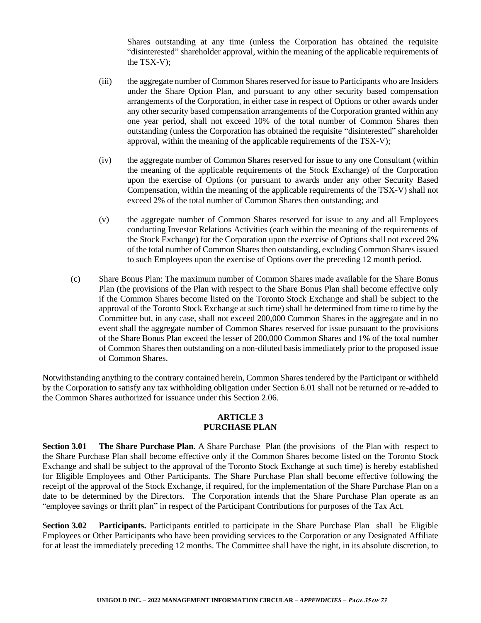Shares outstanding at any time (unless the Corporation has obtained the requisite "disinterested" shareholder approval, within the meaning of the applicable requirements of the TSX-V);

- (iii) the aggregate number of Common Shares reserved for issue to Participants who are Insiders under the Share Option Plan, and pursuant to any other security based compensation arrangements of the Corporation, in either case in respect of Options or other awards under any other security based compensation arrangements of the Corporation granted within any one year period, shall not exceed 10% of the total number of Common Shares then outstanding (unless the Corporation has obtained the requisite "disinterested" shareholder approval, within the meaning of the applicable requirements of the TSX-V);
- (iv) the aggregate number of Common Shares reserved for issue to any one Consultant (within the meaning of the applicable requirements of the Stock Exchange) of the Corporation upon the exercise of Options (or pursuant to awards under any other Security Based Compensation, within the meaning of the applicable requirements of the TSX-V) shall not exceed 2% of the total number of Common Shares then outstanding; and
- (v) the aggregate number of Common Shares reserved for issue to any and all Employees conducting Investor Relations Activities (each within the meaning of the requirements of the Stock Exchange) for the Corporation upon the exercise of Options shall not exceed 2% of the total number of Common Shares then outstanding, excluding Common Shares issued to such Employees upon the exercise of Options over the preceding 12 month period.
- (c) Share Bonus Plan: The maximum number of Common Shares made available for the Share Bonus Plan (the provisions of the Plan with respect to the Share Bonus Plan shall become effective only if the Common Shares become listed on the Toronto Stock Exchange and shall be subject to the approval of the Toronto Stock Exchange at such time) shall be determined from time to time by the Committee but, in any case, shall not exceed 200,000 Common Shares in the aggregate and in no event shall the aggregate number of Common Shares reserved for issue pursuant to the provisions of the Share Bonus Plan exceed the lesser of 200,000 Common Shares and 1% of the total number of Common Shares then outstanding on a non-diluted basis immediately prior to the proposed issue of Common Shares.

Notwithstanding anything to the contrary contained herein, Common Shares tendered by the Participant or withheld by the Corporation to satisfy any tax withholding obligation under Section 6.01 shall not be returned or re-added to the Common Shares authorized for issuance under this Section 2.06.

# **ARTICLE 3 PURCHASE PLAN**

**Section 3.01 • The Share Purchase Plan.** A Share Purchase Plan (the provisions of the Plan with respect to the Share Purchase Plan shall become effective only if the Common Shares become listed on the Toronto Stock Exchange and shall be subject to the approval of the Toronto Stock Exchange at such time) is hereby established for Eligible Employees and Other Participants. The Share Purchase Plan shall become effective following the receipt of the approval of the Stock Exchange, if required, for the implementation of the Share Purchase Plan on a date to be determined by the Directors. The Corporation intends that the Share Purchase Plan operate as an "employee savings or thrift plan" in respect of the Participant Contributions for purposes of the Tax Act.

**Section 3.02 Participants.** Participants entitled to participate in the Share Purchase Plan shall be Eligible Employees or Other Participants who have been providing services to the Corporation or any Designated Affiliate for at least the immediately preceding 12 months. The Committee shall have the right, in its absolute discretion, to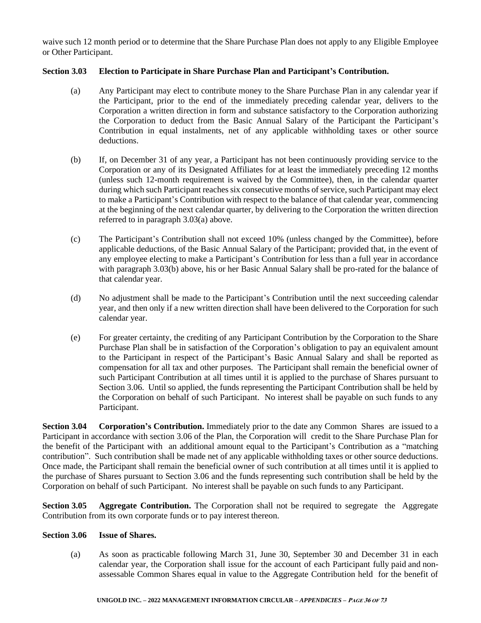waive such 12 month period or to determine that the Share Purchase Plan does not apply to any Eligible Employee or Other Participant.

# **Section 3.03 Election to Participate in Share Purchase Plan and Participant's Contribution.**

- (a) Any Participant may elect to contribute money to the Share Purchase Plan in any calendar year if the Participant, prior to the end of the immediately preceding calendar year, delivers to the Corporation a written direction in form and substance satisfactory to the Corporation authorizing the Corporation to deduct from the Basic Annual Salary of the Participant the Participant's Contribution in equal instalments, net of any applicable withholding taxes or other source deductions.
- (b) If, on December 31 of any year, a Participant has not been continuously providing service to the Corporation or any of its Designated Affiliates for at least the immediately preceding 12 months (unless such 12-month requirement is waived by the Committee), then, in the calendar quarter during which such Participant reaches six consecutive months of service, such Participant may elect to make a Participant's Contribution with respect to the balance of that calendar year, commencing at the beginning of the next calendar quarter, by delivering to the Corporation the written direction referred to in paragraph 3.03(a) above.
- (c) The Participant's Contribution shall not exceed 10% (unless changed by the Committee), before applicable deductions, of the Basic Annual Salary of the Participant; provided that, in the event of any employee electing to make a Participant's Contribution for less than a full year in accordance with paragraph 3.03(b) above, his or her Basic Annual Salary shall be pro-rated for the balance of that calendar year.
- (d) No adjustment shall be made to the Participant's Contribution until the next succeeding calendar year, and then only if a new written direction shall have been delivered to the Corporation for such calendar year.
- (e) For greater certainty, the crediting of any Participant Contribution by the Corporation to the Share Purchase Plan shall be in satisfaction of the Corporation's obligation to pay an equivalent amount to the Participant in respect of the Participant's Basic Annual Salary and shall be reported as compensation for all tax and other purposes. The Participant shall remain the beneficial owner of such Participant Contribution at all times until it is applied to the purchase of Shares pursuant to Section 3.06. Until so applied, the funds representing the Participant Contribution shall be held by the Corporation on behalf of such Participant. No interest shall be payable on such funds to any Participant.

**Section 3.04 • Corporation's Contribution.** Immediately prior to the date any Common Shares are issued to a Participant in accordance with section 3.06 of the Plan, the Corporation will credit to the Share Purchase Plan for the benefit of the Participant with an additional amount equal to the Participant's Contribution as a "matching contribution". Such contribution shall be made net of any applicable withholding taxes or other source deductions. Once made, the Participant shall remain the beneficial owner of such contribution at all times until it is applied to the purchase of Shares pursuant to Section 3.06 and the funds representing such contribution shall be held by the Corporation on behalf of such Participant. No interest shall be payable on such funds to any Participant.

**Section 3.05 Aggregate Contribution.** The Corporation shall not be required to segregate the Aggregate Contribution from its own corporate funds or to pay interest thereon.

## **Section 3.06 Issue of Shares.**

(a) As soon as practicable following March 31, June 30, September 30 and December 31 in each calendar year, the Corporation shall issue for the account of each Participant fully paid and nonassessable Common Shares equal in value to the Aggregate Contribution held for the benefit of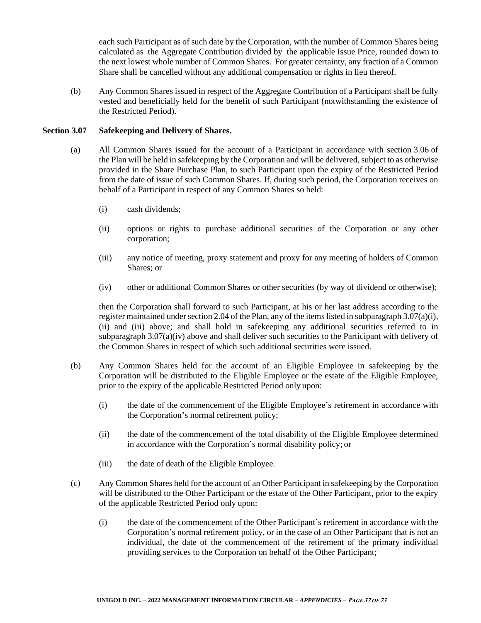each such Participant as of such date by the Corporation, with the number of Common Shares being calculated as the Aggregate Contribution divided by the applicable Issue Price, rounded down to the next lowest whole number of Common Shares. For greater certainty, any fraction of a Common Share shall be cancelled without any additional compensation or rights in lieu thereof.

(b) Any Common Shares issued in respect of the Aggregate Contribution of a Participant shall be fully vested and beneficially held for the benefit of such Participant (notwithstanding the existence of the Restricted Period).

#### **Section 3.07 Safekeeping and Delivery of Shares.**

- (a) All Common Shares issued for the account of a Participant in accordance with section 3.06 of the Plan will be held in safekeeping by the Corporation and will be delivered, subject to as otherwise provided in the Share Purchase Plan, to such Participant upon the expiry of the Restricted Period from the date of issue of such Common Shares. If, during such period, the Corporation receives on behalf of a Participant in respect of any Common Shares so held:
	- (i) cash dividends;
	- (ii) options or rights to purchase additional securities of the Corporation or any other corporation;
	- (iii) any notice of meeting, proxy statement and proxy for any meeting of holders of Common Shares; or
	- (iv) other or additional Common Shares or other securities (by way of dividend or otherwise);

then the Corporation shall forward to such Participant, at his or her last address according to the register maintained under section 2.04 of the Plan, any of the items listed in subparagraph  $3.07(a)(i)$ , (ii) and (iii) above; and shall hold in safekeeping any additional securities referred to in subparagraph  $3.07(a)(iv)$  above and shall deliver such securities to the Participant with delivery of the Common Shares in respect of which such additional securities were issued.

- (b) Any Common Shares held for the account of an Eligible Employee in safekeeping by the Corporation will be distributed to the Eligible Employee or the estate of the Eligible Employee, prior to the expiry of the applicable Restricted Period only upon:
	- (i) the date of the commencement of the Eligible Employee's retirement in accordance with the Corporation's normal retirement policy;
	- (ii) the date of the commencement of the total disability of the Eligible Employee determined in accordance with the Corporation's normal disability policy; or
	- (iii) the date of death of the Eligible Employee.
- (c) Any Common Shares held for the account of an Other Participant in safekeeping by the Corporation will be distributed to the Other Participant or the estate of the Other Participant, prior to the expiry of the applicable Restricted Period only upon:
	- (i) the date of the commencement of the Other Participant's retirement in accordance with the Corporation's normal retirement policy, or in the case of an Other Participant that is not an individual, the date of the commencement of the retirement of the primary individual providing services to the Corporation on behalf of the Other Participant;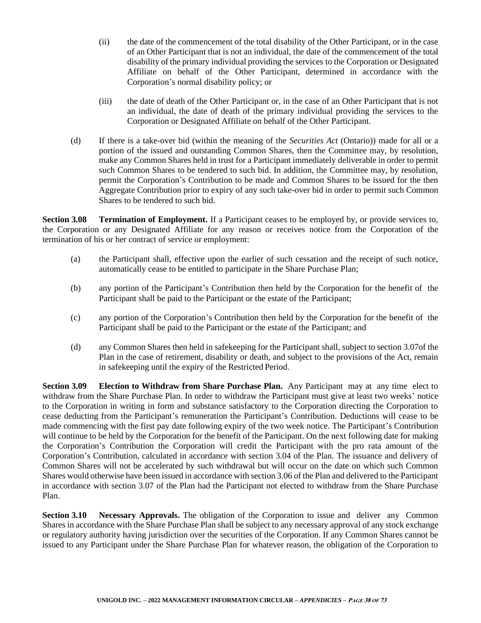- (ii) the date of the commencement of the total disability of the Other Participant, or in the case of an Other Participant that is not an individual, the date of the commencement of the total disability of the primary individual providing the services to the Corporation or Designated Affiliate on behalf of the Other Participant, determined in accordance with the Corporation's normal disability policy; or
- (iii) the date of death of the Other Participant or, in the case of an Other Participant that is not an individual, the date of death of the primary individual providing the services to the Corporation or Designated Affiliate on behalf of the Other Participant.
- (d) If there is a take-over bid (within the meaning of the *Securities Act* (Ontario)) made for all or a portion of the issued and outstanding Common Shares, then the Committee may, by resolution, make any Common Shares held in trust for a Participant immediately deliverable in order to permit such Common Shares to be tendered to such bid. In addition, the Committee may, by resolution, permit the Corporation's Contribution to be made and Common Shares to be issued for the then Aggregate Contribution prior to expiry of any such take-over bid in order to permit such Common Shares to be tendered to such bid.

**Section 3.08 Termination of Employment.** If a Participant ceases to be employed by, or provide services to, the Corporation or any Designated Affiliate for any reason or receives notice from the Corporation of the termination of his or her contract of service or employment:

- (a) the Participant shall, effective upon the earlier of such cessation and the receipt of such notice, automatically cease to be entitled to participate in the Share Purchase Plan;
- (b) any portion of the Participant's Contribution then held by the Corporation for the benefit of the Participant shall be paid to the Participant or the estate of the Participant;
- (c) any portion of the Corporation's Contribution then held by the Corporation for the benefit of the Participant shall be paid to the Participant or the estate of the Participant; and
- (d) any Common Shares then held in safekeeping for the Participant shall, subject to section 3.07of the Plan in the case of retirement, disability or death, and subject to the provisions of the Act, remain in safekeeping until the expiry of the Restricted Period.

**Section 3.09 Election to Withdraw from Share Purchase Plan.** Any Participant may at any time elect to withdraw from the Share Purchase Plan. In order to withdraw the Participant must give at least two weeks' notice to the Corporation in writing in form and substance satisfactory to the Corporation directing the Corporation to cease deducting from the Participant's remuneration the Participant's Contribution. Deductions will cease to be made commencing with the first pay date following expiry of the two week notice. The Participant's Contribution will continue to be held by the Corporation for the benefit of the Participant. On the next following date for making the Corporation's Contribution the Corporation will credit the Participant with the pro rata amount of the Corporation's Contribution, calculated in accordance with section 3.04 of the Plan. The issuance and delivery of Common Shares will not be accelerated by such withdrawal but will occur on the date on which such Common Shares would otherwise have been issued in accordance with section 3.06 of the Plan and delivered to the Participant in accordance with section 3.07 of the Plan had the Participant not elected to withdraw from the Share Purchase Plan.

**Section 3.10 • Necessary Approvals.** The obligation of the Corporation to issue and deliver any Common Shares in accordance with the Share Purchase Plan shall be subject to any necessary approval of any stock exchange or regulatory authority having jurisdiction over the securities of the Corporation. If any Common Shares cannot be issued to any Participant under the Share Purchase Plan for whatever reason, the obligation of the Corporation to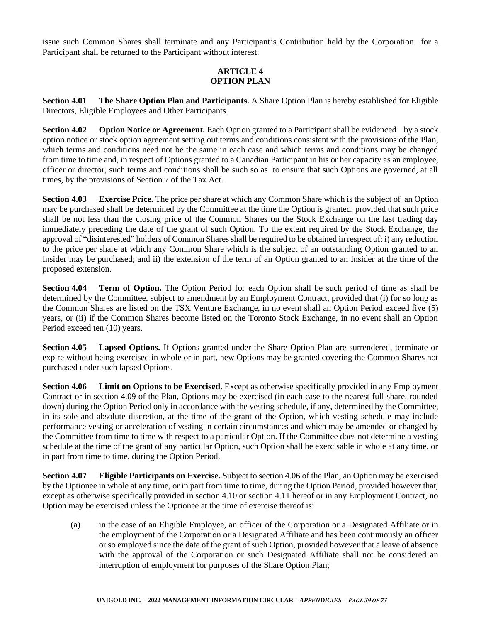issue such Common Shares shall terminate and any Participant's Contribution held by the Corporation for a Participant shall be returned to the Participant without interest.

# **ARTICLE 4 OPTION PLAN**

**Section 4.01 The Share Option Plan and Participants.** A Share Option Plan is hereby established for Eligible Directors, Eligible Employees and Other Participants.

**Section 4.02 Option Notice or Agreement.** Each Option granted to a Participant shall be evidenced by a stock option notice or stock option agreement setting out terms and conditions consistent with the provisions of the Plan, which terms and conditions need not be the same in each case and which terms and conditions may be changed from time to time and, in respect of Options granted to a Canadian Participant in his or her capacity as an employee, officer or director, such terms and conditions shall be such so as to ensure that such Options are governed, at all times, by the provisions of Section 7 of the Tax Act.

**Section 4.03 Exercise Price.** The price per share at which any Common Share which is the subject of an Option may be purchased shall be determined by the Committee at the time the Option is granted, provided that such price shall be not less than the closing price of the Common Shares on the Stock Exchange on the last trading day immediately preceding the date of the grant of such Option. To the extent required by the Stock Exchange, the approval of "disinterested" holders of Common Shares shall be required to be obtained in respect of: i) any reduction to the price per share at which any Common Share which is the subject of an outstanding Option granted to an Insider may be purchased; and ii) the extension of the term of an Option granted to an Insider at the time of the proposed extension.

**Section 4.04 Term of Option.** The Option Period for each Option shall be such period of time as shall be determined by the Committee, subject to amendment by an Employment Contract, provided that (i) for so long as the Common Shares are listed on the TSX Venture Exchange, in no event shall an Option Period exceed five (5) years, or (ii) if the Common Shares become listed on the Toronto Stock Exchange, in no event shall an Option Period exceed ten (10) years.

**Section 4.05 Lapsed Options.** If Options granted under the Share Option Plan are surrendered, terminate or expire without being exercised in whole or in part, new Options may be granted covering the Common Shares not purchased under such lapsed Options.

**Section 4.06 Limit on Options to be Exercised.** Except as otherwise specifically provided in any Employment Contract or in section 4.09 of the Plan, Options may be exercised (in each case to the nearest full share, rounded down) during the Option Period only in accordance with the vesting schedule, if any, determined by the Committee, in its sole and absolute discretion, at the time of the grant of the Option, which vesting schedule may include performance vesting or acceleration of vesting in certain circumstances and which may be amended or changed by the Committee from time to time with respect to a particular Option. If the Committee does not determine a vesting schedule at the time of the grant of any particular Option, such Option shall be exercisable in whole at any time, or in part from time to time, during the Option Period.

**Section 4.07 Eligible Participants on Exercise.** Subject to section 4.06 of the Plan, an Option may be exercised by the Optionee in whole at any time, or in part from time to time, during the Option Period, provided however that, except as otherwise specifically provided in section 4.10 or section 4.11 hereof or in any Employment Contract, no Option may be exercised unless the Optionee at the time of exercise thereof is:

(a) in the case of an Eligible Employee, an officer of the Corporation or a Designated Affiliate or in the employment of the Corporation or a Designated Affiliate and has been continuously an officer or so employed since the date of the grant of such Option, provided however that a leave of absence with the approval of the Corporation or such Designated Affiliate shall not be considered an interruption of employment for purposes of the Share Option Plan;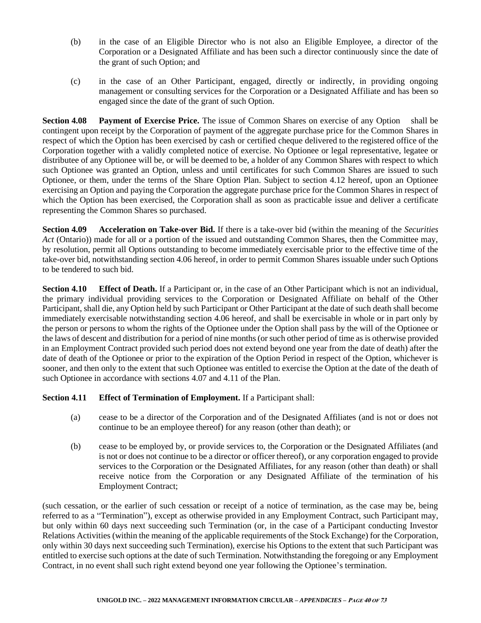- (b) in the case of an Eligible Director who is not also an Eligible Employee, a director of the Corporation or a Designated Affiliate and has been such a director continuously since the date of the grant of such Option; and
- (c) in the case of an Other Participant, engaged, directly or indirectly, in providing ongoing management or consulting services for the Corporation or a Designated Affiliate and has been so engaged since the date of the grant of such Option.

**Section 4.08 Payment of Exercise Price.** The issue of Common Shares on exercise of any Option shall be contingent upon receipt by the Corporation of payment of the aggregate purchase price for the Common Shares in respect of which the Option has been exercised by cash or certified cheque delivered to the registered office of the Corporation together with a validly completed notice of exercise. No Optionee or legal representative, legatee or distributee of any Optionee will be, or will be deemed to be, a holder of any Common Shares with respect to which such Optionee was granted an Option, unless and until certificates for such Common Shares are issued to such Optionee, or them, under the terms of the Share Option Plan. Subject to section 4.12 hereof, upon an Optionee exercising an Option and paying the Corporation the aggregate purchase price for the Common Shares in respect of which the Option has been exercised, the Corporation shall as soon as practicable issue and deliver a certificate representing the Common Shares so purchased.

**Section 4.09 Acceleration on Take-over Bid.** If there is a take-over bid (within the meaning of the *Securities Act* (Ontario)) made for all or a portion of the issued and outstanding Common Shares, then the Committee may, by resolution, permit all Options outstanding to become immediately exercisable prior to the effective time of the take-over bid, notwithstanding section 4.06 hereof, in order to permit Common Shares issuable under such Options to be tendered to such bid.

**Section 4.10 Effect of Death.** If a Participant or, in the case of an Other Participant which is not an individual, the primary individual providing services to the Corporation or Designated Affiliate on behalf of the Other Participant, shall die, any Option held by such Participant or Other Participant at the date of such death shall become immediately exercisable notwithstanding section 4.06 hereof, and shall be exercisable in whole or in part only by the person or persons to whom the rights of the Optionee under the Option shall pass by the will of the Optionee or the laws of descent and distribution for a period of nine months (or such other period of time as is otherwise provided in an Employment Contract provided such period does not extend beyond one year from the date of death) after the date of death of the Optionee or prior to the expiration of the Option Period in respect of the Option, whichever is sooner, and then only to the extent that such Optionee was entitled to exercise the Option at the date of the death of such Optionee in accordance with sections 4.07 and 4.11 of the Plan.

# **Section 4.11 Effect of Termination of Employment.** If a Participant shall:

- (a) cease to be a director of the Corporation and of the Designated Affiliates (and is not or does not continue to be an employee thereof) for any reason (other than death); or
- (b) cease to be employed by, or provide services to, the Corporation or the Designated Affiliates (and is not or does not continue to be a director or officer thereof), or any corporation engaged to provide services to the Corporation or the Designated Affiliates, for any reason (other than death) or shall receive notice from the Corporation or any Designated Affiliate of the termination of his Employment Contract;

(such cessation, or the earlier of such cessation or receipt of a notice of termination, as the case may be, being referred to as a "Termination"), except as otherwise provided in any Employment Contract, such Participant may, but only within 60 days next succeeding such Termination (or, in the case of a Participant conducting Investor Relations Activities (within the meaning of the applicable requirements of the Stock Exchange) for the Corporation, only within 30 days next succeeding such Termination), exercise his Options to the extent that such Participant was entitled to exercise such options at the date of such Termination. Notwithstanding the foregoing or any Employment Contract, in no event shall such right extend beyond one year following the Optionee's termination.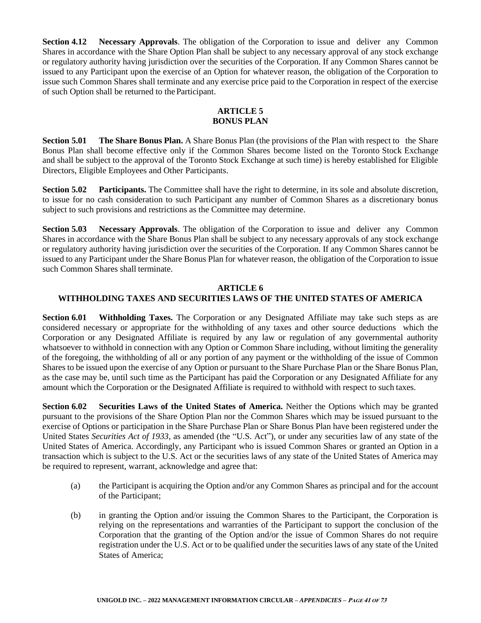**Section 4.12 • Necessary Approvals.** The obligation of the Corporation to issue and deliver any Common Shares in accordance with the Share Option Plan shall be subject to any necessary approval of any stock exchange or regulatory authority having jurisdiction over the securities of the Corporation. If any Common Shares cannot be issued to any Participant upon the exercise of an Option for whatever reason, the obligation of the Corporation to issue such Common Shares shall terminate and any exercise price paid to the Corporation in respect of the exercise of such Option shall be returned to the Participant.

# **ARTICLE 5 BONUS PLAN**

**Section 5.01 The Share Bonus Plan.** A Share Bonus Plan (the provisions of the Plan with respect to the Share Bonus Plan shall become effective only if the Common Shares become listed on the Toronto Stock Exchange and shall be subject to the approval of the Toronto Stock Exchange at such time) is hereby established for Eligible Directors, Eligible Employees and Other Participants.

**Section 5.02 Participants.** The Committee shall have the right to determine, in its sole and absolute discretion, to issue for no cash consideration to such Participant any number of Common Shares as a discretionary bonus subject to such provisions and restrictions as the Committee may determine.

**Section 5.03 Necessary Approvals**. The obligation of the Corporation to issue and deliver any Common Shares in accordance with the Share Bonus Plan shall be subject to any necessary approvals of any stock exchange or regulatory authority having jurisdiction over the securities of the Corporation. If any Common Shares cannot be issued to any Participant under the Share Bonus Plan for whatever reason, the obligation of the Corporation to issue such Common Shares shall terminate.

#### **ARTICLE 6 WITHHOLDING TAXES AND SECURITIES LAWS OF THE UNITED STATES OF AMERICA**

**Section 6.01 Withholding Taxes.** The Corporation or any Designated Affiliate may take such steps as are considered necessary or appropriate for the withholding of any taxes and other source deductions which the Corporation or any Designated Affiliate is required by any law or regulation of any governmental authority whatsoever to withhold in connection with any Option or Common Share including, without limiting the generality of the foregoing, the withholding of all or any portion of any payment or the withholding of the issue of Common Shares to be issued upon the exercise of any Option or pursuant to the Share Purchase Plan or the Share Bonus Plan, as the case may be, until such time as the Participant has paid the Corporation or any Designated Affiliate for any amount which the Corporation or the Designated Affiliate is required to withhold with respect to such taxes.

**Section 6.02 Securities Laws of the United States of America.** Neither the Options which may be granted pursuant to the provisions of the Share Option Plan nor the Common Shares which may be issued pursuant to the exercise of Options or participation in the Share Purchase Plan or Share Bonus Plan have been registered under the United States *Securities Act of 1933*, as amended (the "U.S. Act"), or under any securities law of any state of the United States of America. Accordingly, any Participant who is issued Common Shares or granted an Option in a transaction which is subject to the U.S. Act or the securities laws of any state of the United States of America may be required to represent, warrant, acknowledge and agree that:

- (a) the Participant is acquiring the Option and/or any Common Shares as principal and for the account of the Participant;
- (b) in granting the Option and/or issuing the Common Shares to the Participant, the Corporation is relying on the representations and warranties of the Participant to support the conclusion of the Corporation that the granting of the Option and/or the issue of Common Shares do not require registration under the U.S. Act or to be qualified under the securities laws of any state of the United States of America;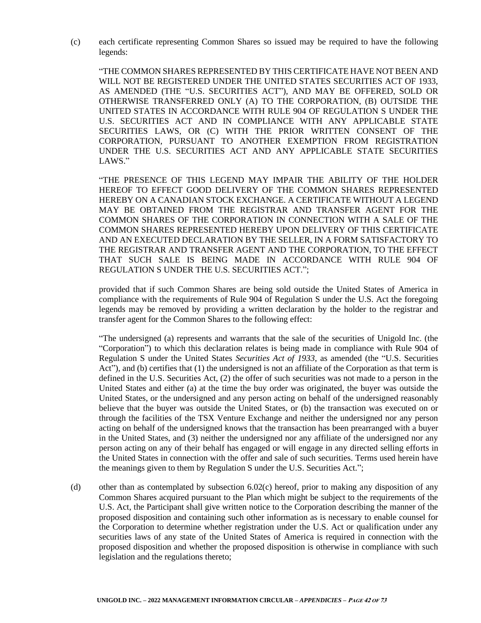(c) each certificate representing Common Shares so issued may be required to have the following legends:

"THE COMMON SHARES REPRESENTED BY THIS CERTIFICATE HAVE NOT BEEN AND WILL NOT BE REGISTERED UNDER THE UNITED STATES SECURITIES ACT OF 1933, AS AMENDED (THE "U.S. SECURITIES ACT"), AND MAY BE OFFERED, SOLD OR OTHERWISE TRANSFERRED ONLY (A) TO THE CORPORATION, (B) OUTSIDE THE UNITED STATES IN ACCORDANCE WITH RULE 904 OF REGULATION S UNDER THE U.S. SECURITIES ACT AND IN COMPLIANCE WITH ANY APPLICABLE STATE SECURITIES LAWS, OR (C) WITH THE PRIOR WRITTEN CONSENT OF THE CORPORATION, PURSUANT TO ANOTHER EXEMPTION FROM REGISTRATION UNDER THE U.S. SECURITIES ACT AND ANY APPLICABLE STATE SECURITIES LAWS."

"THE PRESENCE OF THIS LEGEND MAY IMPAIR THE ABILITY OF THE HOLDER HEREOF TO EFFECT GOOD DELIVERY OF THE COMMON SHARES REPRESENTED HEREBY ON A CANADIAN STOCK EXCHANGE. A CERTIFICATE WITHOUT A LEGEND MAY BE OBTAINED FROM THE REGISTRAR AND TRANSFER AGENT FOR THE COMMON SHARES OF THE CORPORATION IN CONNECTION WITH A SALE OF THE COMMON SHARES REPRESENTED HEREBY UPON DELIVERY OF THIS CERTIFICATE AND AN EXECUTED DECLARATION BY THE SELLER, IN A FORM SATISFACTORY TO THE REGISTRAR AND TRANSFER AGENT AND THE CORPORATION, TO THE EFFECT THAT SUCH SALE IS BEING MADE IN ACCORDANCE WITH RULE 904 OF REGULATION S UNDER THE U.S. SECURITIES ACT.";

provided that if such Common Shares are being sold outside the United States of America in compliance with the requirements of Rule 904 of Regulation S under the U.S. Act the foregoing legends may be removed by providing a written declaration by the holder to the registrar and transfer agent for the Common Shares to the following effect:

"The undersigned (a) represents and warrants that the sale of the securities of Unigold Inc. (the "Corporation") to which this declaration relates is being made in compliance with Rule 904 of Regulation S under the United States *Securities Act of 1933*, as amended (the "U.S. Securities Act"), and (b) certifies that (1) the undersigned is not an affiliate of the Corporation as that term is defined in the U.S. Securities Act, (2) the offer of such securities was not made to a person in the United States and either (a) at the time the buy order was originated, the buyer was outside the United States, or the undersigned and any person acting on behalf of the undersigned reasonably believe that the buyer was outside the United States, or (b) the transaction was executed on or through the facilities of the TSX Venture Exchange and neither the undersigned nor any person acting on behalf of the undersigned knows that the transaction has been prearranged with a buyer in the United States, and (3) neither the undersigned nor any affiliate of the undersigned nor any person acting on any of their behalf has engaged or will engage in any directed selling efforts in the United States in connection with the offer and sale of such securities. Terms used herein have the meanings given to them by Regulation S under the U.S. Securities Act.";

(d) other than as contemplated by subsection 6.02(c) hereof, prior to making any disposition of any Common Shares acquired pursuant to the Plan which might be subject to the requirements of the U.S. Act, the Participant shall give written notice to the Corporation describing the manner of the proposed disposition and containing such other information as is necessary to enable counsel for the Corporation to determine whether registration under the U.S. Act or qualification under any securities laws of any state of the United States of America is required in connection with the proposed disposition and whether the proposed disposition is otherwise in compliance with such legislation and the regulations thereto;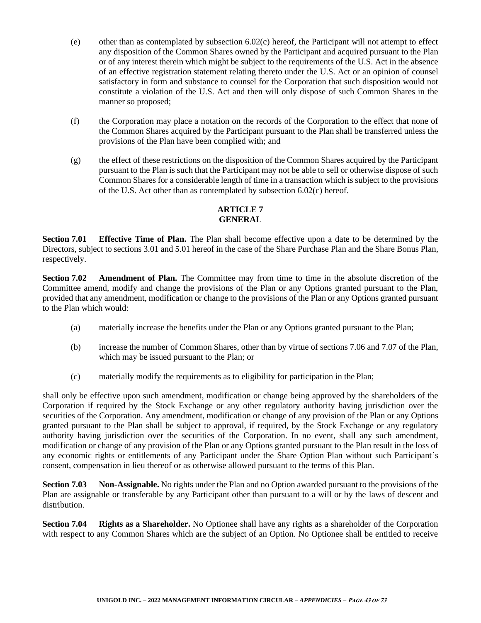- (e) other than as contemplated by subsection  $6.02(c)$  hereof, the Participant will not attempt to effect any disposition of the Common Shares owned by the Participant and acquired pursuant to the Plan or of any interest therein which might be subject to the requirements of the U.S. Act in the absence of an effective registration statement relating thereto under the U.S. Act or an opinion of counsel satisfactory in form and substance to counsel for the Corporation that such disposition would not constitute a violation of the U.S. Act and then will only dispose of such Common Shares in the manner so proposed;
- (f) the Corporation may place a notation on the records of the Corporation to the effect that none of the Common Shares acquired by the Participant pursuant to the Plan shall be transferred unless the provisions of the Plan have been complied with; and
- (g) the effect of these restrictions on the disposition of the Common Shares acquired by the Participant pursuant to the Plan is such that the Participant may not be able to sell or otherwise dispose of such Common Shares for a considerable length of time in a transaction which is subject to the provisions of the U.S. Act other than as contemplated by subsection 6.02(c) hereof.

# **ARTICLE 7 GENERAL**

**Section 7.01 Effective Time of Plan.** The Plan shall become effective upon a date to be determined by the Directors, subject to sections 3.01 and 5.01 hereof in the case of the Share Purchase Plan and the Share Bonus Plan, respectively.

**Section 7.02 Amendment of Plan.** The Committee may from time to time in the absolute discretion of the Committee amend, modify and change the provisions of the Plan or any Options granted pursuant to the Plan, provided that any amendment, modification or change to the provisions of the Plan or any Options granted pursuant to the Plan which would:

- (a) materially increase the benefits under the Plan or any Options granted pursuant to the Plan;
- (b) increase the number of Common Shares, other than by virtue of sections 7.06 and 7.07 of the Plan, which may be issued pursuant to the Plan; or
- (c) materially modify the requirements as to eligibility for participation in the Plan;

shall only be effective upon such amendment, modification or change being approved by the shareholders of the Corporation if required by the Stock Exchange or any other regulatory authority having jurisdiction over the securities of the Corporation. Any amendment, modification or change of any provision of the Plan or any Options granted pursuant to the Plan shall be subject to approval, if required, by the Stock Exchange or any regulatory authority having jurisdiction over the securities of the Corporation. In no event, shall any such amendment, modification or change of any provision of the Plan or any Options granted pursuant to the Plan result in the loss of any economic rights or entitlements of any Participant under the Share Option Plan without such Participant's consent, compensation in lieu thereof or as otherwise allowed pursuant to the terms of this Plan.

**Section 7.03 Non-Assignable.** No rights under the Plan and no Option awarded pursuant to the provisions of the Plan are assignable or transferable by any Participant other than pursuant to a will or by the laws of descent and distribution.

**Section 7.04 Rights as a Shareholder.** No Optionee shall have any rights as a shareholder of the Corporation with respect to any Common Shares which are the subject of an Option. No Optionee shall be entitled to receive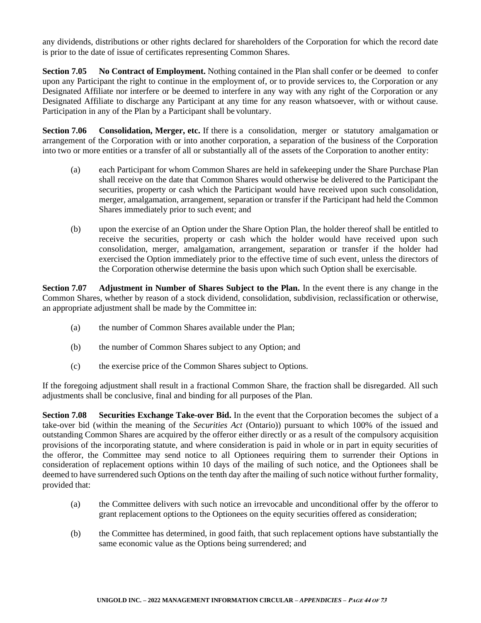any dividends, distributions or other rights declared for shareholders of the Corporation for which the record date is prior to the date of issue of certificates representing Common Shares.

**Section 7.05 No Contract of Employment.** Nothing contained in the Plan shall confer or be deemed to confer upon any Participant the right to continue in the employment of, or to provide services to, the Corporation or any Designated Affiliate nor interfere or be deemed to interfere in any way with any right of the Corporation or any Designated Affiliate to discharge any Participant at any time for any reason whatsoever, with or without cause. Participation in any of the Plan by a Participant shall be voluntary.

**Section 7.06 Consolidation, Merger, etc.** If there is a consolidation, merger or statutory amalgamation or arrangement of the Corporation with or into another corporation, a separation of the business of the Corporation into two or more entities or a transfer of all or substantially all of the assets of the Corporation to another entity:

- (a) each Participant for whom Common Shares are held in safekeeping under the Share Purchase Plan shall receive on the date that Common Shares would otherwise be delivered to the Participant the securities, property or cash which the Participant would have received upon such consolidation, merger, amalgamation, arrangement, separation or transfer if the Participant had held the Common Shares immediately prior to such event; and
- (b) upon the exercise of an Option under the Share Option Plan, the holder thereof shall be entitled to receive the securities, property or cash which the holder would have received upon such consolidation, merger, amalgamation, arrangement, separation or transfer if the holder had exercised the Option immediately prior to the effective time of such event, unless the directors of the Corporation otherwise determine the basis upon which such Option shall be exercisable.

**Section 7.07 Adjustment in Number of Shares Subject to the Plan.** In the event there is any change in the Common Shares, whether by reason of a stock dividend, consolidation, subdivision, reclassification or otherwise, an appropriate adjustment shall be made by the Committee in:

- (a) the number of Common Shares available under the Plan;
- (b) the number of Common Shares subject to any Option; and
- (c) the exercise price of the Common Shares subject to Options.

If the foregoing adjustment shall result in a fractional Common Share, the fraction shall be disregarded. All such adjustments shall be conclusive, final and binding for all purposes of the Plan.

**Section 7.08 Securities Exchange Take-over Bid.** In the event that the Corporation becomes the subject of a take-over bid (within the meaning of the *Securities Act* (Ontario)) pursuant to which 100% of the issued and outstanding Common Shares are acquired by the offeror either directly or as a result of the compulsory acquisition provisions of the incorporating statute, and where consideration is paid in whole or in part in equity securities of the offeror, the Committee may send notice to all Optionees requiring them to surrender their Options in consideration of replacement options within 10 days of the mailing of such notice, and the Optionees shall be deemed to have surrendered such Options on the tenth day after the mailing of such notice without further formality, provided that:

- (a) the Committee delivers with such notice an irrevocable and unconditional offer by the offeror to grant replacement options to the Optionees on the equity securities offered as consideration;
- (b) the Committee has determined, in good faith, that such replacement options have substantially the same economic value as the Options being surrendered; and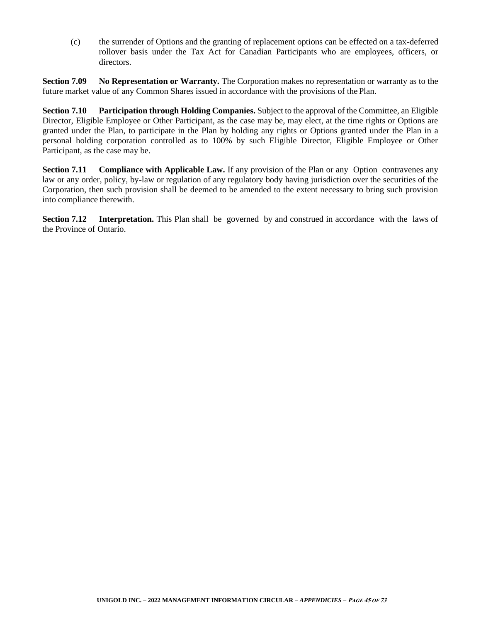(c) the surrender of Options and the granting of replacement options can be effected on a tax-deferred rollover basis under the Tax Act for Canadian Participants who are employees, officers, or directors.

**Section 7.09 No Representation or Warranty.** The Corporation makes no representation or warranty as to the future market value of any Common Shares issued in accordance with the provisions of the Plan.

**Section 7.10 Participation through Holding Companies.** Subject to the approval of the Committee, an Eligible Director, Eligible Employee or Other Participant, as the case may be, may elect, at the time rights or Options are granted under the Plan, to participate in the Plan by holding any rights or Options granted under the Plan in a personal holding corporation controlled as to 100% by such Eligible Director, Eligible Employee or Other Participant, as the case may be.

**Section 7.11 • Compliance with Applicable Law.** If any provision of the Plan or any Option contravenes any law or any order, policy, by-law or regulation of any regulatory body having jurisdiction over the securities of the Corporation, then such provision shall be deemed to be amended to the extent necessary to bring such provision into compliance therewith.

**Section 7.12 Interpretation.** This Plan shall be governed by and construed in accordance with the laws of the Province of Ontario.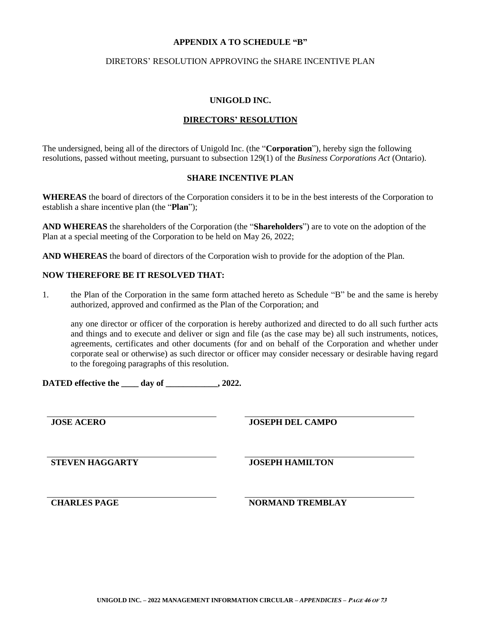#### **APPENDIX A TO SCHEDULE "B"**

#### DIRETORS' RESOLUTION APPROVING the SHARE INCENTIVE PLAN

#### **UNIGOLD INC.**

# **DIRECTORS' RESOLUTION**

The undersigned, being all of the directors of Unigold Inc. (the "**Corporation**"), hereby sign the following resolutions, passed without meeting, pursuant to subsection 129(1) of the *Business Corporations Act* (Ontario).

## **SHARE INCENTIVE PLAN**

**WHEREAS** the board of directors of the Corporation considers it to be in the best interests of the Corporation to establish a share incentive plan (the "**Plan**");

**AND WHEREAS** the shareholders of the Corporation (the "**Shareholders**") are to vote on the adoption of the Plan at a special meeting of the Corporation to be held on May 26, 2022;

**AND WHEREAS** the board of directors of the Corporation wish to provide for the adoption of the Plan.

## **NOW THEREFORE BE IT RESOLVED THAT:**

1. the Plan of the Corporation in the same form attached hereto as Schedule "B" be and the same is hereby authorized, approved and confirmed as the Plan of the Corporation; and

any one director or officer of the corporation is hereby authorized and directed to do all such further acts and things and to execute and deliver or sign and file (as the case may be) all such instruments, notices, agreements, certificates and other documents (for and on behalf of the Corporation and whether under corporate seal or otherwise) as such director or officer may consider necessary or desirable having regard to the foregoing paragraphs of this resolution.

**DATED effective the \_\_\_\_ day of \_\_\_\_\_\_\_\_\_\_\_\_, 2022.**

**JOSE ACERO JOSEPH DEL CAMPO**

**STEVEN HAGGARTY JOSEPH HAMILTON**

**CHARLES PAGE NORMAND TREMBLAY**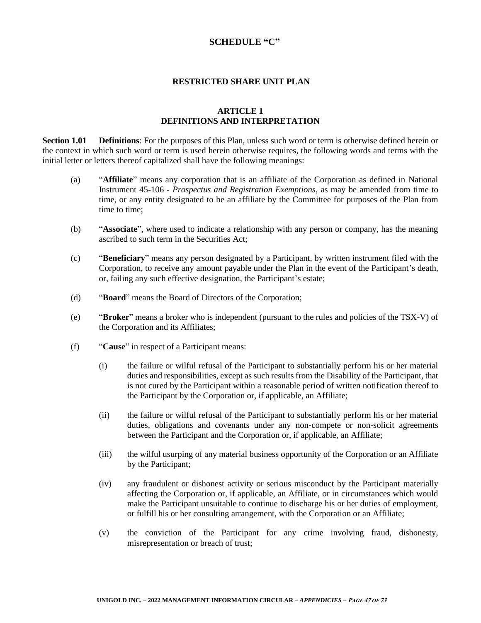# **SCHEDULE "C"**

#### **RESTRICTED SHARE UNIT PLAN**

## **ARTICLE 1 DEFINITIONS AND INTERPRETATION**

**Section 1.01 Definitions**: For the purposes of this Plan, unless such word or term is otherwise defined herein or the context in which such word or term is used herein otherwise requires, the following words and terms with the initial letter or letters thereof capitalized shall have the following meanings:

- (a) "**Affiliate**" means any corporation that is an affiliate of the Corporation as defined in National Instrument 45-106 - *Prospectus and Registration Exemptions*, as may be amended from time to time, or any entity designated to be an affiliate by the Committee for purposes of the Plan from time to time;
- (b) "**Associate**", where used to indicate a relationship with any person or company, has the meaning ascribed to such term in the Securities Act;
- (c) "**Beneficiary**" means any person designated by a Participant, by written instrument filed with the Corporation, to receive any amount payable under the Plan in the event of the Participant's death, or, failing any such effective designation, the Participant's estate;
- (d) "**Board**" means the Board of Directors of the Corporation;
- (e) "**Broker**" means a broker who is independent (pursuant to the rules and policies of the TSX-V) of the Corporation and its Affiliates;
- (f) "**Cause**" in respect of a Participant means:
	- (i) the failure or wilful refusal of the Participant to substantially perform his or her material duties and responsibilities, except as such results from the Disability of the Participant, that is not cured by the Participant within a reasonable period of written notification thereof to the Participant by the Corporation or, if applicable, an Affiliate;
	- (ii) the failure or wilful refusal of the Participant to substantially perform his or her material duties, obligations and covenants under any non-compete or non-solicit agreements between the Participant and the Corporation or, if applicable, an Affiliate;
	- (iii) the wilful usurping of any material business opportunity of the Corporation or an Affiliate by the Participant;
	- (iv) any fraudulent or dishonest activity or serious misconduct by the Participant materially affecting the Corporation or, if applicable, an Affiliate, or in circumstances which would make the Participant unsuitable to continue to discharge his or her duties of employment, or fulfill his or her consulting arrangement, with the Corporation or an Affiliate;
	- (v) the conviction of the Participant for any crime involving fraud, dishonesty, misrepresentation or breach of trust;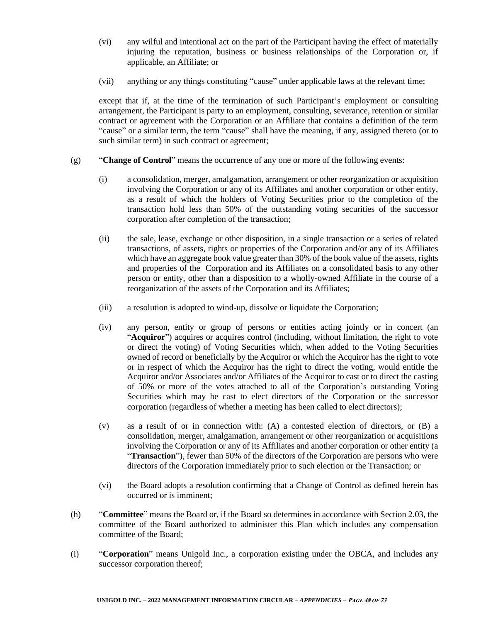- (vi) any wilful and intentional act on the part of the Participant having the effect of materially injuring the reputation, business or business relationships of the Corporation or, if applicable, an Affiliate; or
- (vii) anything or any things constituting "cause" under applicable laws at the relevant time;

except that if, at the time of the termination of such Participant's employment or consulting arrangement, the Participant is party to an employment, consulting, severance, retention or similar contract or agreement with the Corporation or an Affiliate that contains a definition of the term "cause" or a similar term, the term "cause" shall have the meaning, if any, assigned thereto (or to such similar term) in such contract or agreement;

- (g) "**Change of Control**" means the occurrence of any one or more of the following events:
	- (i) a consolidation, merger, amalgamation, arrangement or other reorganization or acquisition involving the Corporation or any of its Affiliates and another corporation or other entity, as a result of which the holders of Voting Securities prior to the completion of the transaction hold less than 50% of the outstanding voting securities of the successor corporation after completion of the transaction;
	- (ii) the sale, lease, exchange or other disposition, in a single transaction or a series of related transactions, of assets, rights or properties of the Corporation and/or any of its Affiliates which have an aggregate book value greater than 30% of the book value of the assets, rights and properties of the Corporation and its Affiliates on a consolidated basis to any other person or entity, other than a disposition to a wholly-owned Affiliate in the course of a reorganization of the assets of the Corporation and its Affiliates;
	- (iii) a resolution is adopted to wind-up, dissolve or liquidate the Corporation;
	- (iv) any person, entity or group of persons or entities acting jointly or in concert (an "**Acquiror**") acquires or acquires control (including, without limitation, the right to vote or direct the voting) of Voting Securities which, when added to the Voting Securities owned of record or beneficially by the Acquiror or which the Acquiror has the right to vote or in respect of which the Acquiror has the right to direct the voting, would entitle the Acquiror and/or Associates and/or Affiliates of the Acquiror to cast or to direct the casting of 50% or more of the votes attached to all of the Corporation's outstanding Voting Securities which may be cast to elect directors of the Corporation or the successor corporation (regardless of whether a meeting has been called to elect directors);
	- (v) as a result of or in connection with: (A) a contested election of directors, or (B) a consolidation, merger, amalgamation, arrangement or other reorganization or acquisitions involving the Corporation or any of its Affiliates and another corporation or other entity (a "**Transaction**"), fewer than 50% of the directors of the Corporation are persons who were directors of the Corporation immediately prior to such election or the Transaction; or
	- (vi) the Board adopts a resolution confirming that a Change of Control as defined herein has occurred or is imminent;
- (h) "**Committee**" means the Board or, if the Board so determines in accordance with Section 2.03, the committee of the Board authorized to administer this Plan which includes any compensation committee of the Board;
- (i) "**Corporation**" means Unigold Inc., a corporation existing under the OBCA, and includes any successor corporation thereof;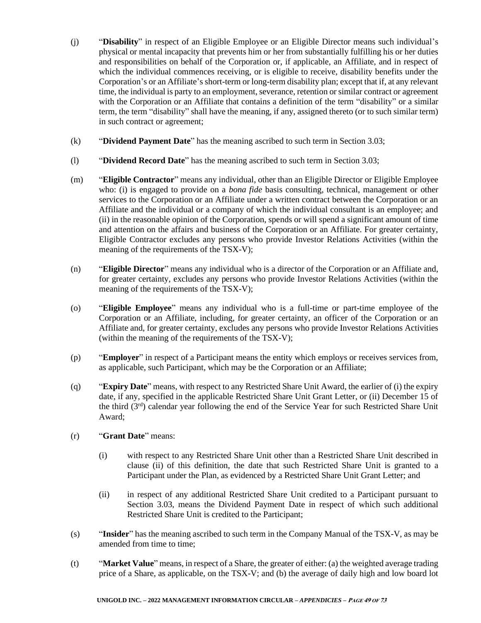- (j) "**Disability**" in respect of an Eligible Employee or an Eligible Director means such individual's physical or mental incapacity that prevents him or her from substantially fulfilling his or her duties and responsibilities on behalf of the Corporation or, if applicable, an Affiliate, and in respect of which the individual commences receiving, or is eligible to receive, disability benefits under the Corporation's or an Affiliate's short-term or long-term disability plan; except that if, at any relevant time, the individual is party to an employment, severance, retention or similar contract or agreement with the Corporation or an Affiliate that contains a definition of the term "disability" or a similar term, the term "disability" shall have the meaning, if any, assigned thereto (or to such similar term) in such contract or agreement;
- (k) "**Dividend Payment Date**" has the meaning ascribed to such term in Section 3.03;
- (l) "**Dividend Record Date**" has the meaning ascribed to such term in Section 3.03;
- (m) "**Eligible Contractor**" means any individual, other than an Eligible Director or Eligible Employee who: (i) is engaged to provide on a *bona fide* basis consulting, technical, management or other services to the Corporation or an Affiliate under a written contract between the Corporation or an Affiliate and the individual or a company of which the individual consultant is an employee; and (ii) in the reasonable opinion of the Corporation, spends or will spend a significant amount of time and attention on the affairs and business of the Corporation or an Affiliate. For greater certainty, Eligible Contractor excludes any persons who provide Investor Relations Activities (within the meaning of the requirements of the TSX-V);
- (n) "**Eligible Director**" means any individual who is a director of the Corporation or an Affiliate and, for greater certainty, excludes any persons who provide Investor Relations Activities (within the meaning of the requirements of the TSX-V);
- (o) "**Eligible Employee**" means any individual who is a full-time or part-time employee of the Corporation or an Affiliate, including, for greater certainty, an officer of the Corporation or an Affiliate and, for greater certainty, excludes any persons who provide Investor Relations Activities (within the meaning of the requirements of the TSX-V);
- (p) "**Employer**" in respect of a Participant means the entity which employs or receives services from, as applicable, such Participant, which may be the Corporation or an Affiliate;
- (q) "**Expiry Date**" means, with respect to any Restricted Share Unit Award, the earlier of (i) the expiry date, if any, specified in the applicable Restricted Share Unit Grant Letter, or (ii) December 15 of the third (3rd) calendar year following the end of the Service Year for such Restricted Share Unit Award;

## (r) "**Grant Date**" means:

- (i) with respect to any Restricted Share Unit other than a Restricted Share Unit described in clause (ii) of this definition, the date that such Restricted Share Unit is granted to a Participant under the Plan, as evidenced by a Restricted Share Unit Grant Letter; and
- (ii) in respect of any additional Restricted Share Unit credited to a Participant pursuant to Section 3.03, means the Dividend Payment Date in respect of which such additional Restricted Share Unit is credited to the Participant;
- (s) "**Insider**" has the meaning ascribed to such term in the Company Manual of the TSX-V, as may be amended from time to time;
- (t) "**Market Value**" means, in respect of a Share, the greater of either: (a) the weighted average trading price of a Share, as applicable, on the TSX-V; and (b) the average of daily high and low board lot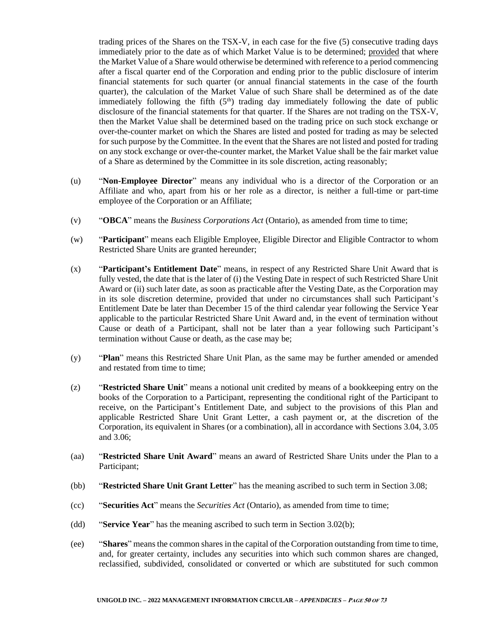trading prices of the Shares on the TSX-V, in each case for the five (5) consecutive trading days immediately prior to the date as of which Market Value is to be determined; provided that where the Market Value of a Share would otherwise be determined with reference to a period commencing after a fiscal quarter end of the Corporation and ending prior to the public disclosure of interim financial statements for such quarter (or annual financial statements in the case of the fourth quarter), the calculation of the Market Value of such Share shall be determined as of the date immediately following the fifth  $(5<sup>th</sup>)$  trading day immediately following the date of public disclosure of the financial statements for that quarter. If the Shares are not trading on the TSX-V, then the Market Value shall be determined based on the trading price on such stock exchange or over-the-counter market on which the Shares are listed and posted for trading as may be selected for such purpose by the Committee. In the event that the Shares are not listed and posted for trading on any stock exchange or over-the-counter market, the Market Value shall be the fair market value of a Share as determined by the Committee in its sole discretion, acting reasonably;

- (u) "**Non-Employee Director**" means any individual who is a director of the Corporation or an Affiliate and who, apart from his or her role as a director, is neither a full-time or part-time employee of the Corporation or an Affiliate;
- (v) "**OBCA**" means the *Business Corporations Act* (Ontario), as amended from time to time;
- (w) "**Participant**" means each Eligible Employee, Eligible Director and Eligible Contractor to whom Restricted Share Units are granted hereunder;
- (x) "**Participant's Entitlement Date**" means, in respect of any Restricted Share Unit Award that is fully vested, the date that is the later of (i) the Vesting Date in respect of such Restricted Share Unit Award or (ii) such later date, as soon as practicable after the Vesting Date, as the Corporation may in its sole discretion determine, provided that under no circumstances shall such Participant's Entitlement Date be later than December 15 of the third calendar year following the Service Year applicable to the particular Restricted Share Unit Award and, in the event of termination without Cause or death of a Participant, shall not be later than a year following such Participant's termination without Cause or death, as the case may be;
- (y) "**Plan**" means this Restricted Share Unit Plan, as the same may be further amended or amended and restated from time to time;
- (z) "**Restricted Share Unit**" means a notional unit credited by means of a bookkeeping entry on the books of the Corporation to a Participant, representing the conditional right of the Participant to receive, on the Participant's Entitlement Date, and subject to the provisions of this Plan and applicable Restricted Share Unit Grant Letter, a cash payment or, at the discretion of the Corporation, its equivalent in Shares (or a combination), all in accordance with Sections 3.04, 3.05 and 3.06;
- (aa) "**Restricted Share Unit Award**" means an award of Restricted Share Units under the Plan to a Participant;
- (bb) "**Restricted Share Unit Grant Letter**" has the meaning ascribed to such term in Section 3.08;
- (cc) "**Securities Act**" means the *Securities Act* (Ontario), as amended from time to time;
- (dd) "**Service Year**" has the meaning ascribed to such term in Section 3.02(b);
- (ee) "**Shares**" means the common shares in the capital of the Corporation outstanding from time to time, and, for greater certainty, includes any securities into which such common shares are changed, reclassified, subdivided, consolidated or converted or which are substituted for such common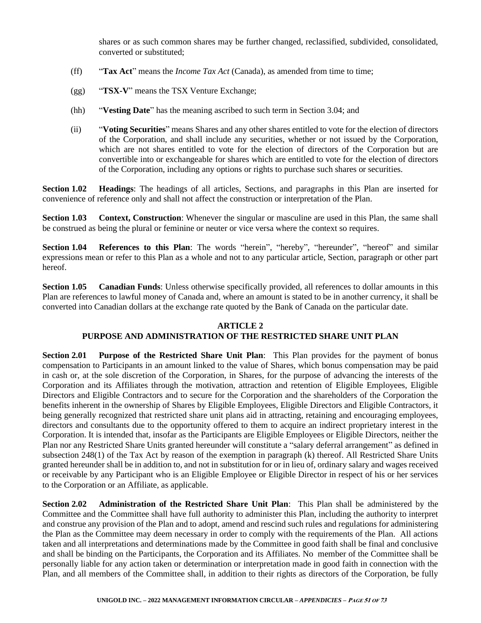shares or as such common shares may be further changed, reclassified, subdivided, consolidated, converted or substituted;

- (ff) "**Tax Act**" means the *Income Tax Act* (Canada), as amended from time to time;
- (gg) "**TSX-V**" means the TSX Venture Exchange;
- (hh) "**Vesting Date**" has the meaning ascribed to such term in Section 3.04; and
- (ii) "**Voting Securities**" means Shares and any other shares entitled to vote for the election of directors of the Corporation, and shall include any securities, whether or not issued by the Corporation, which are not shares entitled to vote for the election of directors of the Corporation but are convertible into or exchangeable for shares which are entitled to vote for the election of directors of the Corporation, including any options or rights to purchase such shares or securities.

**Section 1.02 Headings**: The headings of all articles, Sections, and paragraphs in this Plan are inserted for convenience of reference only and shall not affect the construction or interpretation of the Plan.

**Section 1.03 Context, Construction**: Whenever the singular or masculine are used in this Plan, the same shall be construed as being the plural or feminine or neuter or vice versa where the context so requires.

**Section 1.04 References to this Plan**: The words "herein", "hereby", "hereunder", "hereof" and similar expressions mean or refer to this Plan as a whole and not to any particular article, Section, paragraph or other part hereof.

**Section 1.05 Canadian Funds**: Unless otherwise specifically provided, all references to dollar amounts in this Plan are references to lawful money of Canada and, where an amount is stated to be in another currency, it shall be converted into Canadian dollars at the exchange rate quoted by the Bank of Canada on the particular date.

## **ARTICLE 2**

## **PURPOSE AND ADMINISTRATION OF THE RESTRICTED SHARE UNIT PLAN**

**Section 2.01 Purpose of the Restricted Share Unit Plan**: This Plan provides for the payment of bonus compensation to Participants in an amount linked to the value of Shares, which bonus compensation may be paid in cash or, at the sole discretion of the Corporation, in Shares, for the purpose of advancing the interests of the Corporation and its Affiliates through the motivation, attraction and retention of Eligible Employees, Eligible Directors and Eligible Contractors and to secure for the Corporation and the shareholders of the Corporation the benefits inherent in the ownership of Shares by Eligible Employees, Eligible Directors and Eligible Contractors, it being generally recognized that restricted share unit plans aid in attracting, retaining and encouraging employees, directors and consultants due to the opportunity offered to them to acquire an indirect proprietary interest in the Corporation. It is intended that, insofar as the Participants are Eligible Employees or Eligible Directors, neither the Plan nor any Restricted Share Units granted hereunder will constitute a "salary deferral arrangement" as defined in subsection 248(1) of the Tax Act by reason of the exemption in paragraph (k) thereof. All Restricted Share Units granted hereunder shall be in addition to, and not in substitution for or in lieu of, ordinary salary and wages received or receivable by any Participant who is an Eligible Employee or Eligible Director in respect of his or her services to the Corporation or an Affiliate, as applicable.

**Section 2.02 Administration of the Restricted Share Unit Plan**: This Plan shall be administered by the Committee and the Committee shall have full authority to administer this Plan, including the authority to interpret and construe any provision of the Plan and to adopt, amend and rescind such rules and regulations for administering the Plan as the Committee may deem necessary in order to comply with the requirements of the Plan. All actions taken and all interpretations and determinations made by the Committee in good faith shall be final and conclusive and shall be binding on the Participants, the Corporation and its Affiliates. No member of the Committee shall be personally liable for any action taken or determination or interpretation made in good faith in connection with the Plan, and all members of the Committee shall, in addition to their rights as directors of the Corporation, be fully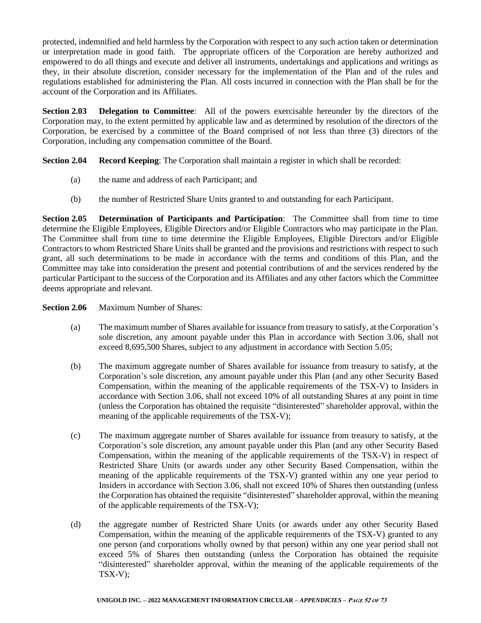protected, indemnified and held harmless by the Corporation with respect to any such action taken or determination or interpretation made in good faith. The appropriate officers of the Corporation are hereby authorized and empowered to do all things and execute and deliver all instruments, undertakings and applications and writings as they, in their absolute discretion, consider necessary for the implementation of the Plan and of the rules and regulations established for administering the Plan. All costs incurred in connection with the Plan shall be for the account of the Corporation and its Affiliates.

**Section 2.03 Delegation to Committee**: All of the powers exercisable hereunder by the directors of the Corporation may, to the extent permitted by applicable law and as determined by resolution of the directors of the Corporation, be exercised by a committee of the Board comprised of not less than three (3) directors of the Corporation, including any compensation committee of the Board.

**Section 2.04 Record Keeping**: The Corporation shall maintain a register in which shall be recorded:

- (a) the name and address of each Participant; and
- (b) the number of Restricted Share Units granted to and outstanding for each Participant.

**Section 2.05 Determination of Participants and Participation**: The Committee shall from time to time determine the Eligible Employees, Eligible Directors and/or Eligible Contractors who may participate in the Plan. The Committee shall from time to time determine the Eligible Employees, Eligible Directors and/or Eligible Contractors to whom Restricted Share Units shall be granted and the provisions and restrictions with respect to such grant, all such determinations to be made in accordance with the terms and conditions of this Plan, and the Committee may take into consideration the present and potential contributions of and the services rendered by the particular Participant to the success of the Corporation and its Affiliates and any other factors which the Committee deems appropriate and relevant.

**Section 2.06** Maximum Number of Shares:

- (a) The maximum number of Shares available for issuance from treasury to satisfy, at the Corporation's sole discretion, any amount payable under this Plan in accordance with Section 3.06, shall not exceed 8,695,500 Shares, subject to any adjustment in accordance with Section 5.05;
- (b) The maximum aggregate number of Shares available for issuance from treasury to satisfy, at the Corporation's sole discretion, any amount payable under this Plan (and any other Security Based Compensation, within the meaning of the applicable requirements of the TSX-V) to Insiders in accordance with Section 3.06, shall not exceed 10% of all outstanding Shares at any point in time (unless the Corporation has obtained the requisite "disinterested" shareholder approval, within the meaning of the applicable requirements of the TSX-V);
- (c) The maximum aggregate number of Shares available for issuance from treasury to satisfy, at the Corporation's sole discretion, any amount payable under this Plan (and any other Security Based Compensation, within the meaning of the applicable requirements of the TSX-V) in respect of Restricted Share Units (or awards under any other Security Based Compensation, within the meaning of the applicable requirements of the TSX-V) granted within any one year period to Insiders in accordance with Section 3.06, shall not exceed 10% of Shares then outstanding (unless the Corporation has obtained the requisite "disinterested" shareholder approval, within the meaning of the applicable requirements of the TSX-V);
- (d) the aggregate number of Restricted Share Units (or awards under any other Security Based Compensation, within the meaning of the applicable requirements of the TSX-V) granted to any one person (and corporations wholly owned by that person) within any one year period shall not exceed 5% of Shares then outstanding (unless the Corporation has obtained the requisite "disinterested" shareholder approval, within the meaning of the applicable requirements of the TSX-V);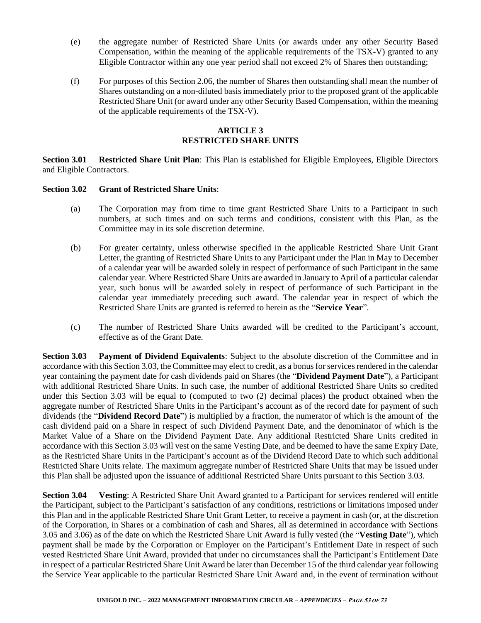- (e) the aggregate number of Restricted Share Units (or awards under any other Security Based Compensation, within the meaning of the applicable requirements of the TSX-V) granted to any Eligible Contractor within any one year period shall not exceed 2% of Shares then outstanding;
- (f) For purposes of this Section 2.06, the number of Shares then outstanding shall mean the number of Shares outstanding on a non-diluted basis immediately prior to the proposed grant of the applicable Restricted Share Unit (or award under any other Security Based Compensation, within the meaning of the applicable requirements of the TSX-V).

# **ARTICLE 3 RESTRICTED SHARE UNITS**

**Section 3.01 Restricted Share Unit Plan**: This Plan is established for Eligible Employees, Eligible Directors and Eligible Contractors.

#### **Section 3.02 Grant of Restricted Share Units**:

- (a) The Corporation may from time to time grant Restricted Share Units to a Participant in such numbers, at such times and on such terms and conditions, consistent with this Plan, as the Committee may in its sole discretion determine.
- (b) For greater certainty, unless otherwise specified in the applicable Restricted Share Unit Grant Letter, the granting of Restricted Share Units to any Participant under the Plan in May to December of a calendar year will be awarded solely in respect of performance of such Participant in the same calendar year. Where Restricted Share Units are awarded in January to April of a particular calendar year, such bonus will be awarded solely in respect of performance of such Participant in the calendar year immediately preceding such award. The calendar year in respect of which the Restricted Share Units are granted is referred to herein as the "**Service Year**".
- (c) The number of Restricted Share Units awarded will be credited to the Participant's account, effective as of the Grant Date.

**Section 3.03 Payment of Dividend Equivalents**: Subject to the absolute discretion of the Committee and in accordance with this Section 3.03, the Committee may elect to credit, as a bonus for services rendered in the calendar year containing the payment date for cash dividends paid on Shares (the "**Dividend Payment Date**"), a Participant with additional Restricted Share Units. In such case, the number of additional Restricted Share Units so credited under this Section 3.03 will be equal to (computed to two (2) decimal places) the product obtained when the aggregate number of Restricted Share Units in the Participant's account as of the record date for payment of such dividends (the "**Dividend Record Date**") is multiplied by a fraction, the numerator of which is the amount of the cash dividend paid on a Share in respect of such Dividend Payment Date, and the denominator of which is the Market Value of a Share on the Dividend Payment Date. Any additional Restricted Share Units credited in accordance with this Section 3.03 will vest on the same Vesting Date, and be deemed to have the same Expiry Date, as the Restricted Share Units in the Participant's account as of the Dividend Record Date to which such additional Restricted Share Units relate. The maximum aggregate number of Restricted Share Units that may be issued under this Plan shall be adjusted upon the issuance of additional Restricted Share Units pursuant to this Section 3.03.

**Section 3.04 Vesting**: A Restricted Share Unit Award granted to a Participant for services rendered will entitle the Participant, subject to the Participant's satisfaction of any conditions, restrictions or limitations imposed under this Plan and in the applicable Restricted Share Unit Grant Letter, to receive a payment in cash (or, at the discretion of the Corporation, in Shares or a combination of cash and Shares, all as determined in accordance with Sections 3.05 and 3.06) as of the date on which the Restricted Share Unit Award is fully vested (the "**Vesting Date**"), which payment shall be made by the Corporation or Employer on the Participant's Entitlement Date in respect of such vested Restricted Share Unit Award, provided that under no circumstances shall the Participant's Entitlement Date in respect of a particular Restricted Share Unit Award be later than December 15 of the third calendar year following the Service Year applicable to the particular Restricted Share Unit Award and, in the event of termination without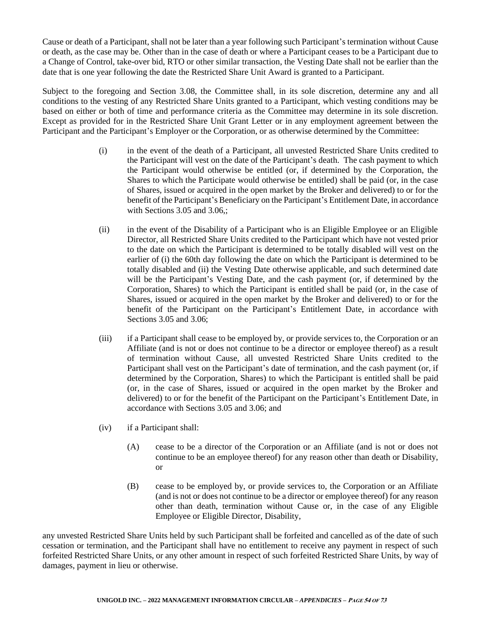Cause or death of a Participant, shall not be later than a year following such Participant's termination without Cause or death, as the case may be. Other than in the case of death or where a Participant ceases to be a Participant due to a Change of Control, take-over bid, RTO or other similar transaction, the Vesting Date shall not be earlier than the date that is one year following the date the Restricted Share Unit Award is granted to a Participant.

Subject to the foregoing and Section 3.08, the Committee shall, in its sole discretion, determine any and all conditions to the vesting of any Restricted Share Units granted to a Participant, which vesting conditions may be based on either or both of time and performance criteria as the Committee may determine in its sole discretion. Except as provided for in the Restricted Share Unit Grant Letter or in any employment agreement between the Participant and the Participant's Employer or the Corporation, or as otherwise determined by the Committee:

- (i) in the event of the death of a Participant, all unvested Restricted Share Units credited to the Participant will vest on the date of the Participant's death. The cash payment to which the Participant would otherwise be entitled (or, if determined by the Corporation, the Shares to which the Participate would otherwise be entitled) shall be paid (or, in the case of Shares, issued or acquired in the open market by the Broker and delivered) to or for the benefit of the Participant's Beneficiary on the Participant's Entitlement Date, in accordance with Sections 3.05 and 3.06,;
- (ii) in the event of the Disability of a Participant who is an Eligible Employee or an Eligible Director, all Restricted Share Units credited to the Participant which have not vested prior to the date on which the Participant is determined to be totally disabled will vest on the earlier of (i) the 60th day following the date on which the Participant is determined to be totally disabled and (ii) the Vesting Date otherwise applicable, and such determined date will be the Participant's Vesting Date, and the cash payment (or, if determined by the Corporation, Shares) to which the Participant is entitled shall be paid (or, in the case of Shares, issued or acquired in the open market by the Broker and delivered) to or for the benefit of the Participant on the Participant's Entitlement Date, in accordance with Sections 3.05 and 3.06;
- (iii) if a Participant shall cease to be employed by, or provide services to, the Corporation or an Affiliate (and is not or does not continue to be a director or employee thereof) as a result of termination without Cause, all unvested Restricted Share Units credited to the Participant shall vest on the Participant's date of termination, and the cash payment (or, if determined by the Corporation, Shares) to which the Participant is entitled shall be paid (or, in the case of Shares, issued or acquired in the open market by the Broker and delivered) to or for the benefit of the Participant on the Participant's Entitlement Date, in accordance with Sections 3.05 and 3.06; and
- (iv) if a Participant shall:
	- (A) cease to be a director of the Corporation or an Affiliate (and is not or does not continue to be an employee thereof) for any reason other than death or Disability, or
	- (B) cease to be employed by, or provide services to, the Corporation or an Affiliate (and is not or does not continue to be a director or employee thereof) for any reason other than death, termination without Cause or, in the case of any Eligible Employee or Eligible Director, Disability,

any unvested Restricted Share Units held by such Participant shall be forfeited and cancelled as of the date of such cessation or termination, and the Participant shall have no entitlement to receive any payment in respect of such forfeited Restricted Share Units, or any other amount in respect of such forfeited Restricted Share Units, by way of damages, payment in lieu or otherwise.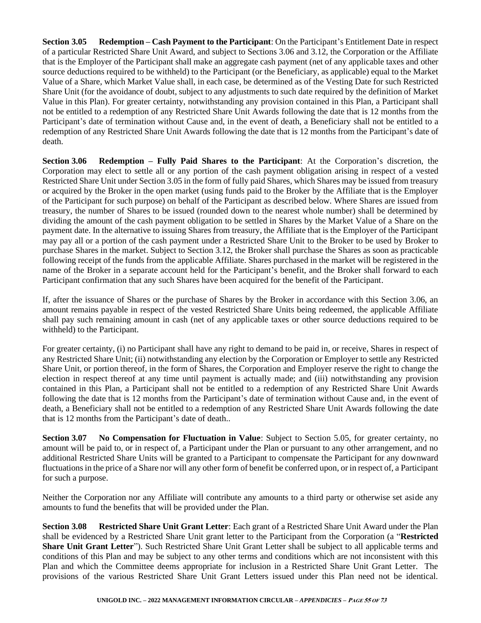**Section 3.05 Redemption – Cash Payment to the Participant**: On the Participant's Entitlement Date in respect of a particular Restricted Share Unit Award, and subject to Sections 3.06 and 3.12, the Corporation or the Affiliate that is the Employer of the Participant shall make an aggregate cash payment (net of any applicable taxes and other source deductions required to be withheld) to the Participant (or the Beneficiary, as applicable) equal to the Market Value of a Share, which Market Value shall, in each case, be determined as of the Vesting Date for such Restricted Share Unit (for the avoidance of doubt, subject to any adjustments to such date required by the definition of Market Value in this Plan). For greater certainty, notwithstanding any provision contained in this Plan, a Participant shall not be entitled to a redemption of any Restricted Share Unit Awards following the date that is 12 months from the Participant's date of termination without Cause and, in the event of death, a Beneficiary shall not be entitled to a redemption of any Restricted Share Unit Awards following the date that is 12 months from the Participant's date of death.

**Section 3.06 Redemption – Fully Paid Shares to the Participant**: At the Corporation's discretion, the Corporation may elect to settle all or any portion of the cash payment obligation arising in respect of a vested Restricted Share Unit under Section 3.05 in the form of fully paid Shares, which Shares may be issued from treasury or acquired by the Broker in the open market (using funds paid to the Broker by the Affiliate that is the Employer of the Participant for such purpose) on behalf of the Participant as described below. Where Shares are issued from treasury, the number of Shares to be issued (rounded down to the nearest whole number) shall be determined by dividing the amount of the cash payment obligation to be settled in Shares by the Market Value of a Share on the payment date. In the alternative to issuing Shares from treasury, the Affiliate that is the Employer of the Participant may pay all or a portion of the cash payment under a Restricted Share Unit to the Broker to be used by Broker to purchase Shares in the market. Subject to Section 3.12, the Broker shall purchase the Shares as soon as practicable following receipt of the funds from the applicable Affiliate. Shares purchased in the market will be registered in the name of the Broker in a separate account held for the Participant's benefit, and the Broker shall forward to each Participant confirmation that any such Shares have been acquired for the benefit of the Participant.

If, after the issuance of Shares or the purchase of Shares by the Broker in accordance with this Section 3.06, an amount remains payable in respect of the vested Restricted Share Units being redeemed, the applicable Affiliate shall pay such remaining amount in cash (net of any applicable taxes or other source deductions required to be withheld) to the Participant.

For greater certainty, (i) no Participant shall have any right to demand to be paid in, or receive, Shares in respect of any Restricted Share Unit; (ii) notwithstanding any election by the Corporation or Employer to settle any Restricted Share Unit, or portion thereof, in the form of Shares, the Corporation and Employer reserve the right to change the election in respect thereof at any time until payment is actually made; and (iii) notwithstanding any provision contained in this Plan, a Participant shall not be entitled to a redemption of any Restricted Share Unit Awards following the date that is 12 months from the Participant's date of termination without Cause and, in the event of death, a Beneficiary shall not be entitled to a redemption of any Restricted Share Unit Awards following the date that is 12 months from the Participant's date of death..

**Section 3.07 No Compensation for Fluctuation in Value**: Subject to Section 5.05, for greater certainty, no amount will be paid to, or in respect of, a Participant under the Plan or pursuant to any other arrangement, and no additional Restricted Share Units will be granted to a Participant to compensate the Participant for any downward fluctuations in the price of a Share nor will any other form of benefit be conferred upon, or in respect of, a Participant for such a purpose.

Neither the Corporation nor any Affiliate will contribute any amounts to a third party or otherwise set aside any amounts to fund the benefits that will be provided under the Plan.

**Section 3.08 Restricted Share Unit Grant Letter**: Each grant of a Restricted Share Unit Award under the Plan shall be evidenced by a Restricted Share Unit grant letter to the Participant from the Corporation (a "**Restricted Share Unit Grant Letter**"). Such Restricted Share Unit Grant Letter shall be subject to all applicable terms and conditions of this Plan and may be subject to any other terms and conditions which are not inconsistent with this Plan and which the Committee deems appropriate for inclusion in a Restricted Share Unit Grant Letter. The provisions of the various Restricted Share Unit Grant Letters issued under this Plan need not be identical.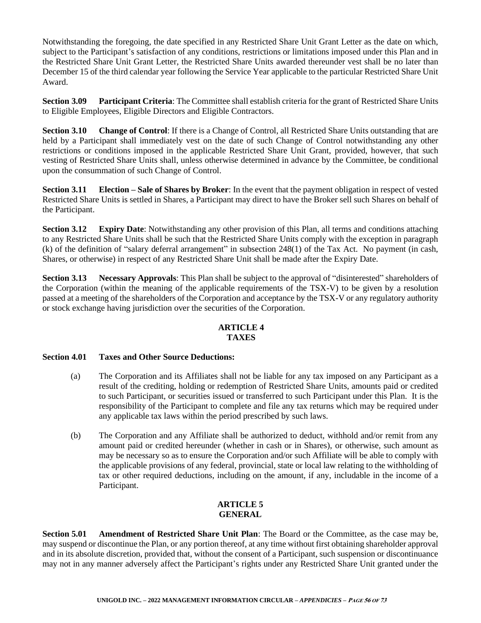Notwithstanding the foregoing, the date specified in any Restricted Share Unit Grant Letter as the date on which, subject to the Participant's satisfaction of any conditions, restrictions or limitations imposed under this Plan and in the Restricted Share Unit Grant Letter, the Restricted Share Units awarded thereunder vest shall be no later than December 15 of the third calendar year following the Service Year applicable to the particular Restricted Share Unit Award.

**Section 3.09 Participant Criteria**: The Committee shall establish criteria for the grant of Restricted Share Units to Eligible Employees, Eligible Directors and Eligible Contractors.

**Section 3.10 Change of Control**: If there is a Change of Control, all Restricted Share Units outstanding that are held by a Participant shall immediately vest on the date of such Change of Control notwithstanding any other restrictions or conditions imposed in the applicable Restricted Share Unit Grant, provided, however, that such vesting of Restricted Share Units shall, unless otherwise determined in advance by the Committee, be conditional upon the consummation of such Change of Control.

**Section 3.11 Election – Sale of Shares by Broker**: In the event that the payment obligation in respect of vested Restricted Share Units is settled in Shares, a Participant may direct to have the Broker sell such Shares on behalf of the Participant.

**Section 3.12 Expiry Date**: Notwithstanding any other provision of this Plan, all terms and conditions attaching to any Restricted Share Units shall be such that the Restricted Share Units comply with the exception in paragraph (k) of the definition of "salary deferral arrangement" in subsection 248(1) of the Tax Act. No payment (in cash, Shares, or otherwise) in respect of any Restricted Share Unit shall be made after the Expiry Date.

**Section 3.13 Necessary Approvals**: This Plan shall be subject to the approval of "disinterested" shareholders of the Corporation (within the meaning of the applicable requirements of the TSX-V) to be given by a resolution passed at a meeting of the shareholders of the Corporation and acceptance by the TSX-V or any regulatory authority or stock exchange having jurisdiction over the securities of the Corporation.

# **ARTICLE 4 TAXES**

# **Section 4.01 Taxes and Other Source Deductions:**

- (a) The Corporation and its Affiliates shall not be liable for any tax imposed on any Participant as a result of the crediting, holding or redemption of Restricted Share Units, amounts paid or credited to such Participant, or securities issued or transferred to such Participant under this Plan. It is the responsibility of the Participant to complete and file any tax returns which may be required under any applicable tax laws within the period prescribed by such laws.
- (b) The Corporation and any Affiliate shall be authorized to deduct, withhold and/or remit from any amount paid or credited hereunder (whether in cash or in Shares), or otherwise, such amount as may be necessary so as to ensure the Corporation and/or such Affiliate will be able to comply with the applicable provisions of any federal, provincial, state or local law relating to the withholding of tax or other required deductions, including on the amount, if any, includable in the income of a Participant.

# **ARTICLE 5 GENERAL**

**Section 5.01 Amendment of Restricted Share Unit Plan**: The Board or the Committee, as the case may be, may suspend or discontinue the Plan, or any portion thereof, at any time without first obtaining shareholder approval and in its absolute discretion, provided that, without the consent of a Participant, such suspension or discontinuance may not in any manner adversely affect the Participant's rights under any Restricted Share Unit granted under the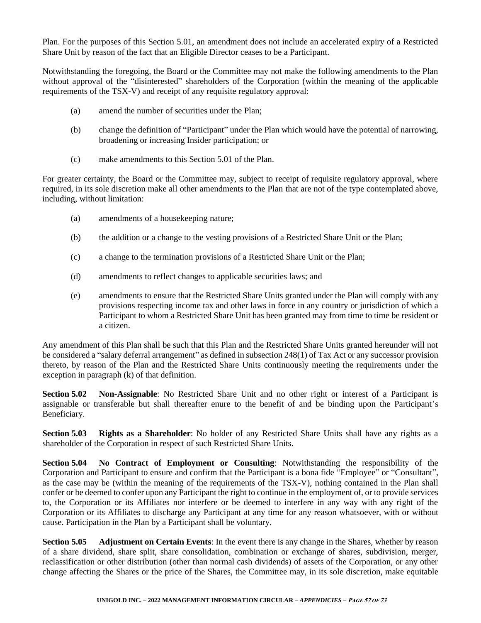Plan. For the purposes of this Section 5.01, an amendment does not include an accelerated expiry of a Restricted Share Unit by reason of the fact that an Eligible Director ceases to be a Participant.

Notwithstanding the foregoing, the Board or the Committee may not make the following amendments to the Plan without approval of the "disinterested" shareholders of the Corporation (within the meaning of the applicable requirements of the TSX-V) and receipt of any requisite regulatory approval:

- (a) amend the number of securities under the Plan;
- (b) change the definition of "Participant" under the Plan which would have the potential of narrowing, broadening or increasing Insider participation; or
- (c) make amendments to this Section 5.01 of the Plan.

For greater certainty, the Board or the Committee may, subject to receipt of requisite regulatory approval, where required, in its sole discretion make all other amendments to the Plan that are not of the type contemplated above, including, without limitation:

- (a) amendments of a housekeeping nature;
- (b) the addition or a change to the vesting provisions of a Restricted Share Unit or the Plan;
- (c) a change to the termination provisions of a Restricted Share Unit or the Plan;
- (d) amendments to reflect changes to applicable securities laws; and
- (e) amendments to ensure that the Restricted Share Units granted under the Plan will comply with any provisions respecting income tax and other laws in force in any country or jurisdiction of which a Participant to whom a Restricted Share Unit has been granted may from time to time be resident or a citizen.

Any amendment of this Plan shall be such that this Plan and the Restricted Share Units granted hereunder will not be considered a "salary deferral arrangement" as defined in subsection 248(1) of Tax Act or any successor provision thereto, by reason of the Plan and the Restricted Share Units continuously meeting the requirements under the exception in paragraph (k) of that definition.

**Section 5.02 Non-Assignable**: No Restricted Share Unit and no other right or interest of a Participant is assignable or transferable but shall thereafter enure to the benefit of and be binding upon the Participant's Beneficiary.

**Section 5.03 Rights as a Shareholder**: No holder of any Restricted Share Units shall have any rights as a shareholder of the Corporation in respect of such Restricted Share Units.

**Section 5.04 No Contract of Employment or Consulting**: Notwithstanding the responsibility of the Corporation and Participant to ensure and confirm that the Participant is a bona fide "Employee" or "Consultant", as the case may be (within the meaning of the requirements of the TSX-V), nothing contained in the Plan shall confer or be deemed to confer upon any Participant the right to continue in the employment of, or to provide services to, the Corporation or its Affiliates nor interfere or be deemed to interfere in any way with any right of the Corporation or its Affiliates to discharge any Participant at any time for any reason whatsoever, with or without cause. Participation in the Plan by a Participant shall be voluntary.

**Section 5.05 Adjustment on Certain Events**: In the event there is any change in the Shares, whether by reason of a share dividend, share split, share consolidation, combination or exchange of shares, subdivision, merger, reclassification or other distribution (other than normal cash dividends) of assets of the Corporation, or any other change affecting the Shares or the price of the Shares, the Committee may, in its sole discretion, make equitable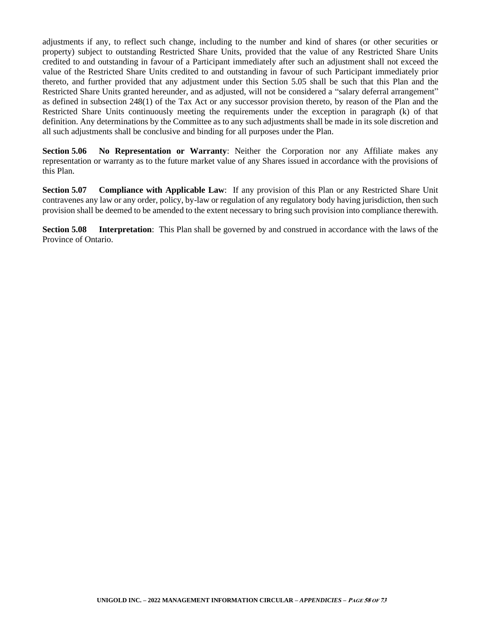adjustments if any, to reflect such change, including to the number and kind of shares (or other securities or property) subject to outstanding Restricted Share Units, provided that the value of any Restricted Share Units credited to and outstanding in favour of a Participant immediately after such an adjustment shall not exceed the value of the Restricted Share Units credited to and outstanding in favour of such Participant immediately prior thereto, and further provided that any adjustment under this Section 5.05 shall be such that this Plan and the Restricted Share Units granted hereunder, and as adjusted, will not be considered a "salary deferral arrangement" as defined in subsection 248(1) of the Tax Act or any successor provision thereto, by reason of the Plan and the Restricted Share Units continuously meeting the requirements under the exception in paragraph (k) of that definition. Any determinations by the Committee as to any such adjustments shall be made in its sole discretion and all such adjustments shall be conclusive and binding for all purposes under the Plan.

**Section 5.06 No Representation or Warranty**: Neither the Corporation nor any Affiliate makes any representation or warranty as to the future market value of any Shares issued in accordance with the provisions of this Plan.

**Section 5.07 Compliance with Applicable Law**: If any provision of this Plan or any Restricted Share Unit contravenes any law or any order, policy, by-law or regulation of any regulatory body having jurisdiction, then such provision shall be deemed to be amended to the extent necessary to bring such provision into compliance therewith.

**Section 5.08 Interpretation**: This Plan shall be governed by and construed in accordance with the laws of the Province of Ontario.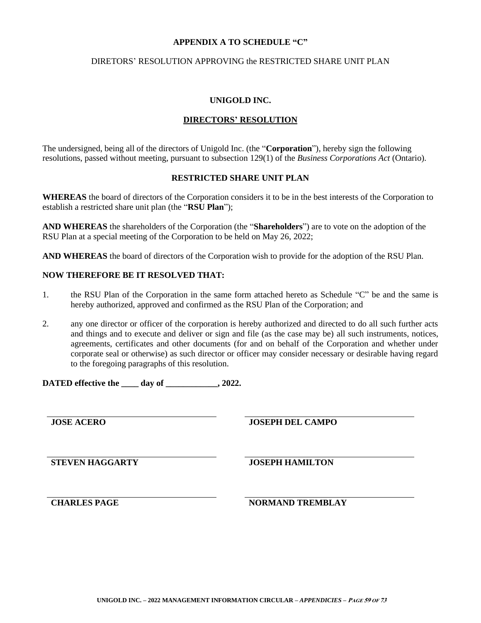#### **APPENDIX A TO SCHEDULE "C"**

#### DIRETORS' RESOLUTION APPROVING the RESTRICTED SHARE UNIT PLAN

#### **UNIGOLD INC.**

# **DIRECTORS' RESOLUTION**

The undersigned, being all of the directors of Unigold Inc. (the "**Corporation**"), hereby sign the following resolutions, passed without meeting, pursuant to subsection 129(1) of the *Business Corporations Act* (Ontario).

# **RESTRICTED SHARE UNIT PLAN**

**WHEREAS** the board of directors of the Corporation considers it to be in the best interests of the Corporation to establish a restricted share unit plan (the "**RSU Plan**");

**AND WHEREAS** the shareholders of the Corporation (the "**Shareholders**") are to vote on the adoption of the RSU Plan at a special meeting of the Corporation to be held on May 26, 2022;

**AND WHEREAS** the board of directors of the Corporation wish to provide for the adoption of the RSU Plan.

## **NOW THEREFORE BE IT RESOLVED THAT:**

- 1. the RSU Plan of the Corporation in the same form attached hereto as Schedule "C" be and the same is hereby authorized, approved and confirmed as the RSU Plan of the Corporation; and
- 2. any one director or officer of the corporation is hereby authorized and directed to do all such further acts and things and to execute and deliver or sign and file (as the case may be) all such instruments, notices, agreements, certificates and other documents (for and on behalf of the Corporation and whether under corporate seal or otherwise) as such director or officer may consider necessary or desirable having regard to the foregoing paragraphs of this resolution.

**DATED effective the \_\_\_\_ day of \_\_\_\_\_\_\_\_\_\_\_\_, 2022.**

**JOSE ACERO JOSEPH DEL CAMPO**

**STEVEN HAGGARTY JOSEPH HAMILTON**

**CHARLES PAGE NORMAND TREMBLAY**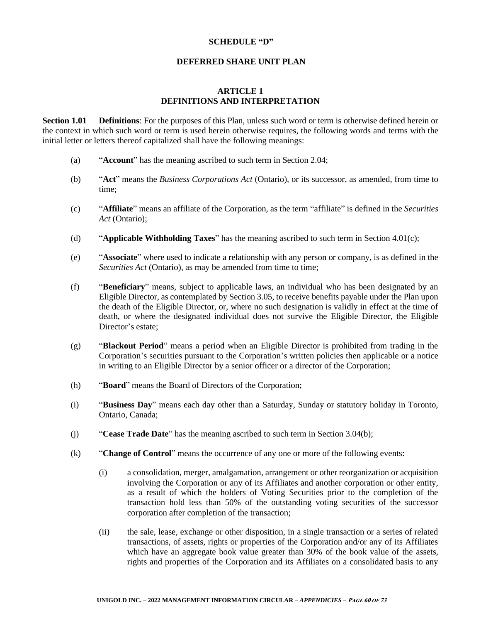#### **SCHEDULE "D"**

#### **DEFERRED SHARE UNIT PLAN**

# **ARTICLE 1 DEFINITIONS AND INTERPRETATION**

**Section 1.01 Definitions**: For the purposes of this Plan, unless such word or term is otherwise defined herein or the context in which such word or term is used herein otherwise requires, the following words and terms with the initial letter or letters thereof capitalized shall have the following meanings:

- (a) "**Account**" has the meaning ascribed to such term in Section 2.04;
- (b) "**Act**" means the *Business Corporations Act* (Ontario), or its successor, as amended, from time to time;
- (c) "**Affiliate**" means an affiliate of the Corporation, as the term "affiliate" is defined in the *Securities Act* (Ontario);
- (d) "**Applicable Withholding Taxes**" has the meaning ascribed to such term in Section 4.01(c);
- (e) "**Associate**" where used to indicate a relationship with any person or company, is as defined in the *Securities Act (Ontario)*, as may be amended from time to time;
- (f) "**Beneficiary**" means, subject to applicable laws, an individual who has been designated by an Eligible Director, as contemplated by Section 3.05, to receive benefits payable under the Plan upon the death of the Eligible Director, or, where no such designation is validly in effect at the time of death, or where the designated individual does not survive the Eligible Director, the Eligible Director's estate:
- (g) "**Blackout Period**" means a period when an Eligible Director is prohibited from trading in the Corporation's securities pursuant to the Corporation's written policies then applicable or a notice in writing to an Eligible Director by a senior officer or a director of the Corporation;
- (h) "**Board**" means the Board of Directors of the Corporation;
- (i) "**Business Day**" means each day other than a Saturday, Sunday or statutory holiday in Toronto, Ontario, Canada;
- (j) "**Cease Trade Date**" has the meaning ascribed to such term in Section 3.04(b);
- (k) "**Change of Control**" means the occurrence of any one or more of the following events:
	- (i) a consolidation, merger, amalgamation, arrangement or other reorganization or acquisition involving the Corporation or any of its Affiliates and another corporation or other entity, as a result of which the holders of Voting Securities prior to the completion of the transaction hold less than 50% of the outstanding voting securities of the successor corporation after completion of the transaction;
	- (ii) the sale, lease, exchange or other disposition, in a single transaction or a series of related transactions, of assets, rights or properties of the Corporation and/or any of its Affiliates which have an aggregate book value greater than 30% of the book value of the assets, rights and properties of the Corporation and its Affiliates on a consolidated basis to any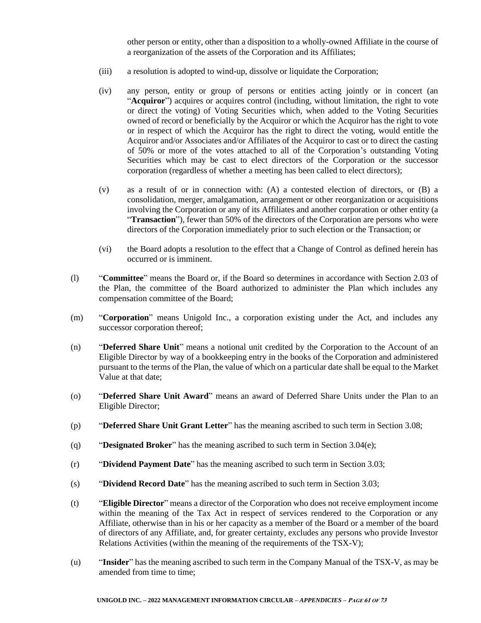other person or entity, other than a disposition to a wholly-owned Affiliate in the course of a reorganization of the assets of the Corporation and its Affiliates;

- (iii) a resolution is adopted to wind-up, dissolve or liquidate the Corporation;
- (iv) any person, entity or group of persons or entities acting jointly or in concert (an "**Acquiror**") acquires or acquires control (including, without limitation, the right to vote or direct the voting) of Voting Securities which, when added to the Voting Securities owned of record or beneficially by the Acquiror or which the Acquiror has the right to vote or in respect of which the Acquiror has the right to direct the voting, would entitle the Acquiror and/or Associates and/or Affiliates of the Acquiror to cast or to direct the casting of 50% or more of the votes attached to all of the Corporation's outstanding Voting Securities which may be cast to elect directors of the Corporation or the successor corporation (regardless of whether a meeting has been called to elect directors);
- (v) as a result of or in connection with: (A) a contested election of directors, or (B) a consolidation, merger, amalgamation, arrangement or other reorganization or acquisitions involving the Corporation or any of its Affiliates and another corporation or other entity (a "**Transaction**"), fewer than 50% of the directors of the Corporation are persons who were directors of the Corporation immediately prior to such election or the Transaction; or
- (vi) the Board adopts a resolution to the effect that a Change of Control as defined herein has occurred or is imminent.
- (l) "**Committee**" means the Board or, if the Board so determines in accordance with Section 2.03 of the Plan, the committee of the Board authorized to administer the Plan which includes any compensation committee of the Board;
- (m) "**Corporation**" means Unigold Inc., a corporation existing under the Act, and includes any successor corporation thereof;
- (n) "**Deferred Share Unit**" means a notional unit credited by the Corporation to the Account of an Eligible Director by way of a bookkeeping entry in the books of the Corporation and administered pursuant to the terms of the Plan, the value of which on a particular date shall be equal to the Market Value at that date;
- (o) "**Deferred Share Unit Award**" means an award of Deferred Share Units under the Plan to an Eligible Director;
- (p) "**Deferred Share Unit Grant Letter**" has the meaning ascribed to such term in Section 3.08;
- (q) "**Designated Broker**" has the meaning ascribed to such term in Section 3.04(e);
- (r) "**Dividend Payment Date**" has the meaning ascribed to such term in Section 3.03;
- (s) "**Dividend Record Date**" has the meaning ascribed to such term in Section 3.03;
- (t) "**Eligible Director**" means a director of the Corporation who does not receive employment income within the meaning of the Tax Act in respect of services rendered to the Corporation or any Affiliate, otherwise than in his or her capacity as a member of the Board or a member of the board of directors of any Affiliate, and, for greater certainty, excludes any persons who provide Investor Relations Activities (within the meaning of the requirements of the TSX-V);
- (u) "**Insider**" has the meaning ascribed to such term in the Company Manual of the TSX-V, as may be amended from time to time;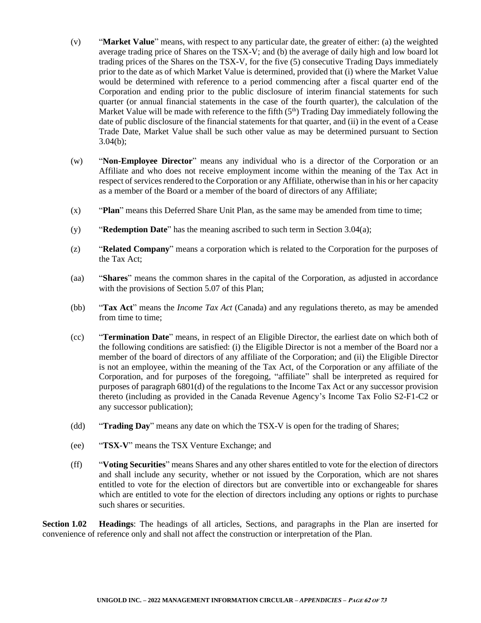- (v) "**Market Value**" means, with respect to any particular date, the greater of either: (a) the weighted average trading price of Shares on the TSX-V; and (b) the average of daily high and low board lot trading prices of the Shares on the TSX-V, for the five (5) consecutive Trading Days immediately prior to the date as of which Market Value is determined, provided that (i) where the Market Value would be determined with reference to a period commencing after a fiscal quarter end of the Corporation and ending prior to the public disclosure of interim financial statements for such quarter (or annual financial statements in the case of the fourth quarter), the calculation of the Market Value will be made with reference to the fifth  $(5<sup>th</sup>)$  Trading Day immediately following the date of public disclosure of the financial statements for that quarter, and (ii) in the event of a Cease Trade Date, Market Value shall be such other value as may be determined pursuant to Section 3.04(b);
- (w) "**Non-Employee Director**" means any individual who is a director of the Corporation or an Affiliate and who does not receive employment income within the meaning of the Tax Act in respect of services rendered to the Corporation or any Affiliate, otherwise than in his or her capacity as a member of the Board or a member of the board of directors of any Affiliate;
- (x) "**Plan**" means this Deferred Share Unit Plan, as the same may be amended from time to time;
- (y) "**Redemption Date**" has the meaning ascribed to such term in Section 3.04(a);
- (z) "**Related Company**" means a corporation which is related to the Corporation for the purposes of the Tax Act;
- (aa) "**Shares**" means the common shares in the capital of the Corporation, as adjusted in accordance with the provisions of Section 5.07 of this Plan;
- (bb) "**Tax Act**" means the *Income Tax Act* (Canada) and any regulations thereto, as may be amended from time to time:
- (cc) "**Termination Date**" means, in respect of an Eligible Director, the earliest date on which both of the following conditions are satisfied: (i) the Eligible Director is not a member of the Board nor a member of the board of directors of any affiliate of the Corporation; and (ii) the Eligible Director is not an employee, within the meaning of the Tax Act, of the Corporation or any affiliate of the Corporation, and for purposes of the foregoing, "affiliate" shall be interpreted as required for purposes of paragraph 6801(d) of the regulations to the Income Tax Act or any successor provision thereto (including as provided in the Canada Revenue Agency's Income Tax Folio S2-F1-C2 or any successor publication);
- (dd) "**Trading Day**" means any date on which the TSX-V is open for the trading of Shares;
- (ee) "**TSX-V**" means the TSX Venture Exchange; and
- (ff) "**Voting Securities**" means Shares and any other shares entitled to vote for the election of directors and shall include any security, whether or not issued by the Corporation, which are not shares entitled to vote for the election of directors but are convertible into or exchangeable for shares which are entitled to vote for the election of directors including any options or rights to purchase such shares or securities.

**Section 1.02 Headings**: The headings of all articles, Sections, and paragraphs in the Plan are inserted for convenience of reference only and shall not affect the construction or interpretation of the Plan.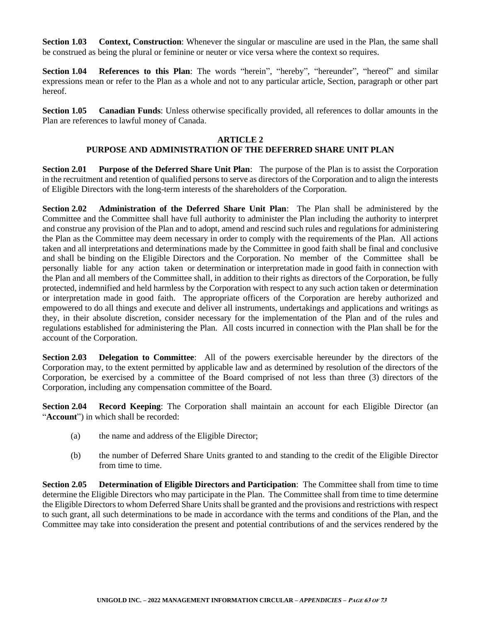**Section 1.03 Context, Construction**: Whenever the singular or masculine are used in the Plan, the same shall be construed as being the plural or feminine or neuter or vice versa where the context so requires.

**Section 1.04 References to this Plan**: The words "herein", "hereby", "hereunder", "hereof" and similar expressions mean or refer to the Plan as a whole and not to any particular article, Section, paragraph or other part hereof.

**Section 1.05 Canadian Funds**: Unless otherwise specifically provided, all references to dollar amounts in the Plan are references to lawful money of Canada.

#### **ARTICLE 2**

# **PURPOSE AND ADMINISTRATION OF THE DEFERRED SHARE UNIT PLAN**

**Section 2.01 Purpose of the Deferred Share Unit Plan**: The purpose of the Plan is to assist the Corporation in the recruitment and retention of qualified persons to serve as directors of the Corporation and to align the interests of Eligible Directors with the long-term interests of the shareholders of the Corporation.

**Section 2.02 Administration of the Deferred Share Unit Plan**: The Plan shall be administered by the Committee and the Committee shall have full authority to administer the Plan including the authority to interpret and construe any provision of the Plan and to adopt, amend and rescind such rules and regulations for administering the Plan as the Committee may deem necessary in order to comply with the requirements of the Plan. All actions taken and all interpretations and determinations made by the Committee in good faith shall be final and conclusive and shall be binding on the Eligible Directors and the Corporation. No member of the Committee shall be personally liable for any action taken or determination or interpretation made in good faith in connection with the Plan and all members of the Committee shall, in addition to their rights as directors of the Corporation, be fully protected, indemnified and held harmless by the Corporation with respect to any such action taken or determination or interpretation made in good faith. The appropriate officers of the Corporation are hereby authorized and empowered to do all things and execute and deliver all instruments, undertakings and applications and writings as they, in their absolute discretion, consider necessary for the implementation of the Plan and of the rules and regulations established for administering the Plan. All costs incurred in connection with the Plan shall be for the account of the Corporation.

**Section 2.03 Delegation to Committee**: All of the powers exercisable hereunder by the directors of the Corporation may, to the extent permitted by applicable law and as determined by resolution of the directors of the Corporation, be exercised by a committee of the Board comprised of not less than three (3) directors of the Corporation, including any compensation committee of the Board.

**Section 2.04 Record Keeping**: The Corporation shall maintain an account for each Eligible Director (an "**Account**") in which shall be recorded:

- (a) the name and address of the Eligible Director;
- (b) the number of Deferred Share Units granted to and standing to the credit of the Eligible Director from time to time.

**Section 2.05 Determination of Eligible Directors and Participation**: The Committee shall from time to time determine the Eligible Directors who may participate in the Plan. The Committee shall from time to time determine the Eligible Directors to whom Deferred Share Units shall be granted and the provisions and restrictions with respect to such grant, all such determinations to be made in accordance with the terms and conditions of the Plan, and the Committee may take into consideration the present and potential contributions of and the services rendered by the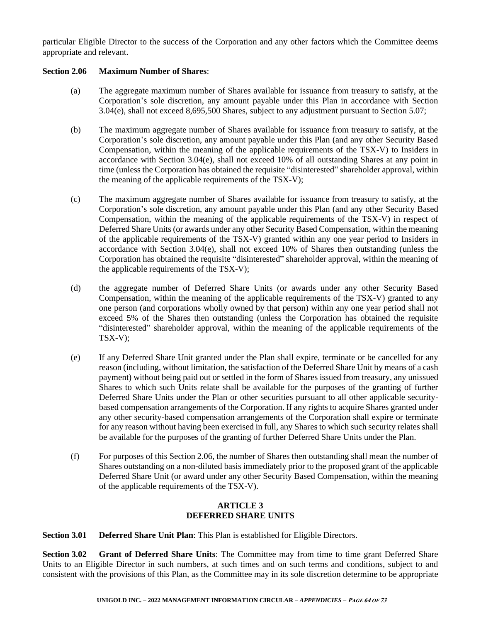particular Eligible Director to the success of the Corporation and any other factors which the Committee deems appropriate and relevant.

#### **Section 2.06 Maximum Number of Shares**:

- (a) The aggregate maximum number of Shares available for issuance from treasury to satisfy, at the Corporation's sole discretion, any amount payable under this Plan in accordance with Section 3.04(e), shall not exceed 8,695,500 Shares, subject to any adjustment pursuant to Section 5.07;
- (b) The maximum aggregate number of Shares available for issuance from treasury to satisfy, at the Corporation's sole discretion, any amount payable under this Plan (and any other Security Based Compensation, within the meaning of the applicable requirements of the TSX-V) to Insiders in accordance with Section 3.04(e), shall not exceed 10% of all outstanding Shares at any point in time (unless the Corporation has obtained the requisite "disinterested" shareholder approval, within the meaning of the applicable requirements of the TSX-V);
- (c) The maximum aggregate number of Shares available for issuance from treasury to satisfy, at the Corporation's sole discretion, any amount payable under this Plan (and any other Security Based Compensation, within the meaning of the applicable requirements of the TSX-V) in respect of Deferred Share Units (or awards under any other Security Based Compensation, within the meaning of the applicable requirements of the TSX-V) granted within any one year period to Insiders in accordance with Section  $3.04(e)$ , shall not exceed  $10\%$  of Shares then outstanding (unless the Corporation has obtained the requisite "disinterested" shareholder approval, within the meaning of the applicable requirements of the TSX-V);
- (d) the aggregate number of Deferred Share Units (or awards under any other Security Based Compensation, within the meaning of the applicable requirements of the TSX-V) granted to any one person (and corporations wholly owned by that person) within any one year period shall not exceed 5% of the Shares then outstanding (unless the Corporation has obtained the requisite "disinterested" shareholder approval, within the meaning of the applicable requirements of the TSX-V);
- (e) If any Deferred Share Unit granted under the Plan shall expire, terminate or be cancelled for any reason (including, without limitation, the satisfaction of the Deferred Share Unit by means of a cash payment) without being paid out or settled in the form of Shares issued from treasury, any unissued Shares to which such Units relate shall be available for the purposes of the granting of further Deferred Share Units under the Plan or other securities pursuant to all other applicable securitybased compensation arrangements of the Corporation. If any rights to acquire Shares granted under any other security-based compensation arrangements of the Corporation shall expire or terminate for any reason without having been exercised in full, any Shares to which such security relates shall be available for the purposes of the granting of further Deferred Share Units under the Plan.
- (f) For purposes of this Section 2.06, the number of Shares then outstanding shall mean the number of Shares outstanding on a non-diluted basis immediately prior to the proposed grant of the applicable Deferred Share Unit (or award under any other Security Based Compensation, within the meaning of the applicable requirements of the TSX-V).

## **ARTICLE 3 DEFERRED SHARE UNITS**

**Section 3.01 Deferred Share Unit Plan**: This Plan is established for Eligible Directors.

**Section 3.02 Grant of Deferred Share Units**: The Committee may from time to time grant Deferred Share Units to an Eligible Director in such numbers, at such times and on such terms and conditions, subject to and consistent with the provisions of this Plan, as the Committee may in its sole discretion determine to be appropriate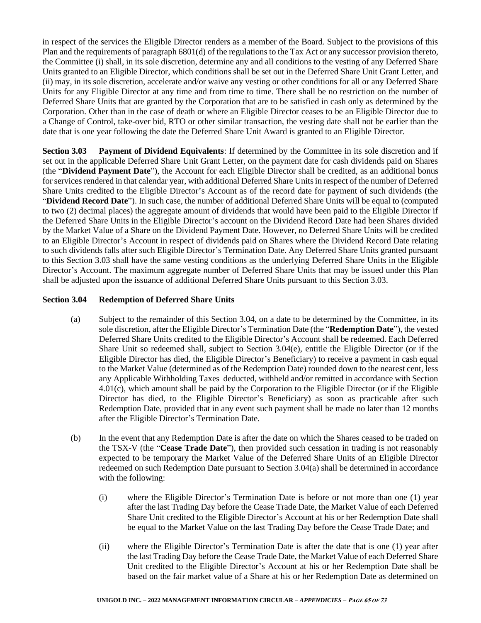in respect of the services the Eligible Director renders as a member of the Board. Subject to the provisions of this Plan and the requirements of paragraph 6801(d) of the regulations to the Tax Act or any successor provision thereto, the Committee (i) shall, in its sole discretion, determine any and all conditions to the vesting of any Deferred Share Units granted to an Eligible Director, which conditions shall be set out in the Deferred Share Unit Grant Letter, and (ii) may, in its sole discretion, accelerate and/or waive any vesting or other conditions for all or any Deferred Share Units for any Eligible Director at any time and from time to time. There shall be no restriction on the number of Deferred Share Units that are granted by the Corporation that are to be satisfied in cash only as determined by the Corporation. Other than in the case of death or where an Eligible Director ceases to be an Eligible Director due to a Change of Control, take-over bid, RTO or other similar transaction, the vesting date shall not be earlier than the date that is one year following the date the Deferred Share Unit Award is granted to an Eligible Director.

**Section 3.03 Payment of Dividend Equivalents**: If determined by the Committee in its sole discretion and if set out in the applicable Deferred Share Unit Grant Letter, on the payment date for cash dividends paid on Shares (the "**Dividend Payment Date**"), the Account for each Eligible Director shall be credited, as an additional bonus for services rendered in that calendar year, with additional Deferred Share Units in respect of the number of Deferred Share Units credited to the Eligible Director's Account as of the record date for payment of such dividends (the "**Dividend Record Date**"). In such case, the number of additional Deferred Share Units will be equal to (computed to two (2) decimal places) the aggregate amount of dividends that would have been paid to the Eligible Director if the Deferred Share Units in the Eligible Director's account on the Dividend Record Date had been Shares divided by the Market Value of a Share on the Dividend Payment Date. However, no Deferred Share Units will be credited to an Eligible Director's Account in respect of dividends paid on Shares where the Dividend Record Date relating to such dividends falls after such Eligible Director's Termination Date. Any Deferred Share Units granted pursuant to this Section 3.03 shall have the same vesting conditions as the underlying Deferred Share Units in the Eligible Director's Account. The maximum aggregate number of Deferred Share Units that may be issued under this Plan shall be adjusted upon the issuance of additional Deferred Share Units pursuant to this Section 3.03.

## **Section 3.04 Redemption of Deferred Share Units**

- (a) Subject to the remainder of this Section 3.04, on a date to be determined by the Committee, in its sole discretion, after the Eligible Director's Termination Date (the "**Redemption Date**"), the vested Deferred Share Units credited to the Eligible Director's Account shall be redeemed. Each Deferred Share Unit so redeemed shall, subject to Section 3.04(e), entitle the Eligible Director (or if the Eligible Director has died, the Eligible Director's Beneficiary) to receive a payment in cash equal to the Market Value (determined as of the Redemption Date) rounded down to the nearest cent, less any Applicable Withholding Taxes deducted, withheld and/or remitted in accordance with Section 4.01(c), which amount shall be paid by the Corporation to the Eligible Director (or if the Eligible Director has died, to the Eligible Director's Beneficiary) as soon as practicable after such Redemption Date, provided that in any event such payment shall be made no later than 12 months after the Eligible Director's Termination Date.
- (b) In the event that any Redemption Date is after the date on which the Shares ceased to be traded on the TSX-V (the "**Cease Trade Date**"), then provided such cessation in trading is not reasonably expected to be temporary the Market Value of the Deferred Share Units of an Eligible Director redeemed on such Redemption Date pursuant to Section 3.04(a) shall be determined in accordance with the following:
	- (i) where the Eligible Director's Termination Date is before or not more than one (1) year after the last Trading Day before the Cease Trade Date, the Market Value of each Deferred Share Unit credited to the Eligible Director's Account at his or her Redemption Date shall be equal to the Market Value on the last Trading Day before the Cease Trade Date; and
	- (ii) where the Eligible Director's Termination Date is after the date that is one (1) year after the last Trading Day before the Cease Trade Date, the Market Value of each Deferred Share Unit credited to the Eligible Director's Account at his or her Redemption Date shall be based on the fair market value of a Share at his or her Redemption Date as determined on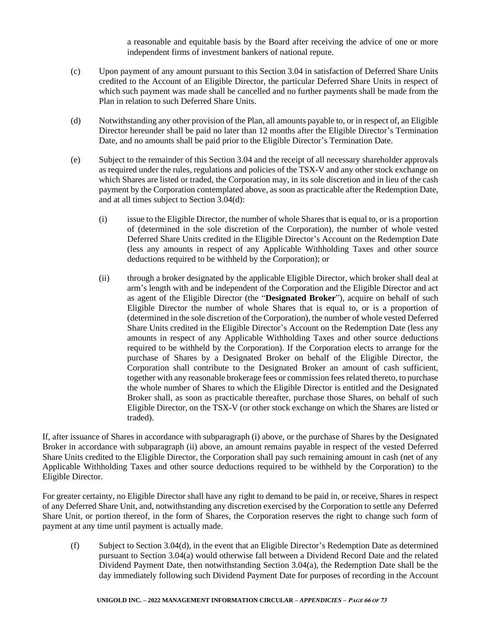a reasonable and equitable basis by the Board after receiving the advice of one or more independent firms of investment bankers of national repute.

- (c) Upon payment of any amount pursuant to this Section 3.04 in satisfaction of Deferred Share Units credited to the Account of an Eligible Director, the particular Deferred Share Units in respect of which such payment was made shall be cancelled and no further payments shall be made from the Plan in relation to such Deferred Share Units.
- (d) Notwithstanding any other provision of the Plan, all amounts payable to, or in respect of, an Eligible Director hereunder shall be paid no later than 12 months after the Eligible Director's Termination Date, and no amounts shall be paid prior to the Eligible Director's Termination Date.
- (e) Subject to the remainder of this Section 3.04 and the receipt of all necessary shareholder approvals as required under the rules, regulations and policies of the TSX-V and any other stock exchange on which Shares are listed or traded, the Corporation may, in its sole discretion and in lieu of the cash payment by the Corporation contemplated above, as soon as practicable after the Redemption Date, and at all times subject to Section 3.04(d):
	- (i) issue to the Eligible Director, the number of whole Shares that is equal to, or is a proportion of (determined in the sole discretion of the Corporation), the number of whole vested Deferred Share Units credited in the Eligible Director's Account on the Redemption Date (less any amounts in respect of any Applicable Withholding Taxes and other source deductions required to be withheld by the Corporation); or
	- (ii) through a broker designated by the applicable Eligible Director, which broker shall deal at arm's length with and be independent of the Corporation and the Eligible Director and act as agent of the Eligible Director (the "**Designated Broker**"), acquire on behalf of such Eligible Director the number of whole Shares that is equal to, or is a proportion of (determined in the sole discretion of the Corporation), the number of whole vested Deferred Share Units credited in the Eligible Director's Account on the Redemption Date (less any amounts in respect of any Applicable Withholding Taxes and other source deductions required to be withheld by the Corporation). If the Corporation elects to arrange for the purchase of Shares by a Designated Broker on behalf of the Eligible Director, the Corporation shall contribute to the Designated Broker an amount of cash sufficient, together with any reasonable brokerage fees or commission fees related thereto, to purchase the whole number of Shares to which the Eligible Director is entitled and the Designated Broker shall, as soon as practicable thereafter, purchase those Shares, on behalf of such Eligible Director, on the TSX-V (or other stock exchange on which the Shares are listed or traded).

If, after issuance of Shares in accordance with subparagraph (i) above, or the purchase of Shares by the Designated Broker in accordance with subparagraph (ii) above, an amount remains payable in respect of the vested Deferred Share Units credited to the Eligible Director, the Corporation shall pay such remaining amount in cash (net of any Applicable Withholding Taxes and other source deductions required to be withheld by the Corporation) to the Eligible Director.

For greater certainty, no Eligible Director shall have any right to demand to be paid in, or receive, Shares in respect of any Deferred Share Unit, and, notwithstanding any discretion exercised by the Corporation to settle any Deferred Share Unit, or portion thereof, in the form of Shares, the Corporation reserves the right to change such form of payment at any time until payment is actually made.

(f) Subject to Section 3.04(d), in the event that an Eligible Director's Redemption Date as determined pursuant to Section 3.04(a) would otherwise fall between a Dividend Record Date and the related Dividend Payment Date, then notwithstanding Section 3.04(a), the Redemption Date shall be the day immediately following such Dividend Payment Date for purposes of recording in the Account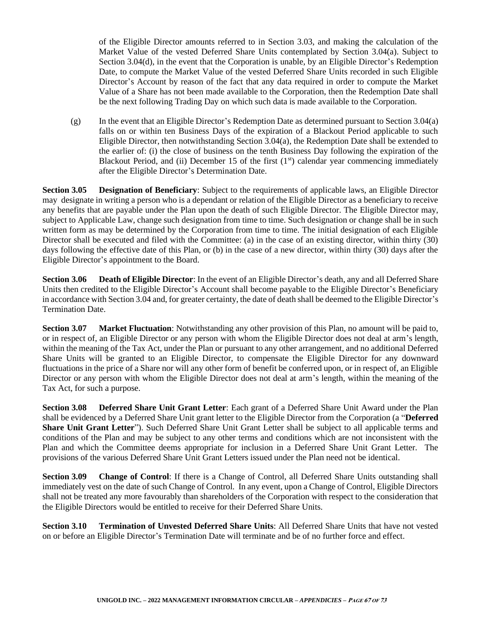of the Eligible Director amounts referred to in Section 3.03, and making the calculation of the Market Value of the vested Deferred Share Units contemplated by Section 3.04(a). Subject to Section 3.04(d), in the event that the Corporation is unable, by an Eligible Director's Redemption Date, to compute the Market Value of the vested Deferred Share Units recorded in such Eligible Director's Account by reason of the fact that any data required in order to compute the Market Value of a Share has not been made available to the Corporation, then the Redemption Date shall be the next following Trading Day on which such data is made available to the Corporation.

(g) In the event that an Eligible Director's Redemption Date as determined pursuant to Section 3.04(a) falls on or within ten Business Days of the expiration of a Blackout Period applicable to such Eligible Director, then notwithstanding Section 3.04(a), the Redemption Date shall be extended to the earlier of: (i) the close of business on the tenth Business Day following the expiration of the Blackout Period, and (ii) December 15 of the first  $(1<sup>st</sup>)$  calendar year commencing immediately after the Eligible Director's Determination Date.

**Section 3.05 Designation of Beneficiary**: Subject to the requirements of applicable laws, an Eligible Director may designate in writing a person who is a dependant or relation of the Eligible Director as a beneficiary to receive any benefits that are payable under the Plan upon the death of such Eligible Director. The Eligible Director may, subject to Applicable Law, change such designation from time to time. Such designation or change shall be in such written form as may be determined by the Corporation from time to time. The initial designation of each Eligible Director shall be executed and filed with the Committee: (a) in the case of an existing director, within thirty (30) days following the effective date of this Plan, or (b) in the case of a new director, within thirty (30) days after the Eligible Director's appointment to the Board.

**Section 3.06 Death of Eligible Director**: In the event of an Eligible Director's death, any and all Deferred Share Units then credited to the Eligible Director's Account shall become payable to the Eligible Director's Beneficiary in accordance with Section 3.04 and, for greater certainty, the date of death shall be deemed to the Eligible Director's Termination Date.

**Section 3.07 Market Fluctuation**: Notwithstanding any other provision of this Plan, no amount will be paid to, or in respect of, an Eligible Director or any person with whom the Eligible Director does not deal at arm's length, within the meaning of the Tax Act, under the Plan or pursuant to any other arrangement, and no additional Deferred Share Units will be granted to an Eligible Director, to compensate the Eligible Director for any downward fluctuations in the price of a Share nor will any other form of benefit be conferred upon, or in respect of, an Eligible Director or any person with whom the Eligible Director does not deal at arm's length, within the meaning of the Tax Act, for such a purpose.

**Section 3.08 Deferred Share Unit Grant Letter**: Each grant of a Deferred Share Unit Award under the Plan shall be evidenced by a Deferred Share Unit grant letter to the Eligible Director from the Corporation (a "**Deferred Share Unit Grant Letter**"). Such Deferred Share Unit Grant Letter shall be subject to all applicable terms and conditions of the Plan and may be subject to any other terms and conditions which are not inconsistent with the Plan and which the Committee deems appropriate for inclusion in a Deferred Share Unit Grant Letter. The provisions of the various Deferred Share Unit Grant Letters issued under the Plan need not be identical.

**Section 3.09 Change of Control**: If there is a Change of Control, all Deferred Share Units outstanding shall immediately vest on the date of such Change of Control. In any event, upon a Change of Control, Eligible Directors shall not be treated any more favourably than shareholders of the Corporation with respect to the consideration that the Eligible Directors would be entitled to receive for their Deferred Share Units.

**Section 3.10 Termination of Unvested Deferred Share Units**: All Deferred Share Units that have not vested on or before an Eligible Director's Termination Date will terminate and be of no further force and effect.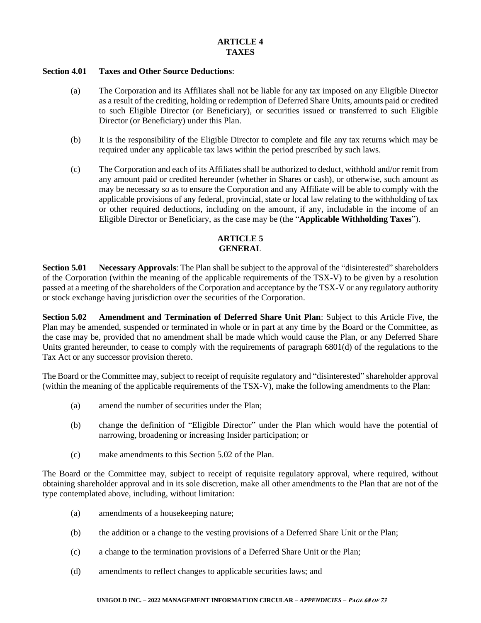#### **Section 4.01 Taxes and Other Source Deductions**:

- (a) The Corporation and its Affiliates shall not be liable for any tax imposed on any Eligible Director as a result of the crediting, holding or redemption of Deferred Share Units, amounts paid or credited to such Eligible Director (or Beneficiary), or securities issued or transferred to such Eligible Director (or Beneficiary) under this Plan.
- (b) It is the responsibility of the Eligible Director to complete and file any tax returns which may be required under any applicable tax laws within the period prescribed by such laws.
- (c) The Corporation and each of its Affiliates shall be authorized to deduct, withhold and/or remit from any amount paid or credited hereunder (whether in Shares or cash), or otherwise, such amount as may be necessary so as to ensure the Corporation and any Affiliate will be able to comply with the applicable provisions of any federal, provincial, state or local law relating to the withholding of tax or other required deductions, including on the amount, if any, includable in the income of an Eligible Director or Beneficiary, as the case may be (the "**Applicable Withholding Taxes**").

# **ARTICLE 5 GENERAL**

**Section 5.01 Necessary Approvals**: The Plan shall be subject to the approval of the "disinterested" shareholders of the Corporation (within the meaning of the applicable requirements of the TSX-V) to be given by a resolution passed at a meeting of the shareholders of the Corporation and acceptance by the TSX-V or any regulatory authority or stock exchange having jurisdiction over the securities of the Corporation.

**Section 5.02 Amendment and Termination of Deferred Share Unit Plan**: Subject to this Article Five, the Plan may be amended, suspended or terminated in whole or in part at any time by the Board or the Committee, as the case may be, provided that no amendment shall be made which would cause the Plan, or any Deferred Share Units granted hereunder, to cease to comply with the requirements of paragraph 6801(d) of the regulations to the Tax Act or any successor provision thereto.

The Board or the Committee may, subject to receipt of requisite regulatory and "disinterested" shareholder approval (within the meaning of the applicable requirements of the TSX-V), make the following amendments to the Plan:

- (a) amend the number of securities under the Plan;
- (b) change the definition of "Eligible Director" under the Plan which would have the potential of narrowing, broadening or increasing Insider participation; or
- (c) make amendments to this Section 5.02 of the Plan.

The Board or the Committee may, subject to receipt of requisite regulatory approval, where required, without obtaining shareholder approval and in its sole discretion, make all other amendments to the Plan that are not of the type contemplated above, including, without limitation:

- (a) amendments of a housekeeping nature;
- (b) the addition or a change to the vesting provisions of a Deferred Share Unit or the Plan;
- (c) a change to the termination provisions of a Deferred Share Unit or the Plan;
- (d) amendments to reflect changes to applicable securities laws; and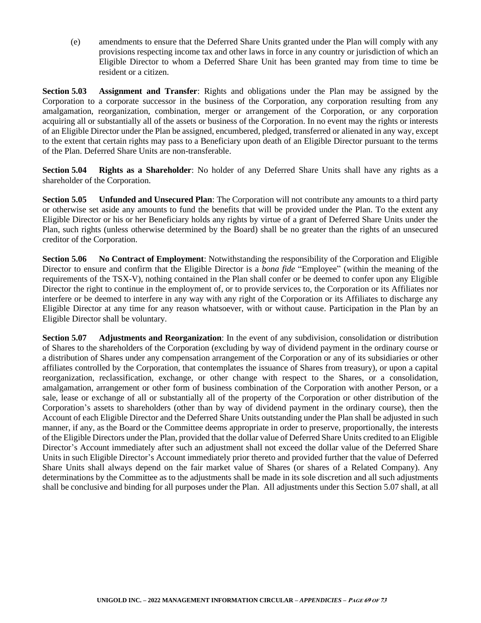(e) amendments to ensure that the Deferred Share Units granted under the Plan will comply with any provisions respecting income tax and other laws in force in any country or jurisdiction of which an Eligible Director to whom a Deferred Share Unit has been granted may from time to time be resident or a citizen.

**Section 5.03 Assignment and Transfer**: Rights and obligations under the Plan may be assigned by the Corporation to a corporate successor in the business of the Corporation, any corporation resulting from any amalgamation, reorganization, combination, merger or arrangement of the Corporation, or any corporation acquiring all or substantially all of the assets or business of the Corporation. In no event may the rights or interests of an Eligible Director under the Plan be assigned, encumbered, pledged, transferred or alienated in any way, except to the extent that certain rights may pass to a Beneficiary upon death of an Eligible Director pursuant to the terms of the Plan. Deferred Share Units are non-transferable.

**Section 5.04 Rights as a Shareholder**: No holder of any Deferred Share Units shall have any rights as a shareholder of the Corporation.

**Section 5.05 Unfunded and Unsecured Plan**: The Corporation will not contribute any amounts to a third party or otherwise set aside any amounts to fund the benefits that will be provided under the Plan. To the extent any Eligible Director or his or her Beneficiary holds any rights by virtue of a grant of Deferred Share Units under the Plan, such rights (unless otherwise determined by the Board) shall be no greater than the rights of an unsecured creditor of the Corporation.

**Section 5.06 No Contract of Employment**: Notwithstanding the responsibility of the Corporation and Eligible Director to ensure and confirm that the Eligible Director is a *bona fide* "Employee" (within the meaning of the requirements of the TSX-V), nothing contained in the Plan shall confer or be deemed to confer upon any Eligible Director the right to continue in the employment of, or to provide services to, the Corporation or its Affiliates nor interfere or be deemed to interfere in any way with any right of the Corporation or its Affiliates to discharge any Eligible Director at any time for any reason whatsoever, with or without cause. Participation in the Plan by an Eligible Director shall be voluntary.

**Section 5.07 Adjustments and Reorganization**: In the event of any subdivision, consolidation or distribution of Shares to the shareholders of the Corporation (excluding by way of dividend payment in the ordinary course or a distribution of Shares under any compensation arrangement of the Corporation or any of its subsidiaries or other affiliates controlled by the Corporation, that contemplates the issuance of Shares from treasury), or upon a capital reorganization, reclassification, exchange, or other change with respect to the Shares, or a consolidation, amalgamation, arrangement or other form of business combination of the Corporation with another Person, or a sale, lease or exchange of all or substantially all of the property of the Corporation or other distribution of the Corporation's assets to shareholders (other than by way of dividend payment in the ordinary course), then the Account of each Eligible Director and the Deferred Share Units outstanding under the Plan shall be adjusted in such manner, if any, as the Board or the Committee deems appropriate in order to preserve, proportionally, the interests of the Eligible Directors under the Plan, provided that the dollar value of Deferred Share Units credited to an Eligible Director's Account immediately after such an adjustment shall not exceed the dollar value of the Deferred Share Units in such Eligible Director's Account immediately prior thereto and provided further that the value of Deferred Share Units shall always depend on the fair market value of Shares (or shares of a Related Company). Any determinations by the Committee as to the adjustments shall be made in its sole discretion and all such adjustments shall be conclusive and binding for all purposes under the Plan. All adjustments under this Section 5.07 shall, at all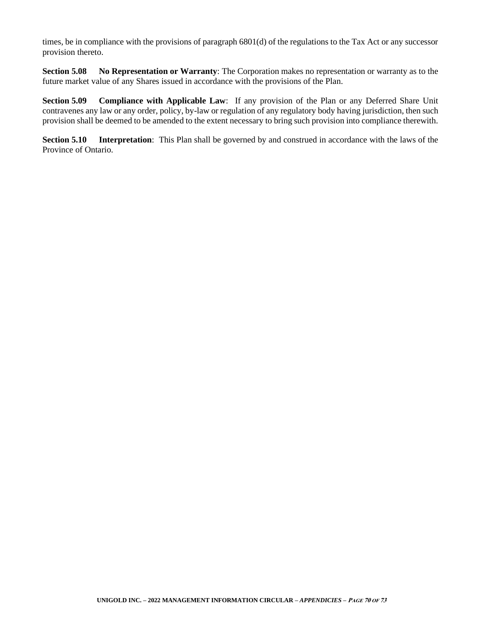times, be in compliance with the provisions of paragraph 6801(d) of the regulations to the Tax Act or any successor provision thereto.

**Section 5.08 No Representation or Warranty**: The Corporation makes no representation or warranty as to the future market value of any Shares issued in accordance with the provisions of the Plan.

**Section 5.09 Compliance with Applicable Law**: If any provision of the Plan or any Deferred Share Unit contravenes any law or any order, policy, by-law or regulation of any regulatory body having jurisdiction, then such provision shall be deemed to be amended to the extent necessary to bring such provision into compliance therewith.

**Section 5.10 Interpretation**: This Plan shall be governed by and construed in accordance with the laws of the Province of Ontario.